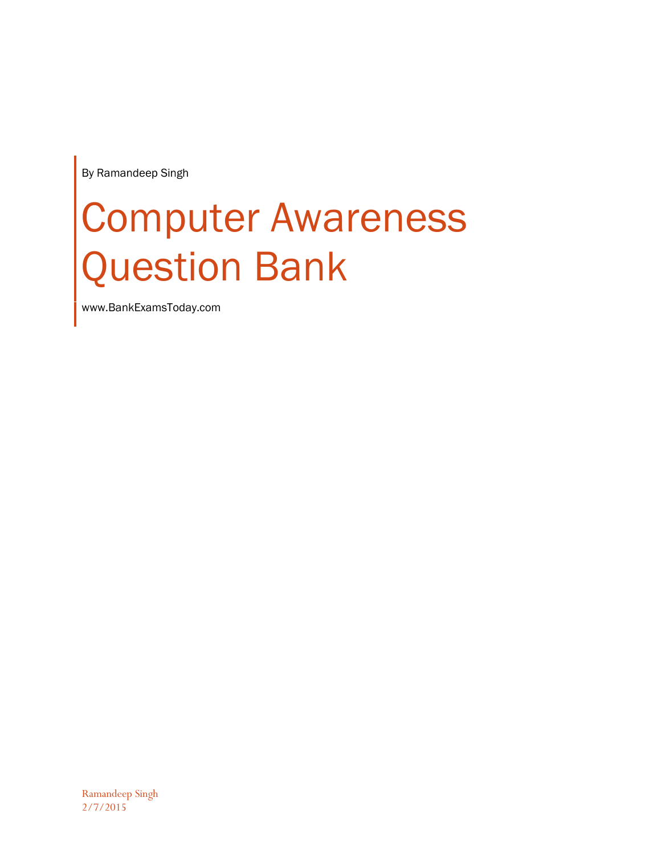By Ramandeep Singh

# Computer Awareness Question Bank

www.BankExamsToday.com

Ramandeep Singh 2/7/2015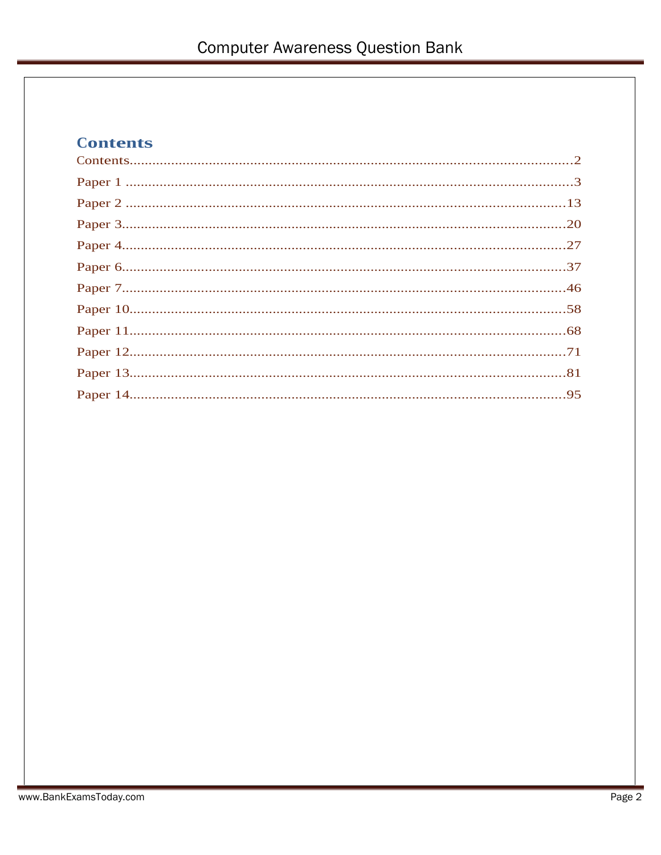#### **Contents**  $\sim$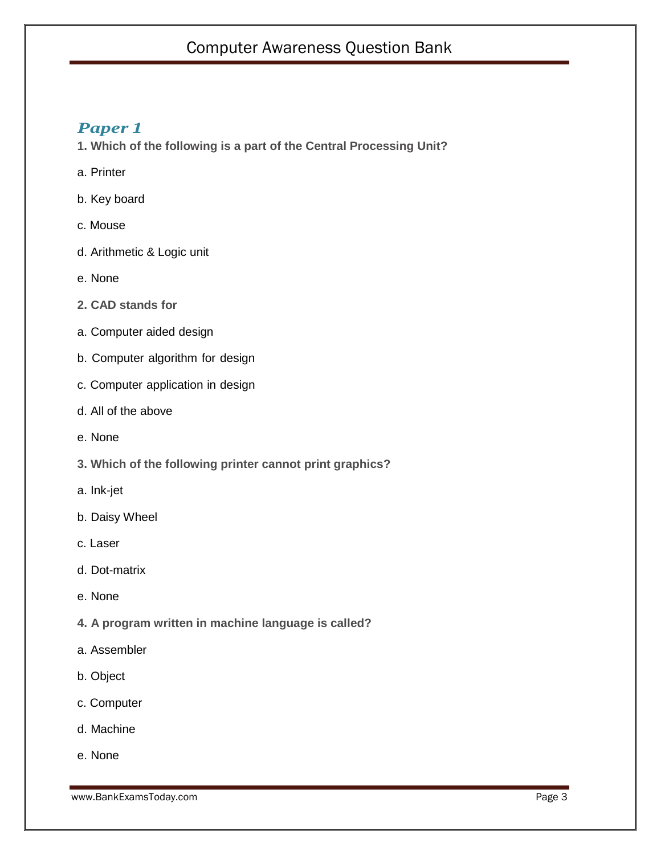#### *Paper 1*

- **1. Which of the following is a part of the Central Processing Unit?**
- a. Printer
- b. Key board
- c. Mouse
- d. Arithmetic & Logic unit
- e. None
- **2. CAD stands for**
- a. Computer aided design
- b. Computer algorithm for design
- c. Computer application in design
- d. All of the above
- e. None
- **3. Which of the following printer cannot print graphics?**
- a. Ink-jet
- b. Daisy Wheel
- c. Laser
- d. Dot-matrix
- e. None
- **4. A program written in machine language is called?**
- a. Assembler
- b. Object
- c. Computer
- d. Machine
- e. None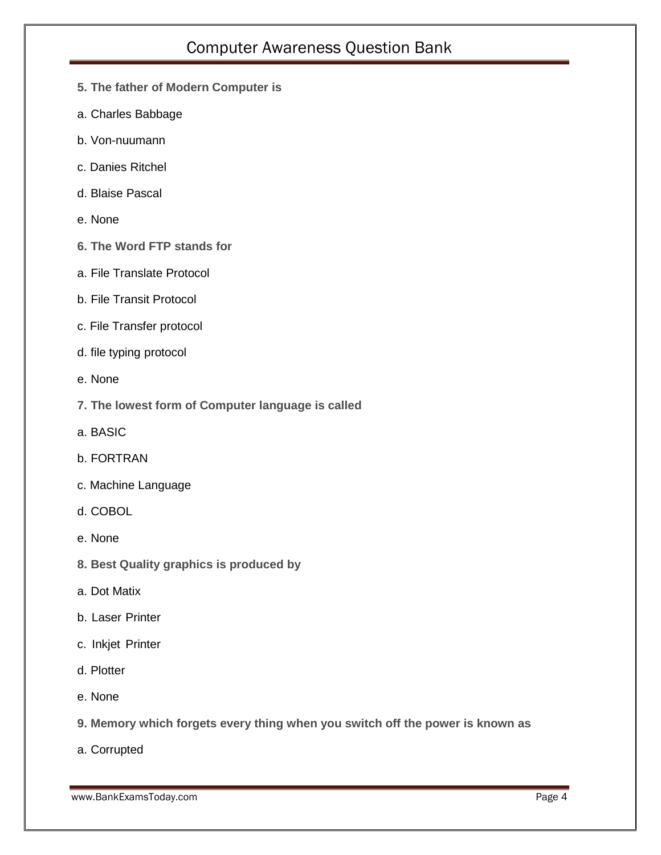- **5. The father of Modern Computer is**
- a. Charles Babbage
- b. Von-nuumann
- c. Danies Ritchel
- d. Blaise Pascal
- e. None
- **6. The Word FTP stands for**
- a. File Translate Protocol
- b. File Transit Protocol
- c. File Transfer protocol
- d. file typing protocol
- e. None
- **7. The lowest form of Computer language is called**
- a. BASIC
- b. FORTRAN
- c. Machine Language
- d. COBOL
- e. None
- **8. Best Quality graphics is produced by**
- a. Dot Matix
- b. Laser Printer
- c. Inkjet Printer
- d. Plotter
- e. None
- **9. Memory which forgets every thing when you switch off the power is known as**
- a. Corrupted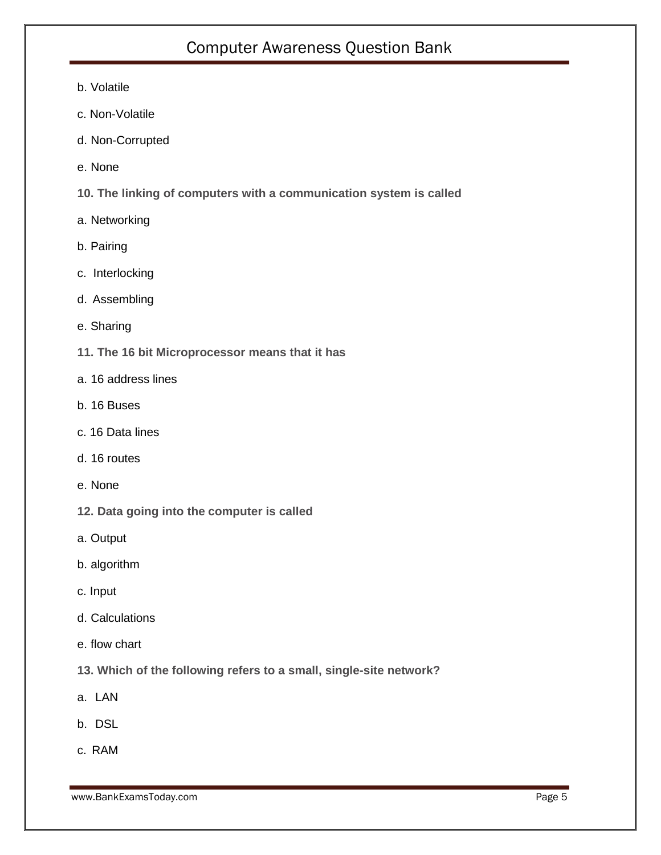- b. Volatile
- c. Non-Volatile
- d. Non-Corrupted
- e. None
- **10. The linking of computers with a communication system is called**
- a. Networking
- b. Pairing
- c. Interlocking
- d. Assembling
- e. Sharing
- **11. The 16 bit Microprocessor means that it has**
- a. 16 address lines
- b. 16 Buses
- c. 16 Data lines
- d. 16 routes
- e. None
- **12. Data going into the computer is called**
- a. Output
- b. algorithm
- c. Input
- d. Calculations
- e. flow chart
- **13. Which of the following refers to a small, single-site network?**
- a. LAN
- b. DSL
- c. RAM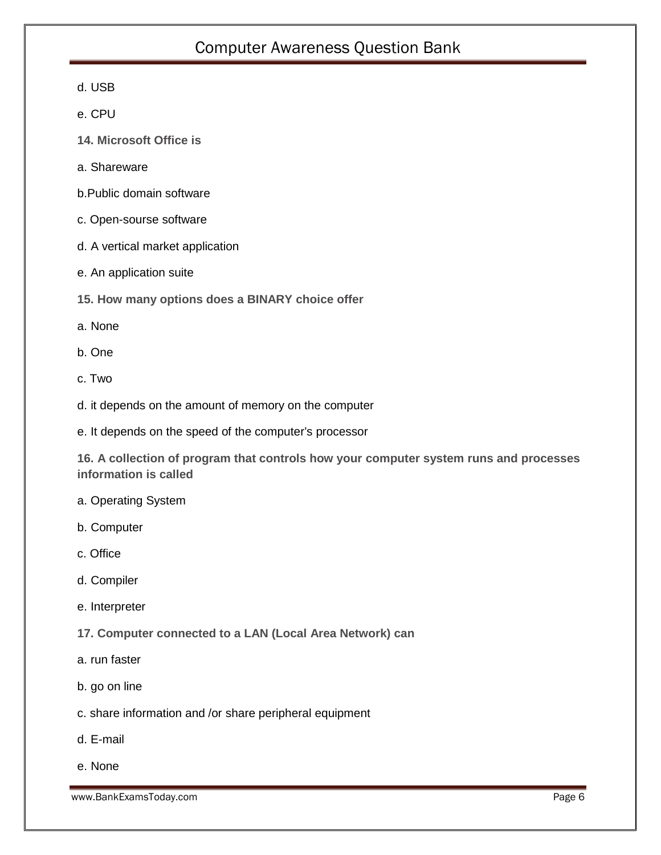- d. USB
- e. CPU
- **14. Microsoft Office is**
- a. Shareware
- b.Public domain software
- c. Open-sourse software
- d. A vertical market application
- e. An application suite
- **15. How many options does a BINARY choice offer**
- a. None
- b. One
- c. Two
- d. it depends on the amount of memory on the computer
- e. It depends on the speed of the computer's processor

**16. A collection of program that controls how your computer system runsand processes information is called**

- a. Operating System
- b. Computer
- c. Office
- d. Compiler
- e. Interpreter
- **17. Computer connected to a LAN (LocalArea Network) can**
- a. run faster
- b. go on line
- c. share information and /or share peripheral equipment
- d. E-mail
- e. None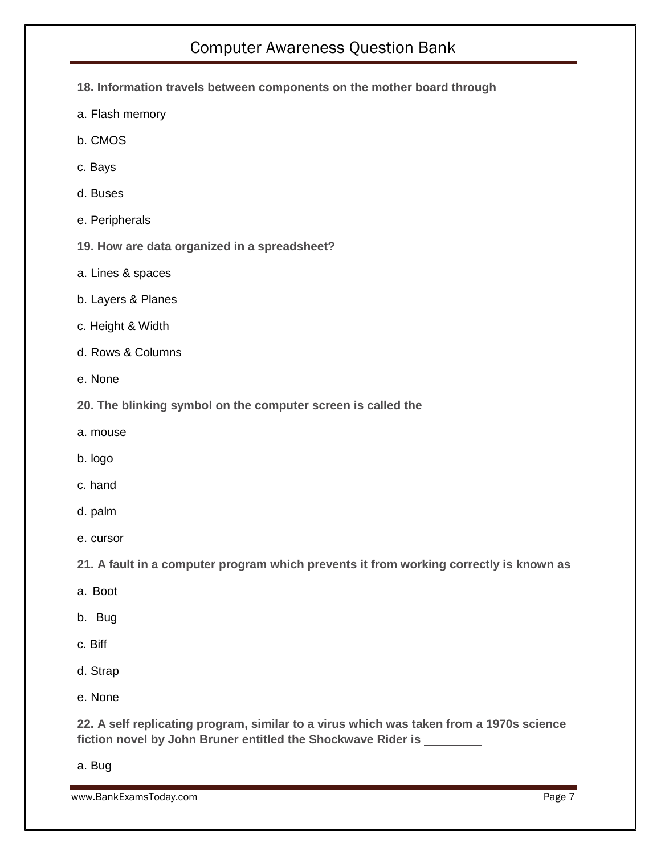- **18. Information travels between components on the mother board through**
- a. Flash memory
- b. CMOS
- c. Bays
- d. Buses
- e. Peripherals
- **19. How are data organized in a spreadsheet?**
- a. Lines & spaces
- b. Layers & Planes
- c. Height & Width
- d. Rows & Columns
- e. None
- **20. The blinking symbol on the computer screen is called the**
- a. mouse
- b. logo
- c. hand
- d. palm
- e. cursor

**21. A fault in a computer program which prevents it from working correctly is known as**

- a. Boot
- b. Bug
- c. Biff
- d. Strap
- e. None

**22. A self replicating program, similar to a virus which was taken from a 1970s science fiction novel by John Bruner entitled the Shockwave Rider is**

a. Bug

www.BankExamsToday.com example and the community of the community of the community of the community of the community of the community of the community of the community of the community of the community of the community of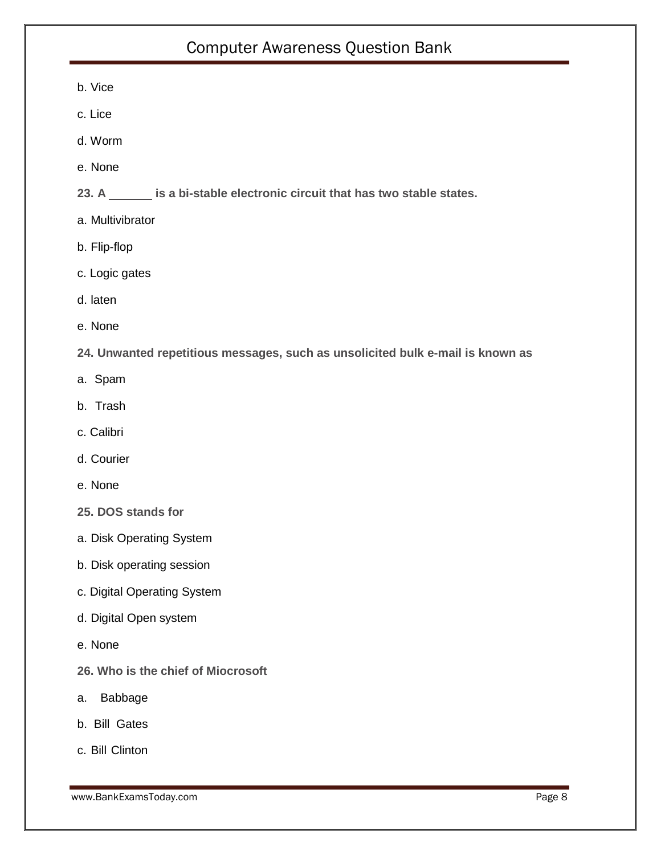- b. Vice
- c. Lice
- d. Worm
- e. None
- **23. A is a bi-stable electronic circuit that has two stable states.**
- a. Multivibrator
- b. Flip-flop
- c. Logic gates
- d. laten
- e. None
- **24. Unwanted repetitious messages, such as unsolicited bulk e-mail is known as**
- a. Spam
- b. Trash
- c. Calibri
- d. Courier
- e. None
- **25. DOS stands for**
- a. Disk Operating System
- b. Disk operating session
- c. Digital Operating System
- d. Digital Open system
- e. None
- **26. Who is the chief of Miocrosoft**
- a. Babbage
- b. Bill Gates
- c. Bill Clinton

www.BankExamsToday.com example and the state of the state of the state of the state of the Page 8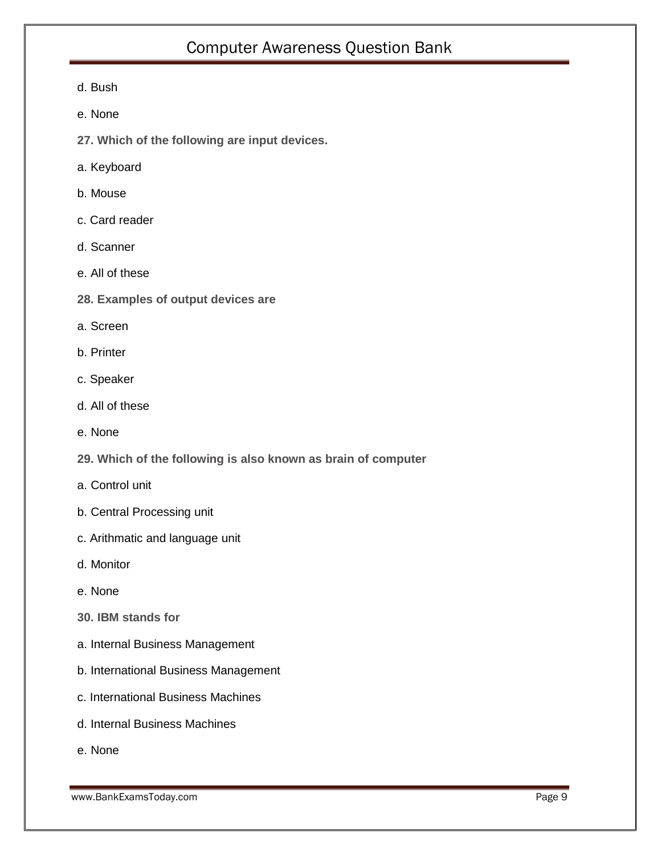- d. Bush
- e. None
- **27. Which of the following are input devices.**
- a. Keyboard
- b. Mouse
- c. Card reader
- d. Scanner
- e. All of these
- **28. Examples of output devices are**
- a. Screen
- b. Printer
- c. Speaker
- d. All of these
- e. None
- **29. Which of the following is also known as brain of computer**
- a. Control unit
- b. Central Processing unit
- c. Arithmatic and language unit
- d. Monitor
- e. None
- **30. IBM stands for**
- a. Internal Business Management
- b. International Business Management
- c. International Business Machines
- d. Internal Business Machines
- e. None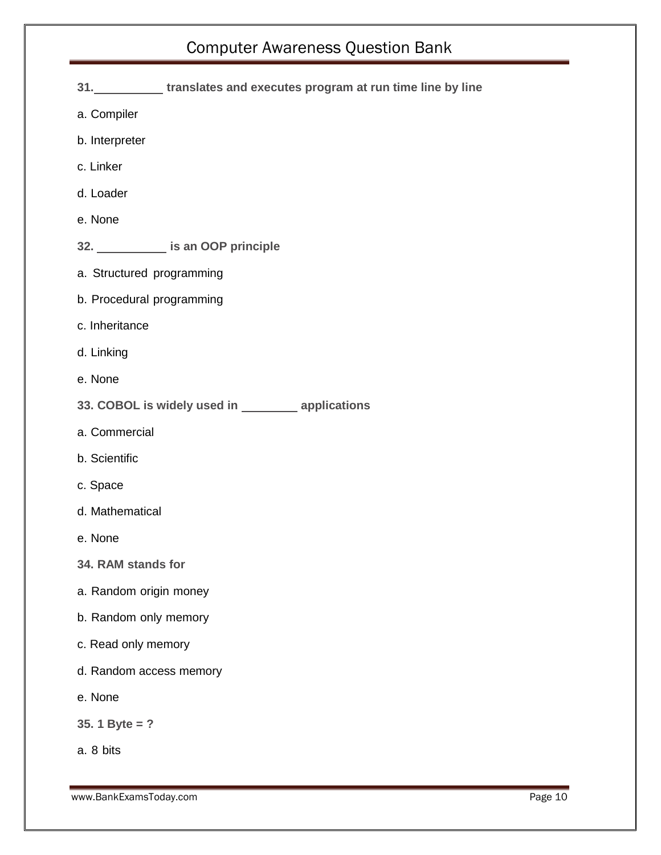**31. translates and executes program at run time line by line** a. Compiler b. Interpreter c. Linker d. Loader e. None **32. is an OOP principle** a. Structured programming b. Procedural programming c. Inheritance d. Linking e. None **33. COBOL is widely used in applications** a. Commercial b. Scientific c. Space d. Mathematical e. None **34. RAM stands for** a. Random origin money b. Random only memory c. Read only memory d. Random access memory e. None **35. 1 Byte = ?** a. 8 bits

www.BankExamsToday.com example and the state of the state of the Page 10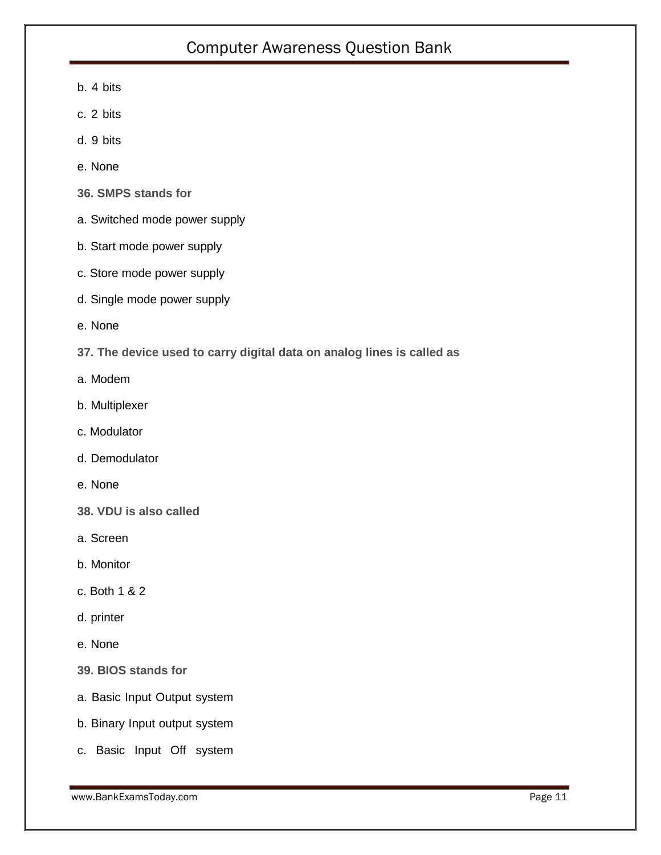- b. 4 bits
- c. 2 bits
- d. 9 bits
- e. None
- **36. SMPS stands for**
- a. Switched mode power supply
- b. Start mode power supply
- c. Store mode power supply
- d. Single mode power supply
- e. None
- **37. The device used to carry digital data on analog lines is called as**
- a. Modem
- b. Multiplexer
- c. Modulator
- d. Demodulator
- e. None
- **38. VDU is also called**
- a. Screen
- b. Monitor
- c. Both 1 & 2
- d. printer
- e. None
- **39. BIOS stands for**
- a. Basic Input Output system
- b. Binary Input output system
- c. Basic Input Off system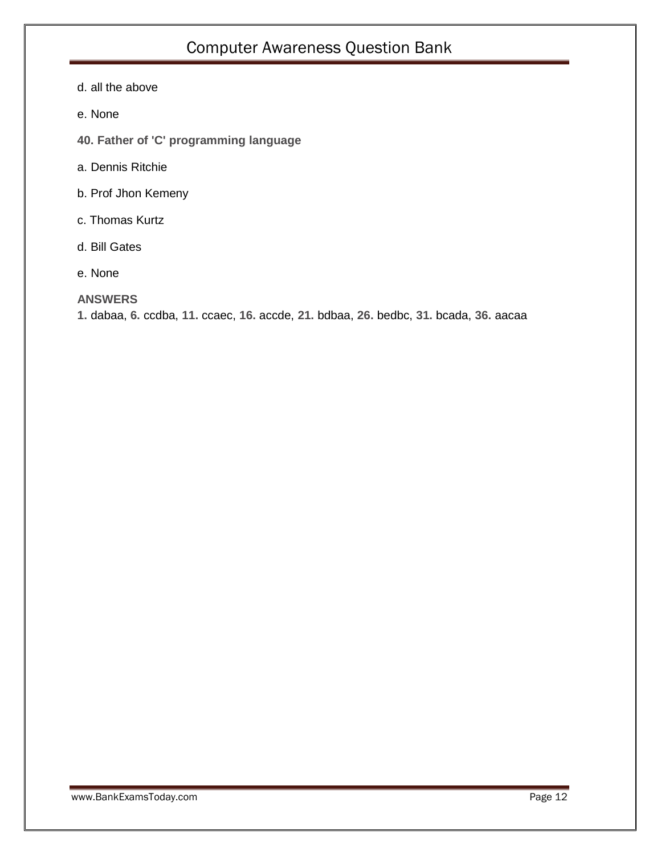- d. all the above
- e. None
- **40. Father of 'C' programming language**
- a. Dennis Ritchie
- b. Prof Jhon Kemeny
- c. Thomas Kurtz
- d. Bill Gates
- e. None
- **ANSWERS**
- **1.** dabaa, **6.** ccdba, **11.** ccaec, **16.** accde, **21.** bdbaa, **26.** bedbc, **31.** bcada, **36.** aacaa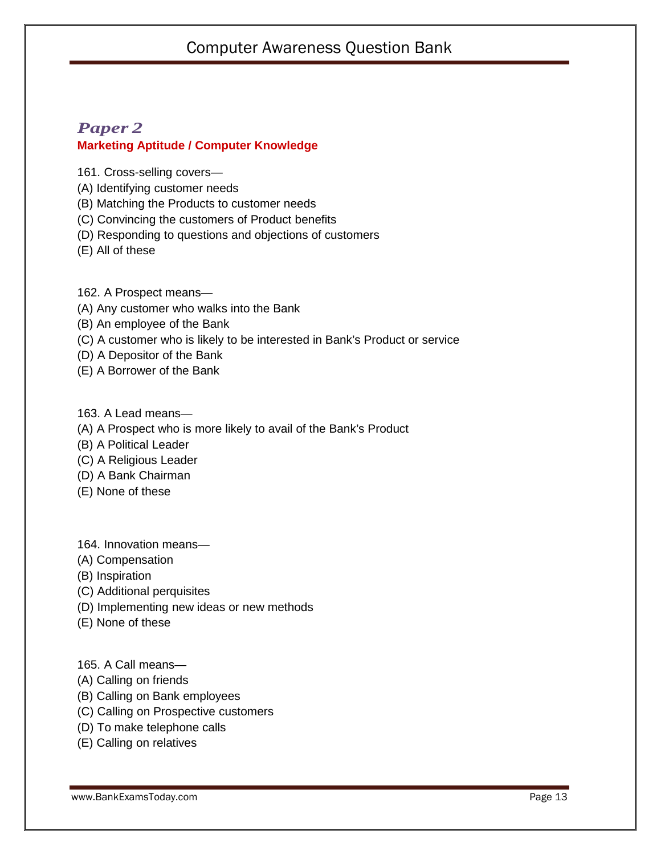#### *Paper 2* **Marketing Aptitude / Computer Knowledge**

161. Cross-selling covers—

- (A) Identifying customer needs
- (B) Matching the Products to customer needs
- (C) Convincing the customers of Product benefits
- (D) Responding to questions and objections of customers
- (E) All of these

162. A Prospect means—

- (A) Any customer who walks into the Bank
- (B) An employee of the Bank
- (C) A customer who is likely to be interested in Bank's Product or service
- (D) A Depositor of the Bank
- (E) A Borrower of the Bank

163. A Lead means—

- (A) A Prospect who is more likely to avail of the Bank's Product
- (B) A Political Leader
- (C) A Religious Leader
- (D) A Bank Chairman
- (E) None of these

164. Innovation means—

- (A) Compensation
- (B) Inspiration
- (C) Additional perquisites
- (D) Implementing new ideas or new methods
- (E) None of these

165. A Call means—

- (A) Calling on friends
- (B) Calling on Bank employees
- (C) Calling on Prospective customers
- (D) To make telephone calls
- (E) Calling on relatives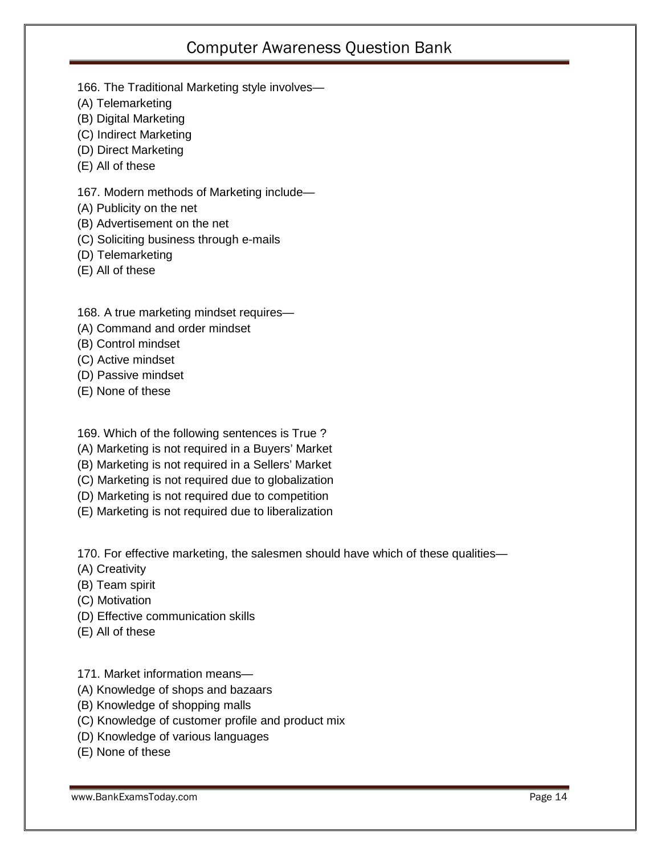- 166. The Traditional Marketing style involves—
- (A) Telemarketing
- (B) Digital Marketing
- (C) Indirect Marketing
- (D) Direct Marketing
- (E) All of these

#### 167. Modern methods of Marketing include—

- (A) Publicity on the net
- (B) Advertisement on the net
- (C) Soliciting business through e-mails
- (D) Telemarketing
- (E) All of these

#### 168. A true marketing mindset requires—

- (A) Command and order mindset
- (B) Control mindset
- (C) Active mindset
- (D) Passive mindset
- (E) None of these

169. Which of the following sentences is True ?

- (A) Marketing is not required in a Buyers' Market
- (B) Marketing is not required in a Sellers' Market
- (C) Marketing is not required due to globalization
- (D) Marketing is not required due to competition
- (E) Marketing is not required due to liberalization

170. For effective marketing, the salesmen should have which of these qualities—

- (A) Creativity
- (B) Team spirit
- (C) Motivation
- (D) Effective communication skills
- (E) All of these
- 171. Market information means—
- (A) Knowledge of shops and bazaars
- (B) Knowledge of shopping malls
- (C) Knowledge of customer profile and product mix
- (D) Knowledge of various languages
- (E) None of these

www.BankExamsToday.com example and the community of the community of the community of the community of the community of the community of the community of the community of the community of the community of the community of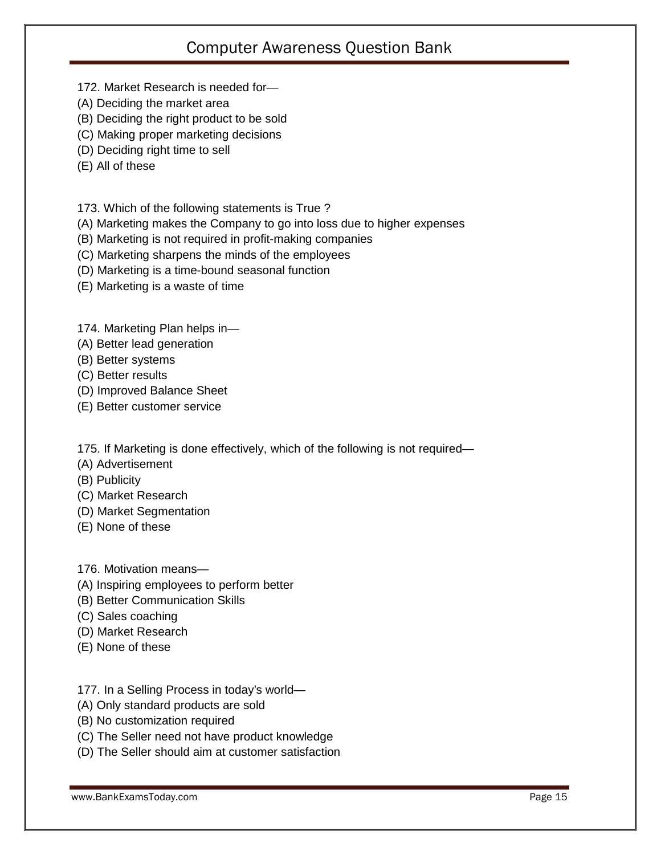- 172. Market Research is needed for—
- (A) Deciding the market area
- (B) Deciding the right product to be sold
- (C) Making proper marketing decisions
- (D) Deciding right time to sell
- (E) All of these

173. Which of the following statements is True ?

- (A) Marketing makes the Company to go into loss due to higher expenses
- (B) Marketing is not required in profit-making companies
- (C) Marketing sharpens the minds of the employees
- (D) Marketing is a time-bound seasonal function
- (E) Marketing is a waste of time

174. Marketing Plan helps in—

- (A) Better lead generation
- (B) Better systems
- (C) Better results
- (D) Improved Balance Sheet
- (E) Better customer service

175. If Marketing is done effectively, which of the following is not required—

- (A) Advertisement
- (B) Publicity
- (C) Market Research
- (D) Market Segmentation
- (E) None of these

176. Motivation means—

- (A) Inspiring employees to perform better
- (B) Better Communication Skills
- (C) Sales coaching
- (D) Market Research
- (E) None of these

177. In a Selling Process in today's world—

- (A) Only standard products are sold
- (B) No customization required
- (C) The Seller need not have product knowledge
- (D) The Seller should aim at customer satisfaction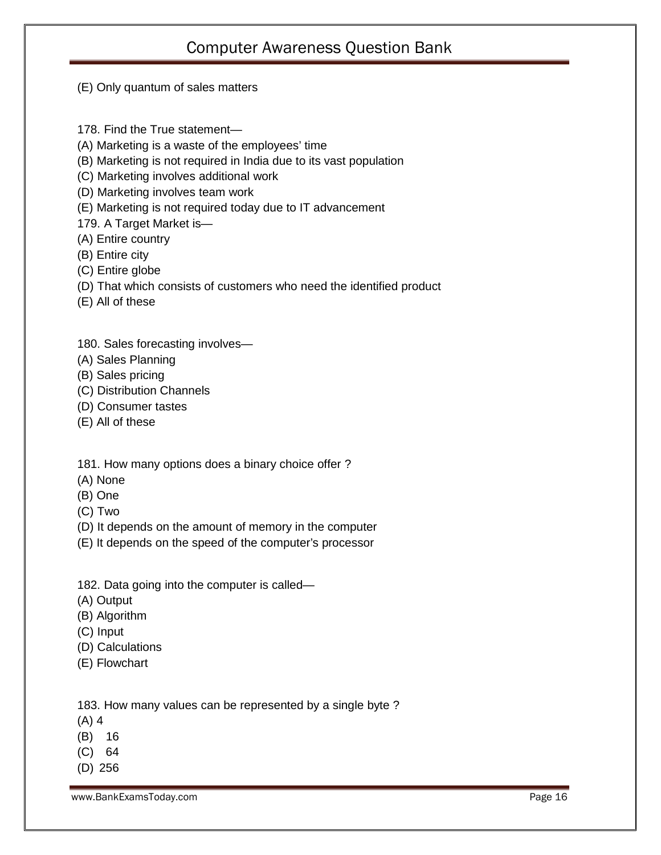- (E) Only quantum of sales matters
- 178. Find the True statement—
- (A) Marketing is a waste of the employees' time
- (B) Marketing is not required in India due to its vast population
- (C) Marketing involves additional work
- (D) Marketing involves team work
- (E) Marketing is not required today due to IT advancement
- 179. A Target Market is—
- (A) Entire country
- (B) Entire city
- (C) Entire globe
- (D) That which consists of customers who need the identified product
- (E) All of these
- 180. Sales forecasting involves—
- (A) Sales Planning
- (B) Sales pricing
- (C) Distribution Channels
- (D) Consumer tastes
- (E) All of these
- 181. How many options does a binary choice offer ?
- (A) None
- (B) One
- (C) Two
- (D) It depends on the amount of memory in the computer
- (E) It depends on the speed of the computer's processor
- 182. Data going into the computer is called—
- (A) Output
- (B) Algorithm
- (C) Input
- (D) Calculations
- (E) Flowchart

183. How many values can be represented by a single byte ?

(A) 4

- (B) 16
- (C) 64
- (D) 256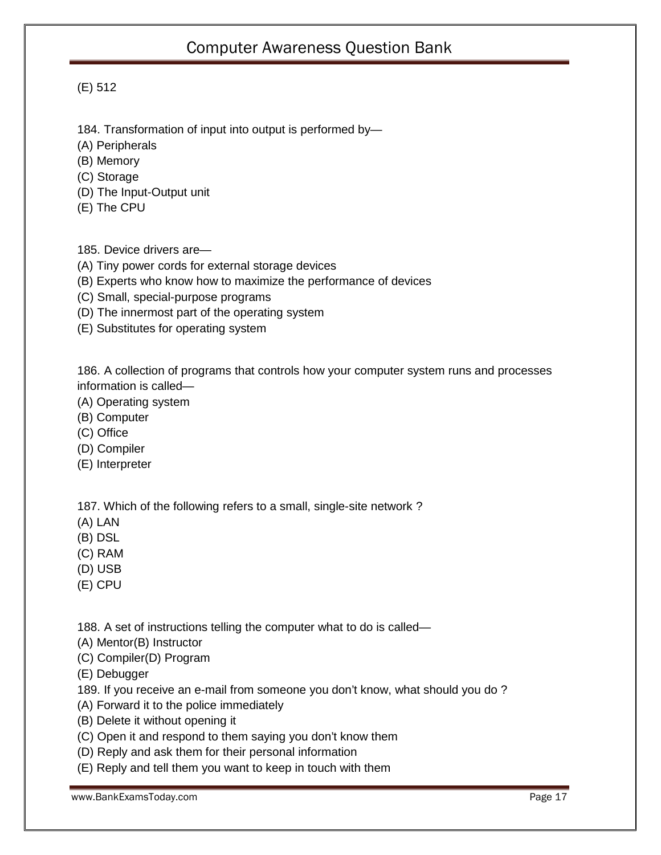#### (E) 512

184. Transformation of input into output is performed by—

- (A) Peripherals
- (B) Memory
- (C) Storage
- (D) The Input-Output unit
- (E) The CPU

185. Device drivers are—

- (A) Tiny power cords for external storage devices
- (B) Experts who know how to maximize the performance of devices
- (C) Small, special-purpose programs
- (D) The innermost part of the operating system
- (E) Substitutes for operating system

186. A collection of programs that controls how your computer system runs and processes information is called—

- (A) Operating system
- (B) Computer
- (C) Office
- (D) Compiler
- (E) Interpreter

187. Which of the following refers to a small, single-site network ?

- (A) LAN
- (B) DSL
- (C) RAM
- (D) USB
- (E) CPU

188. A set of instructions telling the computer what to do is called—

- (A) Mentor(B) Instructor
- (C) Compiler(D) Program
- (E) Debugger

189. If you receive an e-mail from someone you don't know, what should you do ?

- (A) Forward it to the police immediately
- (B) Delete it without opening it
- (C) Open it and respond to them saying you don't know them
- (D) Reply and ask them for their personal information
- (E) Reply and tell them you want to keep in touch with them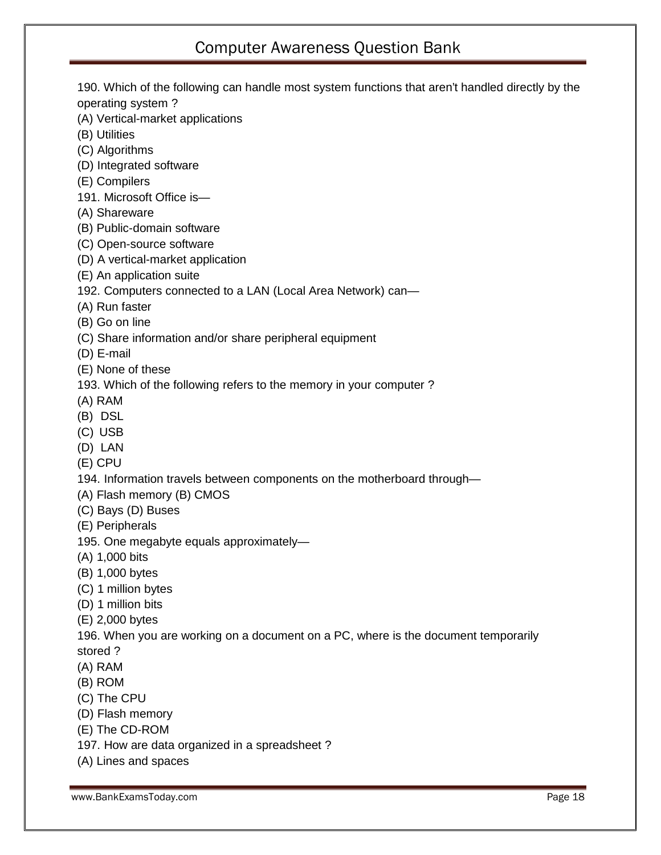190. Which of the following can handle most system functions that aren't handled directly by the operating system ?

(A) Vertical-market applications

(B) Utilities

- (C) Algorithms
- (D) Integrated software
- (E) Compilers
- 191. Microsoft Office is—
- (A) Shareware
- (B) Public-domain software
- (C) Open-source software
- (D) A vertical-market application
- (E) An application suite
- 192. Computers connected to a LAN (Local Area Network) can—
- (A) Run faster
- (B) Go on line
- (C) Share information and/or share peripheral equipment
- (D) E-mail
- (E) None of these
- 193. Which of the following refers to the memory in your computer ?
- (A) RAM
- (B) DSL
- (C) USB
- (D) LAN
- (E) CPU

194. Information travels between components on the motherboard through—

- (A) Flash memory (B) CMOS
- (C) Bays (D) Buses
- (E) Peripherals
- 195. One megabyte equals approximately—
- (A) 1,000 bits
- (B) 1,000 bytes
- (C) 1 million bytes
- (D) 1 million bits
- (E) 2,000 bytes

196. When you are working on a document on a PC, where is the document temporarily stored ?

- (A) RAM
- (B) ROM
- (C) The CPU
- (D) Flash memory
- (E) The CD-ROM
- 197. How are data organized in a spreadsheet ?
- (A) Lines and spaces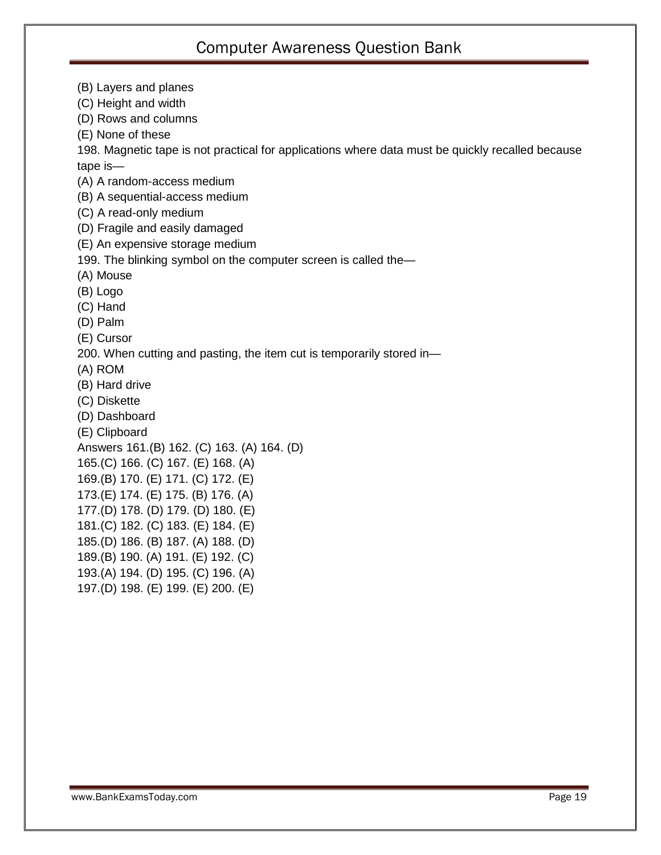(B) Layers and planes

(C) Height and width

(D) Rows and columns

(E) None of these

198. Magnetic tape is not practical for applications where data must be quickly recalled because tape is—

(A) A random-access medium

(B) A sequential-access medium

(C) A read-only medium

(D) Fragile and easily damaged

(E) An expensive storage medium

199. The blinking symbol on the computer screen is called the—

(A) Mouse

(B) Logo

(C) Hand

(D) Palm

(E) Cursor

200. When cutting and pasting, the item cut is temporarily stored in—

(A) ROM

(B) Hard drive

(C) Diskette

(D) Dashboard

(E) Clipboard

Answers 161.(B) 162. (C) 163. (A) 164. (D)

165.(C) 166. (C) 167. (E) 168. (A)

169.(B) 170. (E) 171. (C) 172. (E)

173.(E) 174. (E) 175. (B) 176. (A)

177.(D) 178. (D) 179. (D) 180. (E)

181.(C) 182. (C) 183. (E) 184. (E)

185.(D) 186. (B) 187. (A) 188. (D)

189.(B) 190. (A) 191. (E) 192. (C)

193.(A) 194. (D) 195. (C) 196. (A)

197.(D) 198. (E) 199. (E) 200. (E)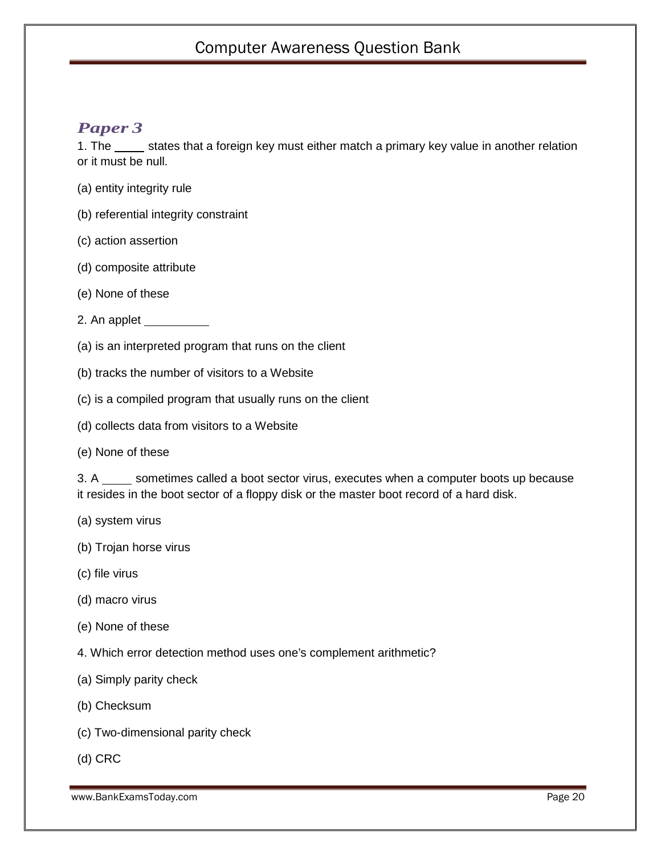#### *Paper 3*

1. The states that a foreign key must either match a primary key value in another relation or it must be null.

- (a) entity integrity rule
- (b) referential integrity constraint
- (c) action assertion
- (d) composite attribute
- (e) None of these
- 2. An applet
- (a) is an interpreted program that runs on the client
- (b) tracks the number of visitors to a Website
- (c) is a compiled program that usually runs on the client
- (d) collects data from visitors to a Website
- (e) None of these

3. A \_\_\_\_ sometimes called a boot sector virus, executes when a computer boots up because it resides in the boot sector of a floppy disk or the master boot record of a hard disk.

- (a) system virus
- (b) Trojan horse virus
- (c) file virus
- (d) macro virus
- (e) None of these
- 4. Which error detection method uses one's complement arithmetic?
- (a) Simply parity check
- (b) Checksum
- (c) Two-dimensional parity check
- (d) CRC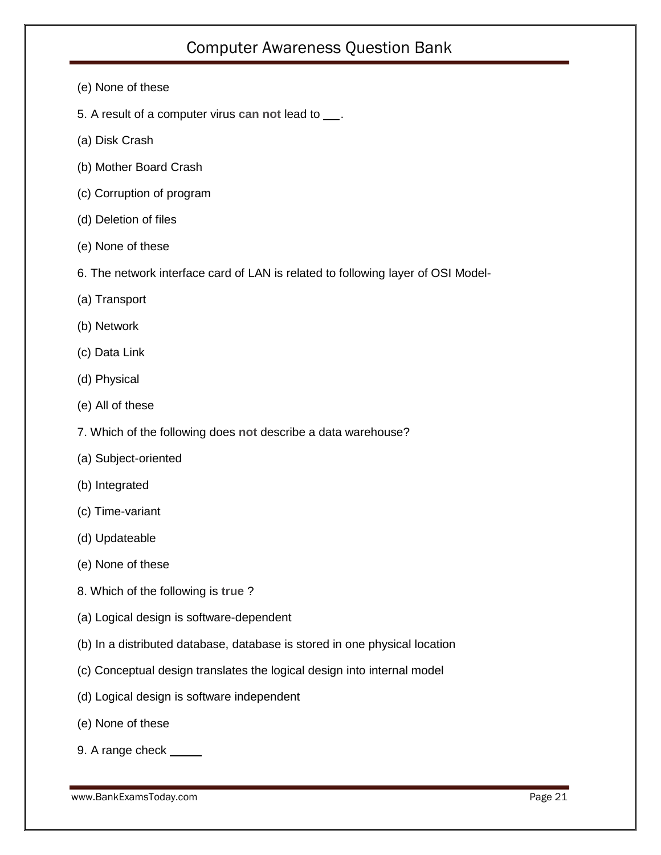- (e) None of these
- 5. A result of a computer virus **can not** lead to .
- (a) Disk Crash
- (b) Mother Board Crash
- (c) Corruption of program
- (d) Deletion of files
- (e) None of these
- 6. The network interface card of LAN is related to following layer of OSI Model-
- (a) Transport
- (b) Network
- (c) Data Link
- (d) Physical
- (e) All of these
- 7. Which of the following does **not** describe a data warehouse?
- (a) Subject-oriented
- (b) Integrated
- (c) Time-variant
- (d) Updateable
- (e) None of these
- 8. Which of the following is **true** ?
- (a) Logical design is software-dependent
- (b) In a distributed database, database is stored in one physical location
- (c) Conceptual design translates the logical design into internal model
- (d) Logical design is software independent
- (e) None of these
- 9. A range check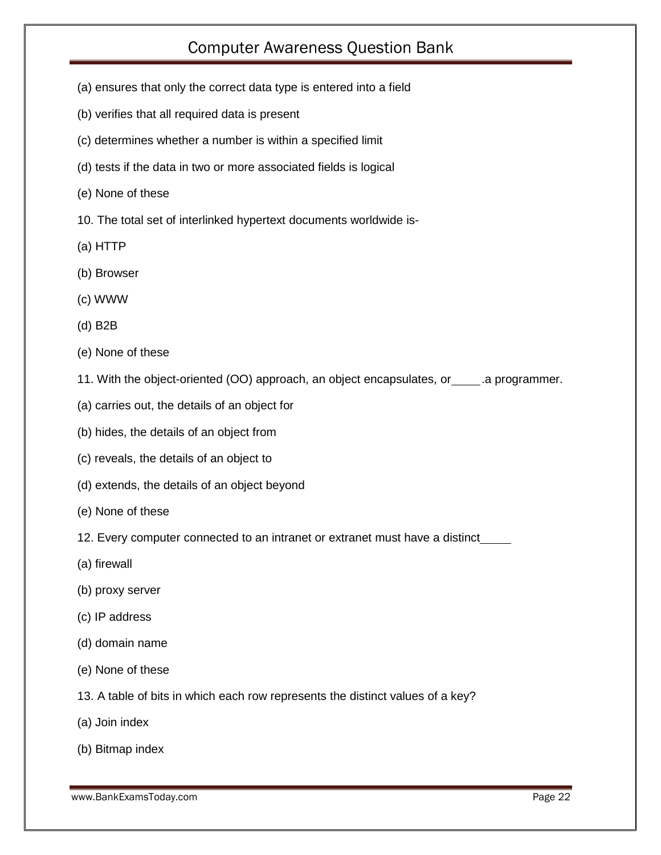- (a) ensures that only the correct data type is entered into a field
- (b) verifies that all required data is present
- (c) determines whether a number is within a specified limit
- (d) tests if the data in two or more associated fields is logical
- (e) None of these
- 10. The total set of interlinked hypertext documents worldwide is-
- (a) HTTP
- (b) Browser
- (c) WWW
- (d) B2B
- (e) None of these
- 11. With the object-oriented (OO) approach, an object encapsulates, or sampled programmer.
- (a) carries out, the details of an object for
- (b) hides, the details of an object from
- (c) reveals, the details of an object to
- (d) extends, the details of an object beyond
- (e) None of these
- 12. Every computer connected to an intranet or extranet must have a distinct
- (a) firewall
- (b) proxy server
- (c) IP address
- (d) domain name
- (e) None of these
- 13. A table of bits in which each row represents the distinct values of a key?
- (a) Join index
- (b) Bitmap index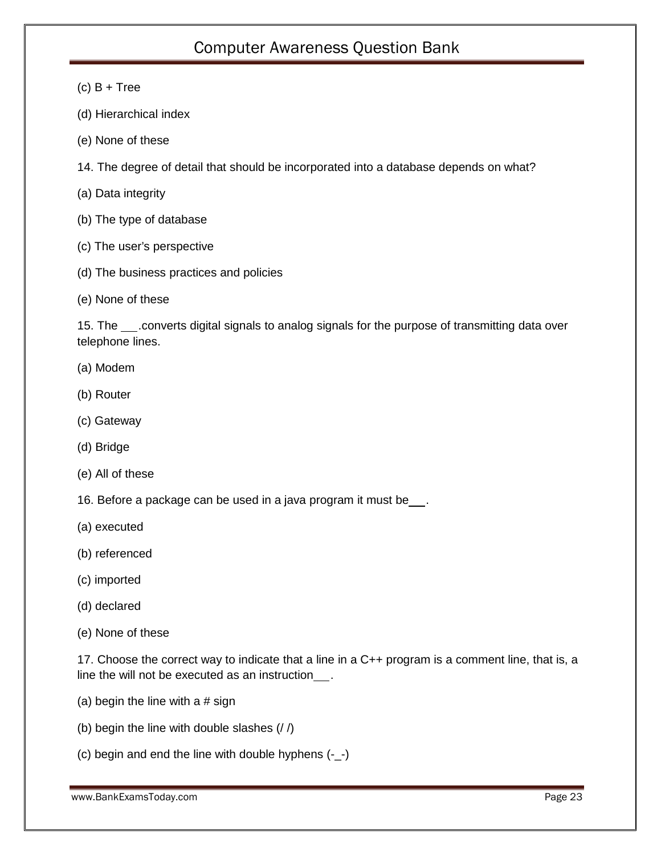- $(c)$  B + Tree
- (d) Hierarchical index
- (e) None of these
- 14. The degree of detail that should be incorporated into a database depends on what?
- (a) Data integrity
- (b) The type of database
- (c) The user's perspective
- (d) The business practices and policies
- (e) None of these

15. The \_\_\_\_. converts digital signals to analog signals for the purpose of transmitting data over telephone lines.

- (a) Modem
- (b) Router
- (c) Gateway
- (d) Bridge
- (e) All of these
- 16. Before a package can be used in a java program it must be \_\_\_.
- (a) executed
- (b) referenced
- (c) imported
- (d) declared
- (e) None of these

17. Choose the correct way to indicate that a line in a C++ program is a comment line, that is, a line the will not be executed as an instruction\_\_\_.

- (a) begin the line with a  $#$  sign
- (b) begin the line with double slashes  $(1/1)$
- (c) begin and end the line with double hyphens (-\_-)

| Page 23<br>www.BankExamsToday.com |  |
|-----------------------------------|--|
|-----------------------------------|--|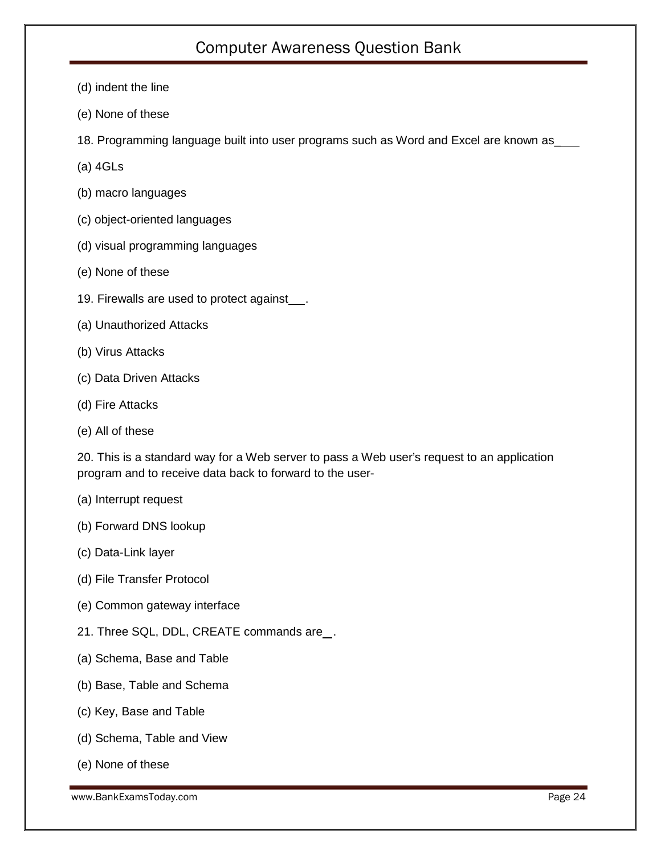- (d) indent the line
- (e) None of these
- 18. Programming language built into user programs such as Word and Excel are known as
- (a) 4GLs
- (b) macro languages
- (c) object-oriented languages
- (d) visual programming languages
- (e) None of these
- 19. Firewalls are used to protect against\_\_.
- (a) Unauthorized Attacks
- (b) Virus Attacks
- (c) Data Driven Attacks
- (d) Fire Attacks
- (e) All of these

20. This is a standard way for a Web server to pass a Web user's request to an application program and to receive data back to forward to the user-

- (a) Interrupt request
- (b) Forward DNS lookup
- (c) Data-Link layer
- (d) File Transfer Protocol
- (e) Common gateway interface
- 21. Three SQL, DDL, CREATE commands are\_.
- (a) Schema, Base and Table
- (b) Base, Table and Schema
- (c) Key, Base and Table
- (d) Schema, Table and View
- (e) None of these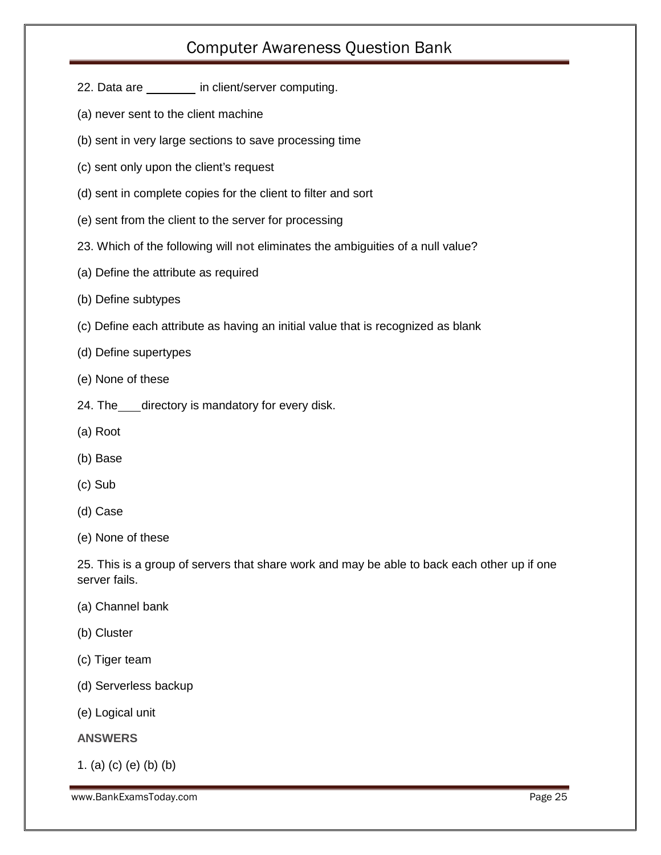- 22. Data are in client/server computing.
- (a) never sent to the client machine
- (b) sent in very large sections to save processing time
- (c) sent only upon the client's request
- (d) sent in complete copies for the client to filter and sort
- (e) sent from the client to the server for processing
- 23. Which of the following will **not** eliminates the ambiguities of a null value?
- (a) Define the attribute as required
- (b) Define subtypes
- (c) Define each attribute as having an initial value that is recognized as blank
- (d) Define supertypes
- (e) None of these
- 24. The directory is mandatory for every disk.
- (a) Root
- (b) Base
- (c) Sub
- (d) Case
- (e) None of these

25. This is a group of servers that share work and may be able to back each other up if one server fails.

- (a) Channel bank
- (b) Cluster
- (c) Tiger team
- (d) Serverless backup
- (e) Logical unit

#### **ANSWERS**

1. (a) (c) (e) (b) (b)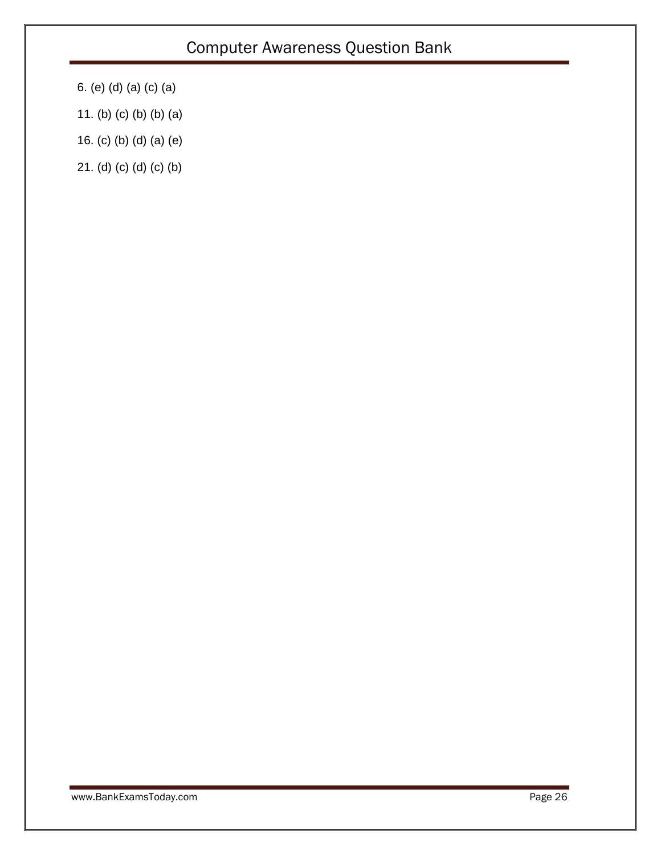- 6. (e) (d) (a) (c) (a)
- 11. (b) (c) (b) (b) (a)
- 16. (c) (b) (d) (a) (e)
- 21. (d) (c) (d) (c) (b)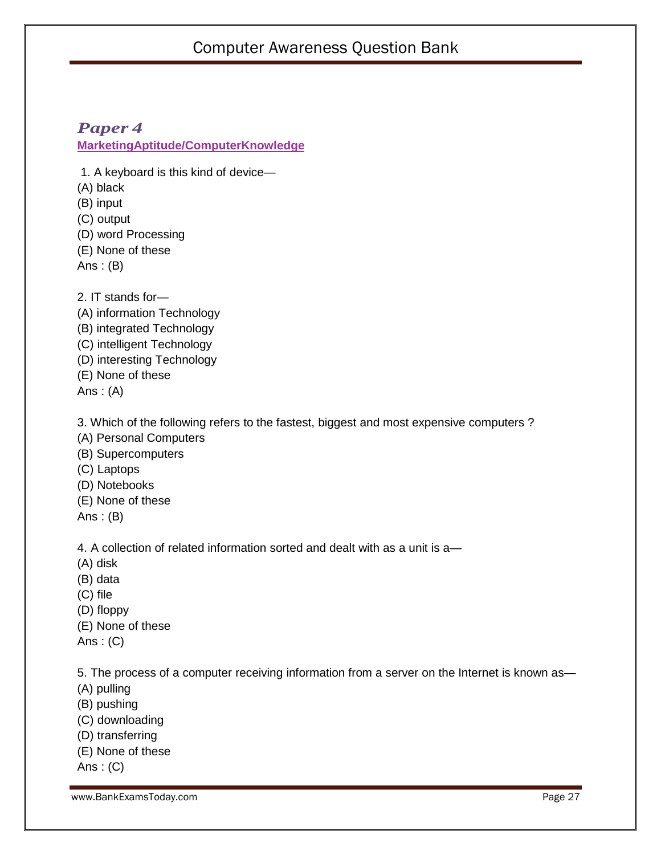#### *Paper 4* **MarketingAptitude/ComputerKnowledge**

1. A keyboard is this kind of device— (A) black (B) input (C) output (D) word Processing (E) None of these Ans : (B) 2. IT stands for—

(A) information Technology (B) integrated Technology (C) intelligent Technology (D) interesting Technology (E) None of these Ans  $: (A)$ 

3. Which of the following refers to the fastest, biggest and most expensive computers ?

- (A) Personal Computers
- (B) Supercomputers
- (C) Laptops
- (D) Notebooks
- (E) None of these

Ans : (B)

4. A collection of related information sorted and dealt with as a unit is a—

- (A) disk
- (B) data
- (C) file
- (D) floppy

(E) None of these

Ans : (C)

5. The process of a computer receiving information from a server on the Internet is known as—

- (A) pulling
- (B) pushing
- (C) downloading
- (D) transferring
- (E) None of these

Ans : (C)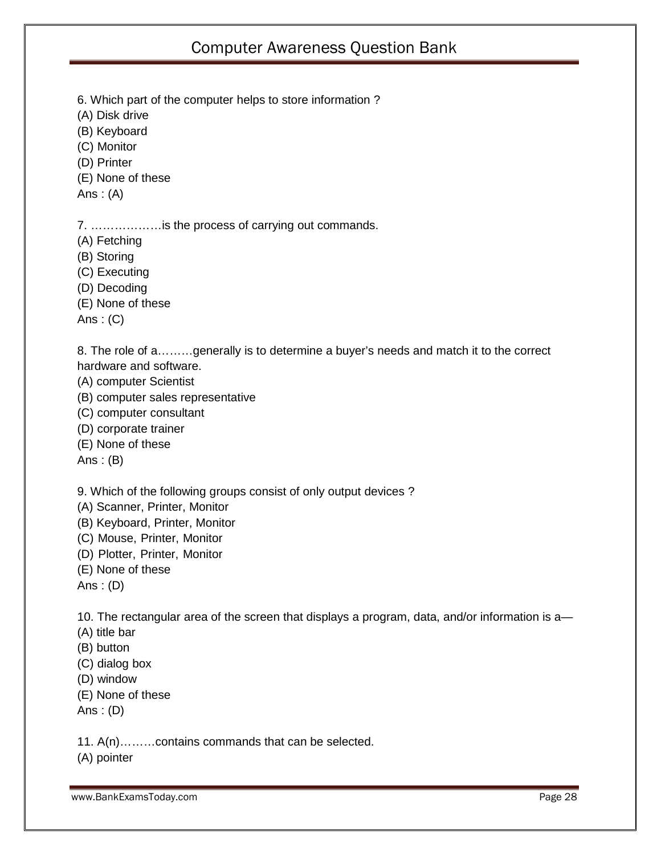6. Which part of the computer helps to store information ?

(A) Disk drive

(B) Keyboard

(C) Monitor

(D) Printer

(E) None of these

Ans:  $(A)$ 

7. ………………is the process of carrying out commands.

(A) Fetching

(B) Storing

(C) Executing

(D) Decoding

(E) None of these

Ans :  $(C)$ 

8. The role of a………generally is to determine a buyer's needs and match it to the correct hardware and software.

(A) computer Scientist

(B) computer sales representative

(C) computer consultant

(D) corporate trainer

(E) None of these

Ans : (B)

9. Which of the following groups consist of only output devices ?

(A) Scanner, Printer, Monitor

(B) Keyboard, Printer, Monitor

(C) Mouse, Printer, Monitor

(D) Plotter, Printer, Monitor

(E) None of these

Ans : (D)

10. The rectangular area of the screen that displays a program, data, and/or information is a—

- (A) title bar
- (B) button
- (C) dialog box
- (D) window

(E) None of these

Ans : (D)

11. A(n)………contains commands that can be selected.

(A) pointer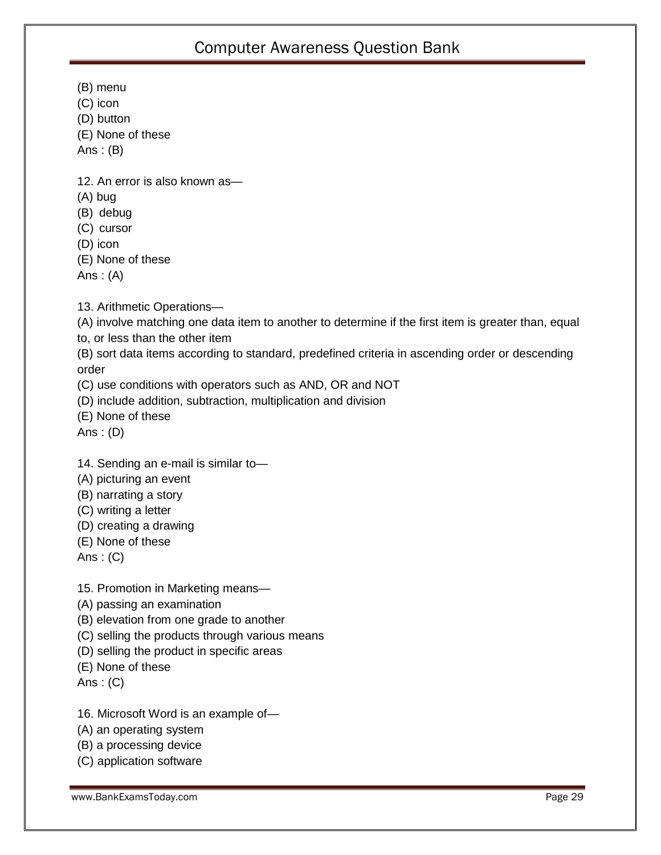(B) menu

(C) icon

(D) button

(E) None of these

Ans : (B)

12. An error is also known as—

(A) bug

(B) debug

(C) cursor

(D) icon

(E) None of these

Ans  $: (A)$ 

13. Arithmetic Operations—

(A) involve matching one data item to another to determine if the first item is greater than, equal to, or less than the other item

(B) sort data items according to standard, predefined criteria in ascending order or descending order

(C) use conditions with operators such as AND, OR and NOT

(D) include addition, subtraction, multiplication and division

(E) None of these

Ans : (D)

14. Sending an e-mail is similar to—

(A) picturing an event

(B) narrating a story

(C) writing a letter

(D) creating a drawing

(E) None of these

Ans : (C)

15. Promotion in Marketing means—

(A) passing an examination

(B) elevation from one grade to another

(C) selling the products through various means

(D) selling the product in specific areas

(E) None of these

Ans : (C)

16. Microsoft Word is an example of—

(A) an operating system

(B) a processing device

(C) application software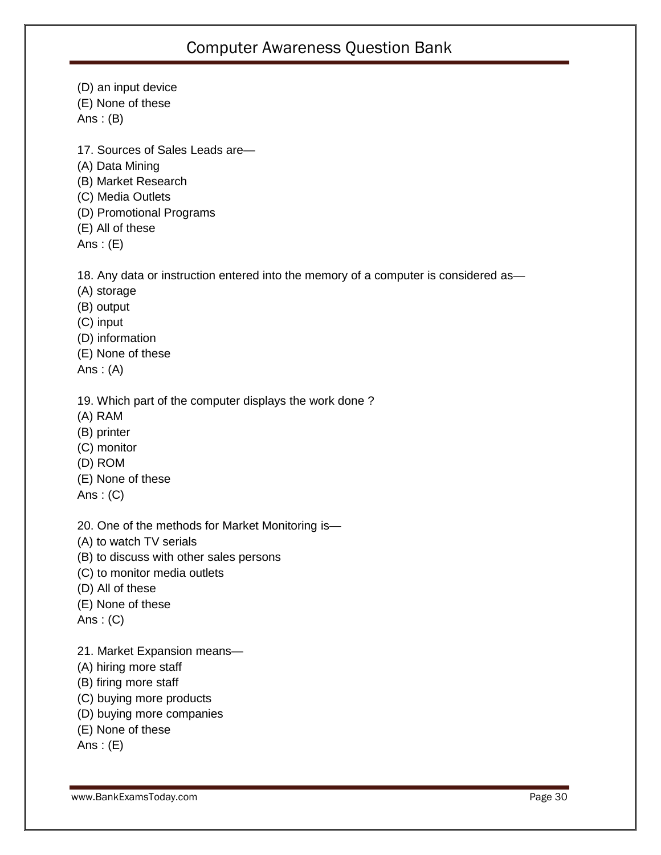(D) an input device (E) None of these Ans : (B)

- 17. Sources of Sales Leads are—
- (A) Data Mining
- (B) Market Research
- (C) Media Outlets
- (D) Promotional Programs
- (E) All of these
- Ans  $:$   $(E)$

18. Any data or instruction entered into the memory of a computer is considered as—

- (A) storage
- (B) output
- (C) input
- (D) information
- (E) None of these
- Ans : (A)
- 19. Which part of the computer displays the work done ?
- (A) RAM
- (B) printer
- (C) monitor
- (D) ROM
- (E) None of these
- Ans : (C)

20. One of the methods for Market Monitoring is—

- (A) to watch TV serials
- (B) to discuss with other sales persons
- (C) to monitor media outlets
- (D) All of these
- (E) None of these
- Ans : (C)
- 21. Market Expansion means—
- (A) hiring more staff
- (B) firing more staff
- (C) buying more products
- (D) buying more companies
- (E) None of these
- Ans : (E)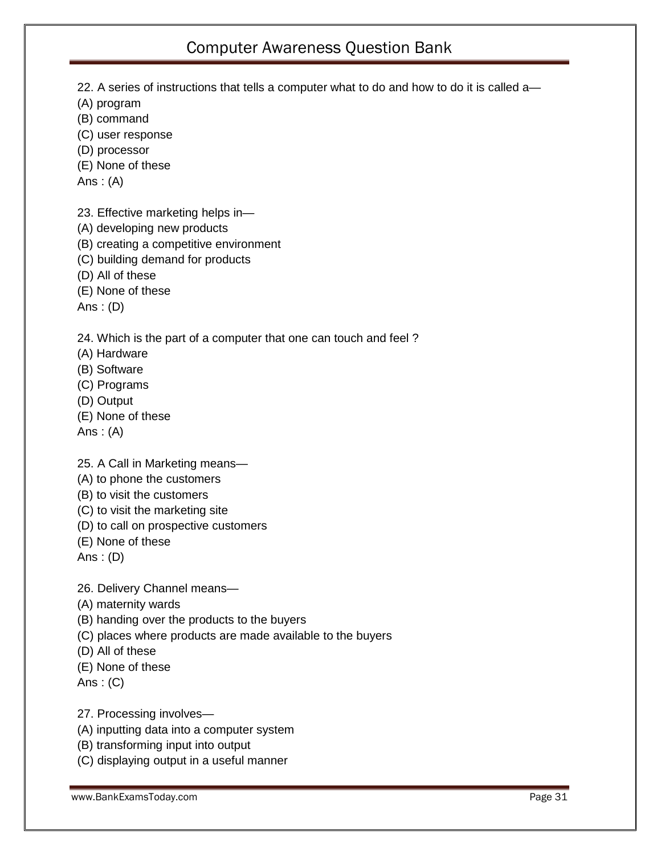- 22. A series of instructions that tells a computer what to do and how to do it is called a-
- (A) program
- (B) command
- (C) user response
- (D) processor
- (E) None of these
- Ans : (A)
- 23. Effective marketing helps in—
- (A) developing new products
- (B) creating a competitive environment
- (C) building demand for products
- (D) All of these
- (E) None of these

Ans : (D)

24. Which is the part of a computer that one can touch and feel?

- (A) Hardware
- (B) Software
- (C) Programs
- (D) Output
- (E) None of these
- Ans : (A)
- 25. A Call in Marketing means—
- (A) to phone the customers
- (B) to visit the customers
- $(C)$  to visit the marketing site
- (D) to call on prospective customers
- (E) None of these
- Ans : (D)

26. Delivery Channel means—

- (A) maternity wards
- (B) handing over the products to the buyers
- (C) places where products are made available to the buyers
- (D) All of these
- (E) None of these

Ans : (C)

- 27. Processing involves—
- (A) inputting data into a computer system
- (B) transforming input into output
- (C) displaying output in a useful manner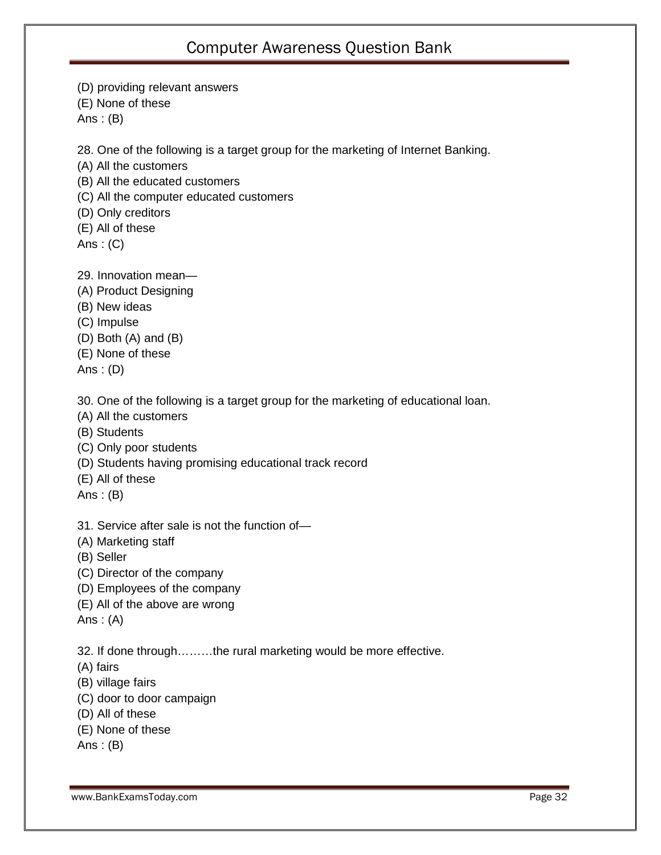(D) providing relevant answers (E) None of these Ans : (B)

28. One of the following is a target group for the marketing of Internet Banking.

(A) All the customers

(B) All the educated customers

(C) All the computer educated customers

(D) Only creditors

(E) All of these

Ans : (C)

29. Innovation mean—

(A) Product Designing

(B) New ideas

(C) Impulse

(D) Both (A) and (B)

(E) None of these

Ans : (D)

30. One of the following is a target group for the marketing of educational loan.

(A) All the customers

(B) Students

(C) Only poor students

(D) Students having promising educational track record

(E) All of these

Ans : (B)

31. Service after sale is not the function of-

(A) Marketing staff

(B) Seller

(C) Director of the company

(D) Employees of the company

(E) All of the above are wrong

Ans  $: (A)$ 

32. If done through………the rural marketing would be more effective.

(A) fairs

(B) village fairs

(C) door to door campaign

(D) All of these

(E) None of these

Ans  $:$  (B)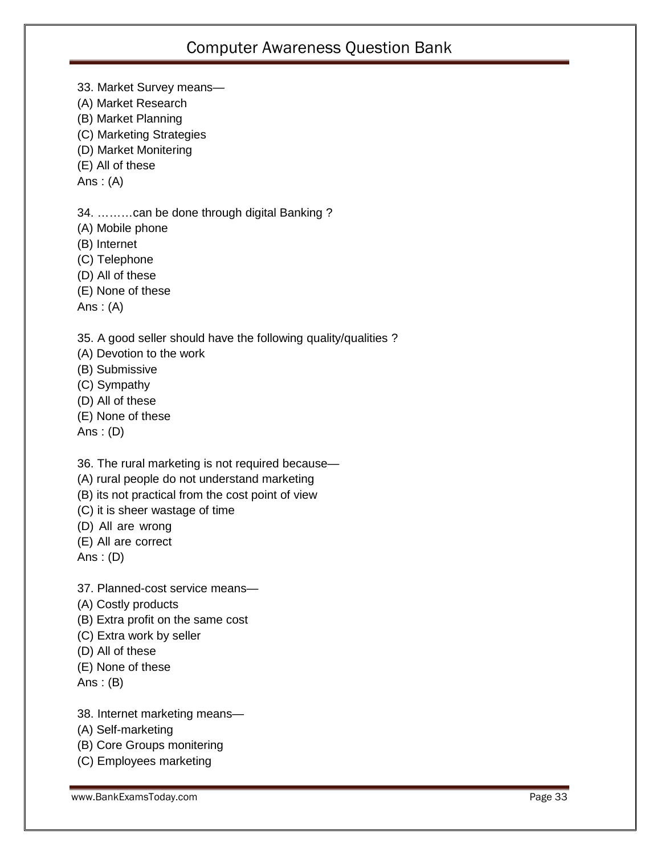- 33. Market Survey means—
- (A) Market Research
- (B) Market Planning
- (C) Marketing Strategies
- (D) Market Monitering
- (E) All of these
- Ans  $: (A)$

34. ………can be done through digital Banking ?

- (A) Mobile phone
- (B) Internet
- (C) Telephone
- (D) All of these
- (E) None of these

Ans:  $(A)$ 

#### 35. A good seller should have the following quality/qualities ?

- (A) Devotion to the work
- (B) Submissive
- (C) Sympathy
- (D) All of these
- (E) None of these

Ans : (D)

- 36. The rural marketing is not required because—
- (A) rural people do not understand marketing
- (B) its not practical from the cost point of view
- (C) it is sheer wastage of time
- (D) All are wrong
- (E) All are correct
- Ans : (D)
- 37. Planned-cost service means—
- (A) Costly products
- (B) Extra profit on the same cost
- (C) Extra work by seller
- (D) All of these
- (E) None of these
- Ans : (B)
- 38. Internet marketing means—
- (A) Self-marketing
- (B) Core Groups monitering
- (C) Employees marketing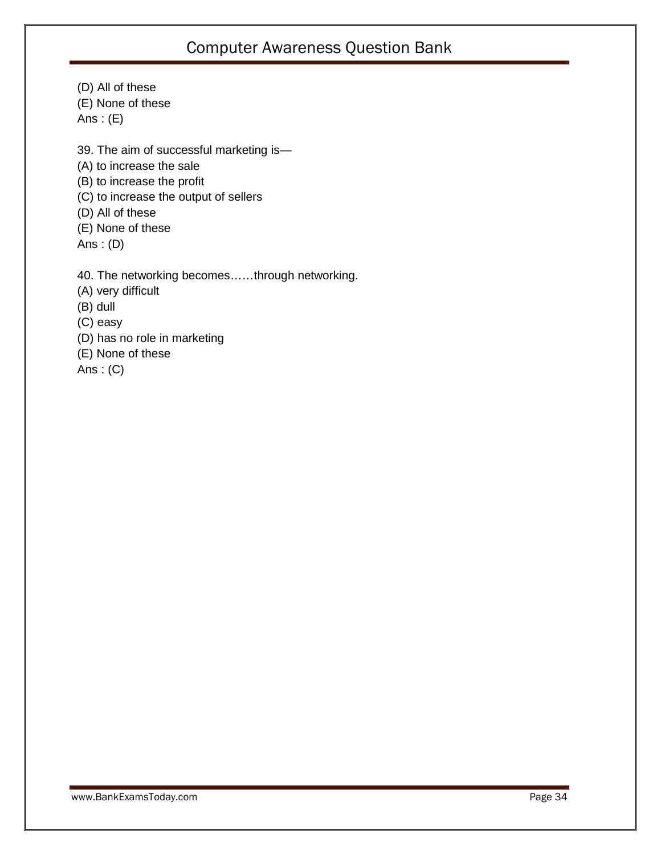(D) All of these (E) None of these

Ans  $:$   $(E)$ 

39. The aim of successful marketing is—

(A) to increase the sale

(B) to increase the profit

(C) to increase the output of sellers

(D) All of these

(E) None of these

Ans : (D)

40. The networking becomes……through networking.

(A) very difficult

(B) dull

(C) easy

(D) has no role in marketing

(E) None of these

Ans  $: (C)$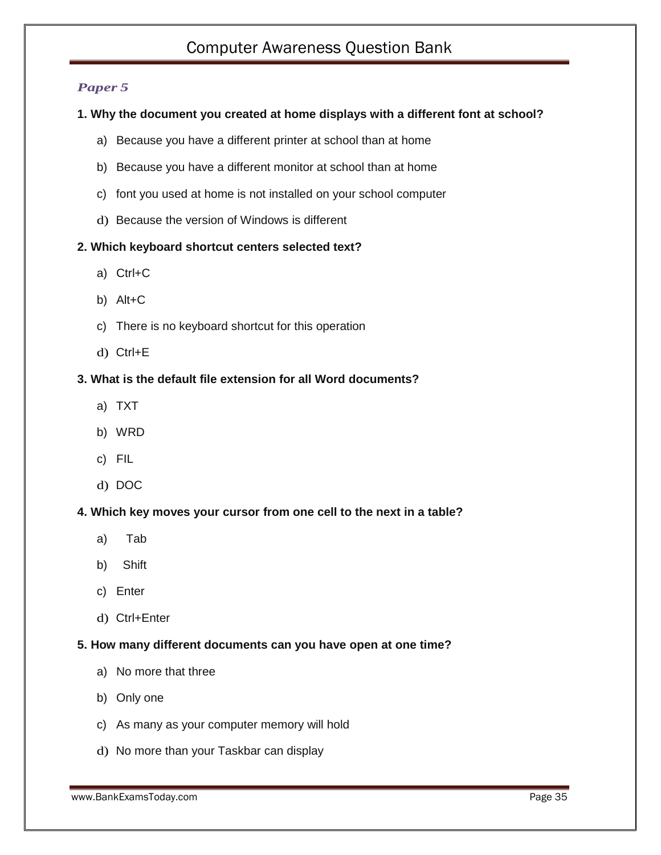#### *Paper 5*

#### **1. Why the document you created at home displays with a different font at school?**

- a) Because you have a different printer at school than at home
- b) Because you have a different monitor at school than at home
- c) font you used at home is not installed on your school computer
- d) Because the version of Windows is different

#### **2. Which keyboard shortcut centers selected text?**

- a) Ctrl+C
- b) Alt+C
- c) There is no keyboard shortcut for this operation
- d) Ctrl+E

#### **3. What is the default file extension forall Word documents?**

- a) TXT
- b) WRD
- c) FIL
- d) DOC

#### **4. Which key moves your cursor from one cell to the next in a table?**

- a) Tab
- b) Shift
- c) Enter
- d) Ctrl+Enter

#### **5. How many different documents can you have open at one time?**

- a) No more that three
- b) Only one
- c) As many as your computer memory will hold
- d) No more than your Taskbar can display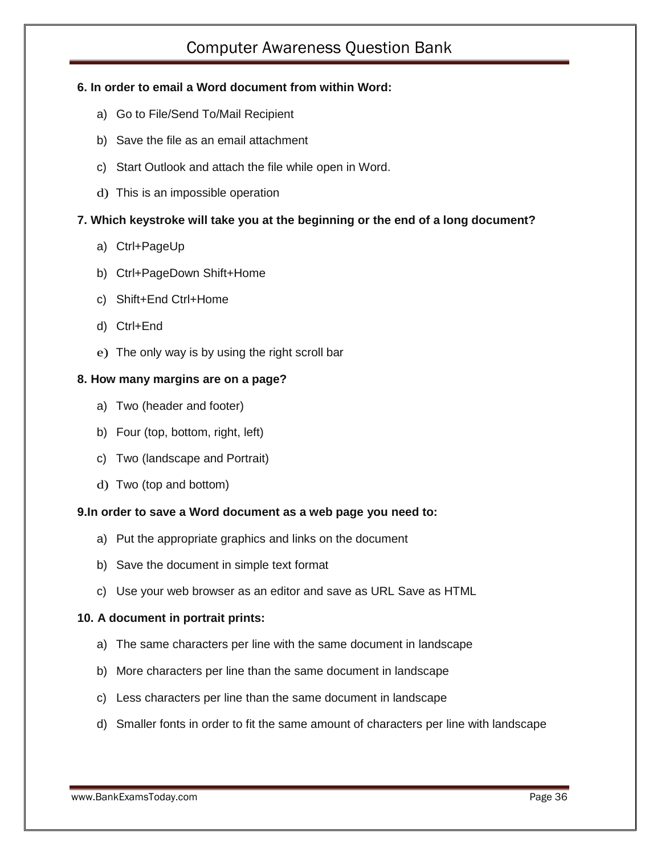#### **6. In order to email a Word document from within Word:**

- a) Go to File/Send To/Mail Recipient
- b) Save the file as an email attachment
- c) Start Outlook and attach the file while open in Word.
- d) This is an impossible operation

#### **7. Which keystroke will take you at the beginning or the end of a long document?**

- a) Ctrl+PageUp
- b) Ctrl+PageDown Shift+Home
- c) Shift+End Ctrl+Home
- d) Ctrl+End
- e) The only way is by using the right scroll bar

#### **8. How many margins are on a page?**

- a) Two (header and footer)
- b) Four (top, bottom, right, left)
- c) Two (landscape and Portrait)
- d) Two (top and bottom)

#### **9.In order to save a Word document as a web page you need to:**

- a) Put the appropriate graphics and links on the document
- b) Save the document in simple text format
- c) Use your web browser as an editor and save as URL Save as HTML

#### **10. A document in portrait prints:**

- a) The same characters per line with the same document in landscape
- b) More characters per line than the same document in landscape
- c) Less characters per line than the same document in landscape
- d) Smaller fonts in order to fit the same amount of characters per line with landscape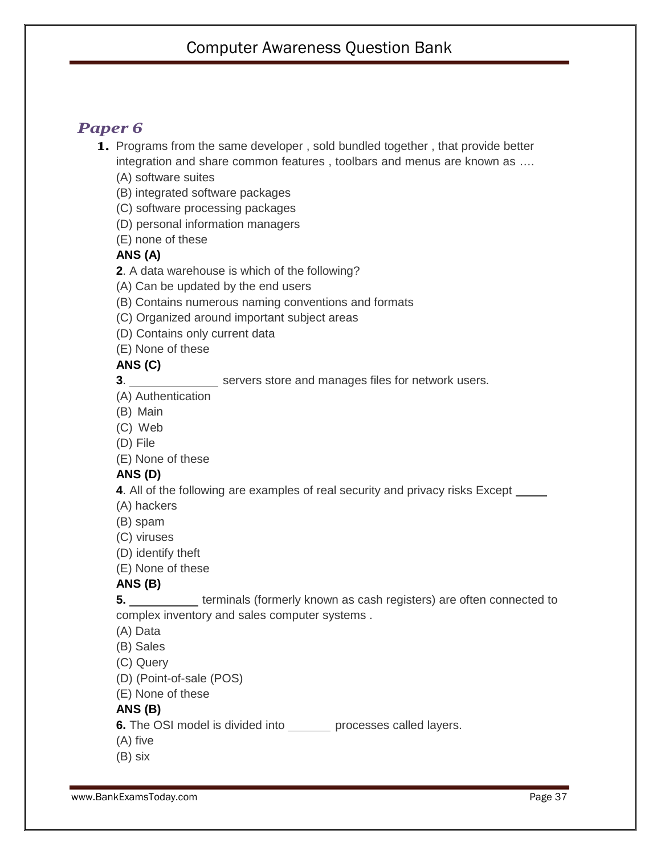## *Paper 6*

- **1.** Programs from the same developer , sold bundled together , that provide better integration and share common features , toolbars and menus are known as ….
	- (A) software suites
	- (B) integrated software packages
	- (C) software processing packages
	- (D) personal information managers
	- (E) none of these

### **ANS (A)**

- **2**. A data warehouse is which of the following?
- (A) Can be updated by the end users
- (B) Contains numerous naming conventions and formats
- (C) Organized around important subject areas
- (D) Contains only current data
- (E) None of these

### **ANS (C)**

**3**. Servers store and manages files for network users.

(A) Authentication

- (B) Main
- (C) Web
- (D) File
- (E) None of these

## **ANS (D)**

**4**. All of the following are examples of real security and privacy risks Except

- (A) hackers
- (B) spam
- (C) viruses
- (D) identify theft

(E) None of these

## **ANS (B)**

**5. he all terminals** (formerly known as cash registers) are often connected to complex inventory and sales computer systems .

- (A) Data
- (B) Sales
- (C) Query
- (D) (Point-of-sale (POS)
- (E) None of these

### **ANS (B)**

- **6.** The OSI model is divided into processes called layers.
- (A) five
- (B) six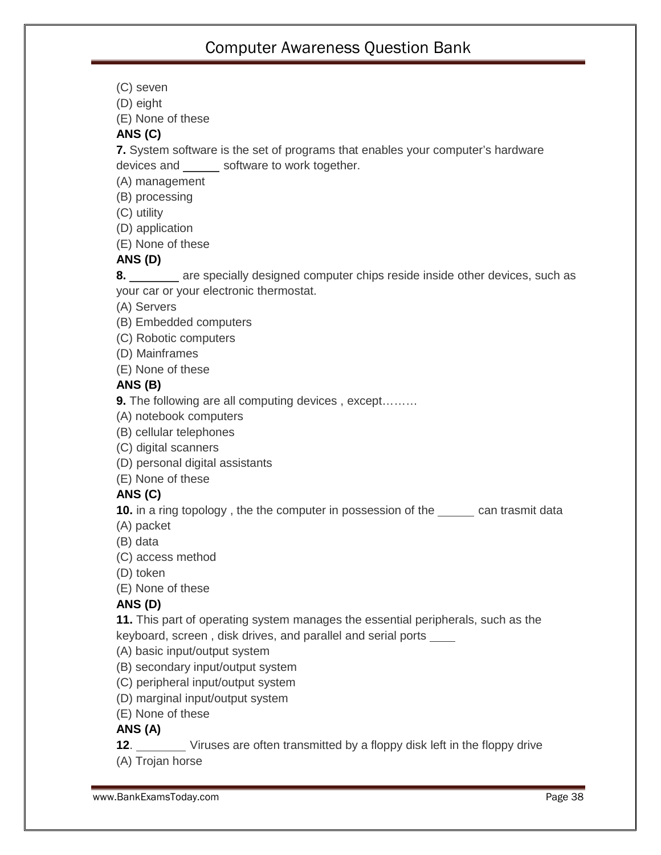- (C) seven
- (D) eight

(E) None of these

## **ANS (C)**

**7.** System software is the set of programs that enables your computer's hardware devices and software to work together.

(A) management

(B) processing

(C) utility

(D) application

(E) None of these

## **ANS (D)**

**8.** are specially designed computer chips reside inside other devices, such as your car or your electronic thermostat.

(A) Servers

(B) Embedded computers

- (C) Robotic computers
- (D) Mainframes
- (E) None of these

## **ANS (B)**

**9.** The following are all computing devices , except………

- (A) notebook computers
- (B) cellular telephones
- (C) digital scanners
- (D) personal digital assistants
- (E) None of these

## **ANS (C)**

**10.** in a ring topology, the the computer in possession of the can trasmit data

- (A) packet
- (B) data

(C) access method

(D) token

(E) None of these

## **ANS (D)**

**11.** This part of operating system manages the essential peripherals, such as the keyboard, screen , disk drives, and parallel and serial ports

(A) basic input/output system

(B) secondary input/output system

- (C) peripheral input/output system
- (D) marginal input/output system

(E) None of these

## **ANS (A)**

**12.** Viruses are often transmitted by a floppy disk left in the floppy drive

(A) Trojan horse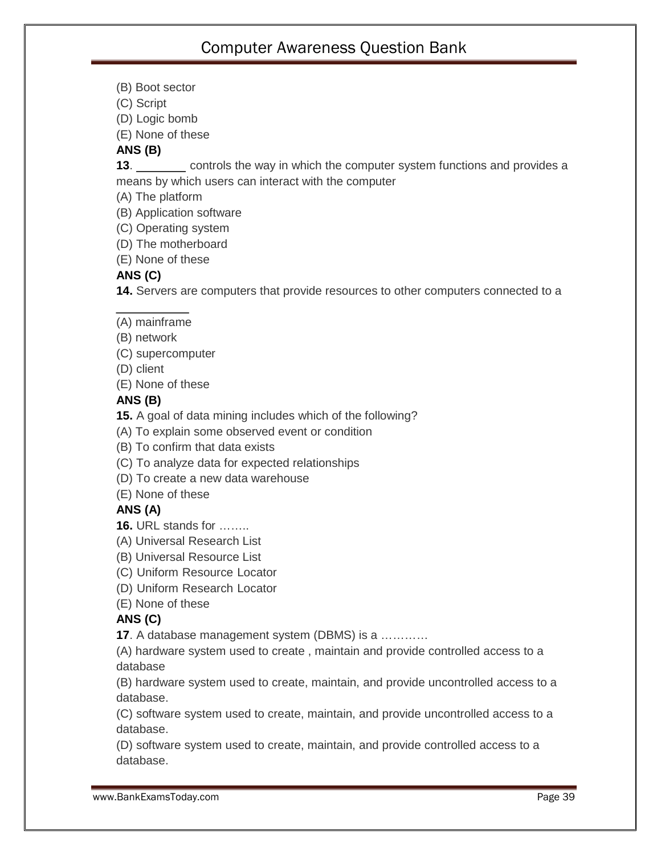- (B) Boot sector
- (C) Script
- (D) Logic bomb
- (E) None of these

### **ANS (B)**

**13**. controls the way in which the computer system functions and provides a means by which users can interact with the computer

(A) The platform

(B) Application software

(C) Operating system

(D) The motherboard

(E) None of these

#### **ANS (C)**

**14.** Servers are computers that provide resources to other computers connected to a

(A) mainframe

- (B) network
- (C) supercomputer
- (D) client

(E) None of these

#### **ANS (B)**

**15.** A goal of data mining includes which of the following?

(A) To explain some observed event or condition

(B) To confirm that data exists

(C) To analyze data for expected relationships

(D) To create a new data warehouse

(E) None of these

#### **ANS (A)**

**16.** URL stands for ……..

(A) Universal Research List

- (B) Universal Resource List
- (C) Uniform Resource Locator
- (D) Uniform Research Locator
- (E) None of these

#### **ANS (C)**

**17**. A database management system (DBMS) is a …………

(A) hardware system used to create , maintain and provide controlled access to a database

(B) hardware system used to create, maintain, and provide uncontrolled access to a database.

(C) software system used to create, maintain, and provide uncontrolled access to a database.

(D) software system used to create, maintain, and provide controlled access to a database.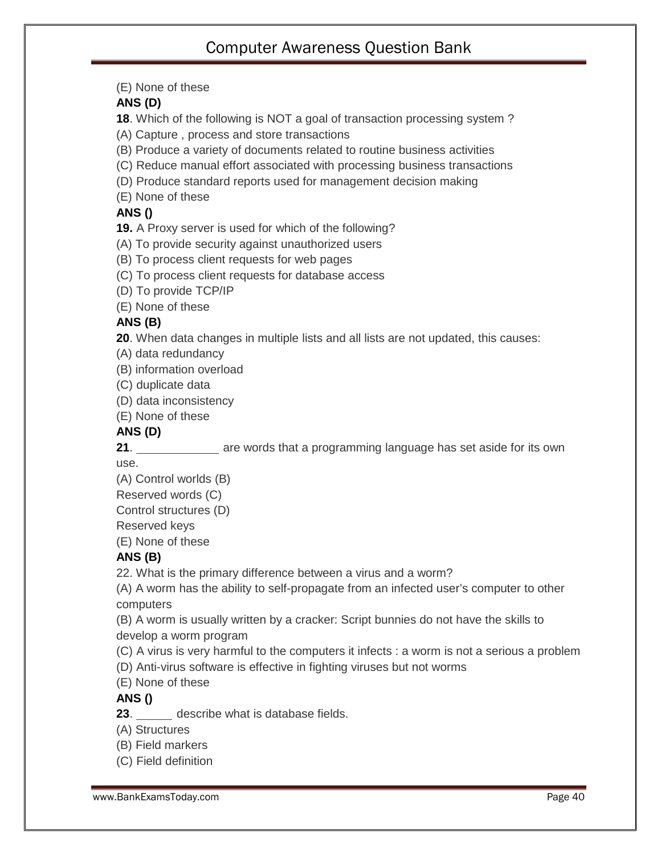(E) None of these

### **ANS (D)**

**18**. Which of the following is NOT a goal of transaction processing system ?

(A) Capture , process and store transactions

(B) Produce a variety of documents related to routine business activities

(C) Reduce manual effort associated with processing business transactions

(D) Produce standard reports used for management decision making

(E) None of these

### **ANS ()**

**19.** A Proxy server is used for which of the following?

(A) To provide security against unauthorized users

(B) To process client requests for web pages

(C) To process client requests for database access

(D) To provide TCP/IP

(E) None of these

### **ANS (B)**

**20**. When data changes in multiple lists and all lists are not updated, this causes:

(A) data redundancy

(B) information overload

(C) duplicate data

(D) data inconsistency

(E) None of these

### **ANS (D)**

**21**. **are words that a programming language has set aside for its own** use.

(A) Control worlds (B)

Reserved words (C)

Control structures (D)

Reserved keys

(E) None of these

## **ANS (B)**

22. What is the primary difference between a virus and a worm?

(A) A worm has the ability to self-propagate from an infected user's computer to other computers

(B) A worm is usually written by a cracker: Script bunnies do not have the skills to develop a worm program

(C) A virus is very harmful to the computers it infects : a worm is not a serious a problem

(D) Anti-virus software is effective in fighting viruses but not worms

(E) None of these

### **ANS ()**

**23**. describe what is database fields.

(A) Structures

(B) Field markers

(C) Field definition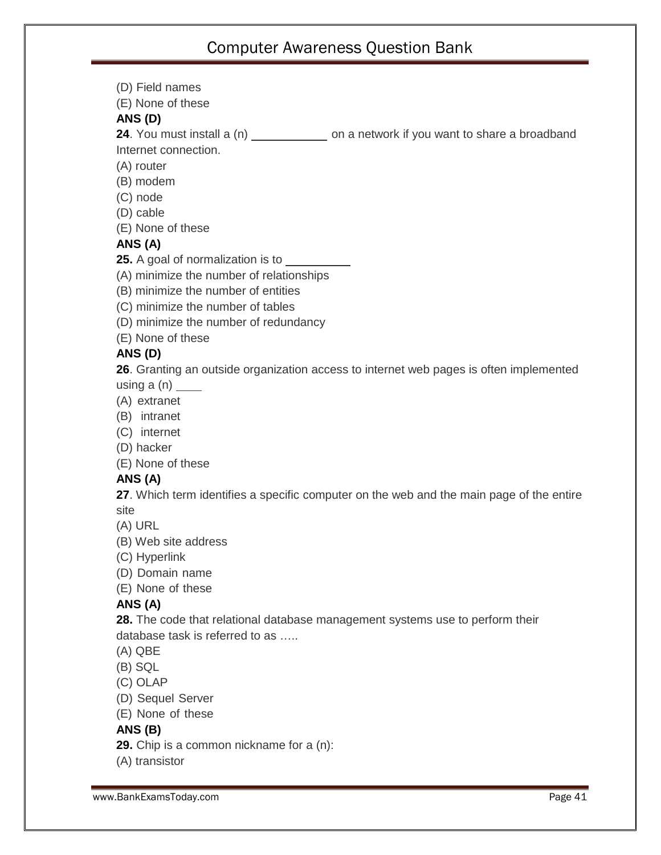(D) Field names

(E) None of these

### **ANS (D)**

**24**. You must install a (n) \_\_\_\_\_\_\_\_\_\_\_\_\_\_ on a network if you want to share a broadband Internet connection.

(A) router

- (B) modem
- (C) node
- (D) cable

(E) None of these

## **ANS (A)**

**25.** A goal of normalization is to \_\_\_\_\_\_\_\_\_\_\_\_

(A) minimize the number of relationships

(B) minimize the number of entities

(C) minimize the number of tables

(D) minimize the number of redundancy

(E) None of these

## **ANS (D)**

**26**. Granting an outside organization access to internet web pages is often implemented using  $a(n)$   $\qquad$ 

- (A) extranet
- (B) intranet
- (C) internet
- (D) hacker

(E) None of these

### **ANS (A)**

**27**. Which term identifies a specific computer on the web and the main page of the entire site

(A) URL

(B) Web site address

(C) Hyperlink

(D) Domain name

(E) None of these

## **ANS (A)**

**28.** The code that relational database management systems use to perform their database task is referred to as …..

- (A) QBE
- (B) SQL
- (C) OLAP
- (D) Sequel Server

(E) None of these

### **ANS (B)**

**29.** Chip is a common nickname for a (n):

(A) transistor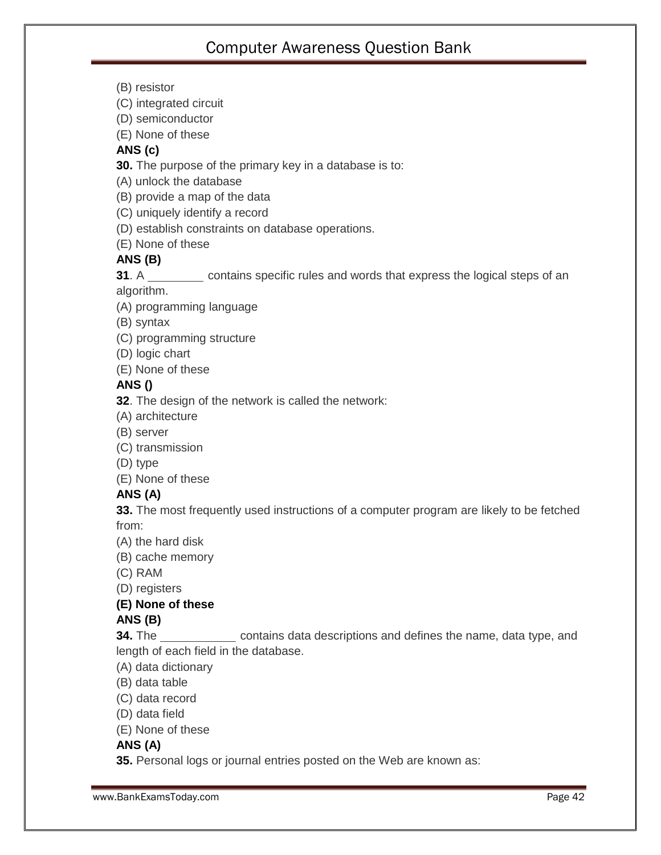(B) resistor

(C) integrated circuit

(D) semiconductor

(E) None of these

### **ANS (c)**

**30.** The purpose of the primary key in a database is to:

(A) unlock the database

(B) provide a map of the data

(C) uniquely identify a record

(D) establish constraints on database operations.

(E) None of these

## **ANS (B)**

**31**. A contains specific rules and words that express the logical steps of an algorithm.

- (A) programming language
- (B) syntax
- (C) programming structure
- (D) logic chart
- (E) None of these

## **ANS ()**

**32**. The design of the network is called the network:

- (A) architecture
- (B) server
- (C) transmission
- (D) type
- (E) None of these

## **ANS (A)**

**33.** The most frequently used instructions of a computer program are likely to be fetched from:

- (A) the hard disk
- (B) cache memory
- (C) RAM
- (D) registers

## **(E) None of these**

### **ANS (B)**

**34.** The contains data descriptions and defines the name, data type, and length of each field in the database.

- (A) data dictionary
- (B) data table
- (C) data record
- (D) data field
- (E) None of these

### **ANS (A)**

**35.** Personal logs or journal entries posted on the Web are known as: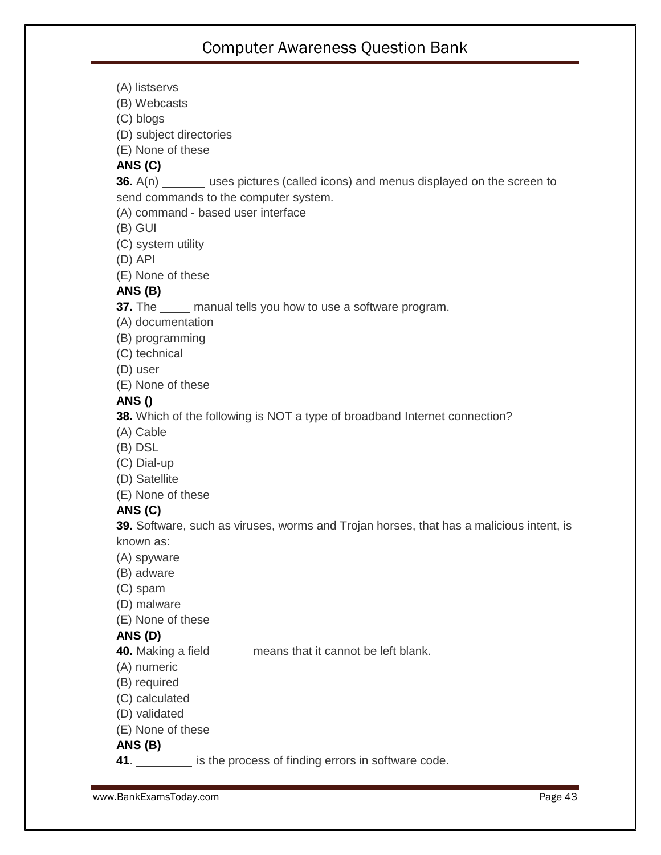- (A) listservs
- (B) Webcasts
- (C) blogs
- (D) subject directories

(E) None of these

## **ANS (C)**

**36.** A(n) \_\_\_\_\_\_ uses pictures (called icons) and menus displayed on the screen to send commands to the computer system.

(A) command - based user interface

- (B) GUI
- (C) system utility
- (D) API

(E) None of these

### **ANS (B)**

**37.** The <u>manual tells you how to use a software program.</u>

(A) documentation

(B) programming

- (C) technical
- (D) user

(E) None of these

### **ANS ()**

**38.** Which of the following is NOT a type of broadband Internet connection?

- (A) Cable
- (B) DSL
- (C) Dial-up
- (D) Satellite

(E) None of these

## **ANS (C)**

**39.** Software, such as viruses, worms and Trojan horses, that has a malicious intent, is known as:

- (A) spyware
- (B) adware
- (C) spam
- (D) malware
- (E) None of these

### **ANS (D)**

**40.** Making a field means that it cannot be left blank.

- (A) numeric
- (B) required
- (C) calculated
- (D) validated
- (E) None of these

## **ANS (B)**

**41**. **is the process of finding errors in software code.**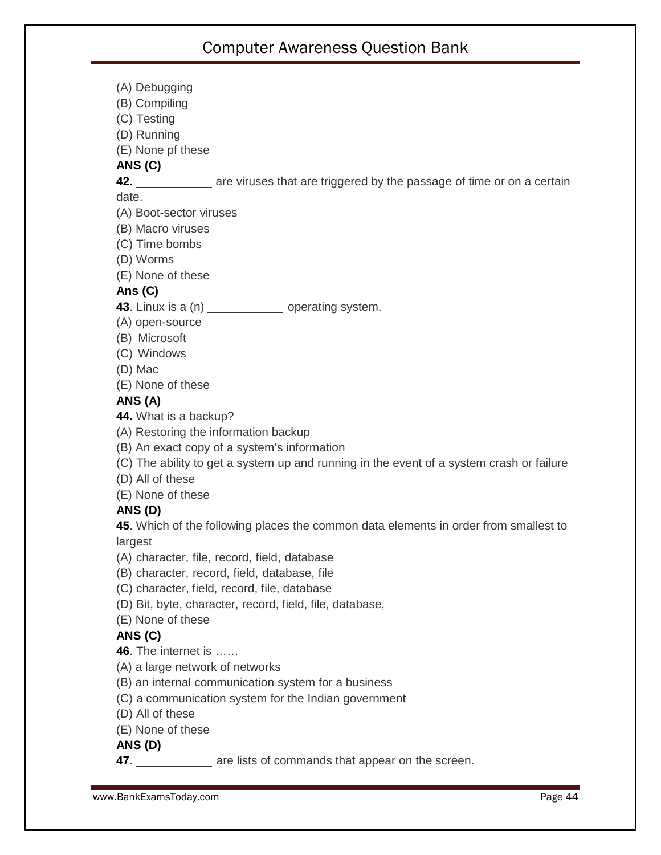- (A) Debugging
- (B) Compiling
- (C) Testing
- (D) Running
- (E) None pf these

### **ANS (C)**

**42. All Allects** are viruses that are triggered by the passage of time or on a certain date.

- (A) Boot-sector viruses
- (B) Macro viruses
- (C) Time bombs
- (D) Worms
- (E) None of these

### **Ans (C)**

- **43**. Linux is a (n) operating system.
- (A) open-source
- (B) Microsoft
- (C) Windows
- (D) Mac
- (E) None of these

### **ANS (A)**

- **44.** What is a backup?
- (A) Restoring the information backup
- (B) An exact copy of a system's information
- (C) The ability to get a system up and running in the event of a system crash or failure
- (D) All of these
- (E) None of these

## **ANS (D)**

**45**. Which of the following places the common data elements in order from smallest to largest

- (A) character, file, record, field, database
- (B) character, record, field, database, file
- (C) character, field, record, file, database
- (D) Bit, byte, character, record, field, file, database,
- (E) None of these

## **ANS (C)**

**46**. The internet is ……

- (A) a large network of networks
- (B) an internal communication system for a business
- (C) a communication system for the Indian government
- (D) All of these
- (E) None of these

## **ANS (D)**

**47**. **are lists of commands that appear on the screen.**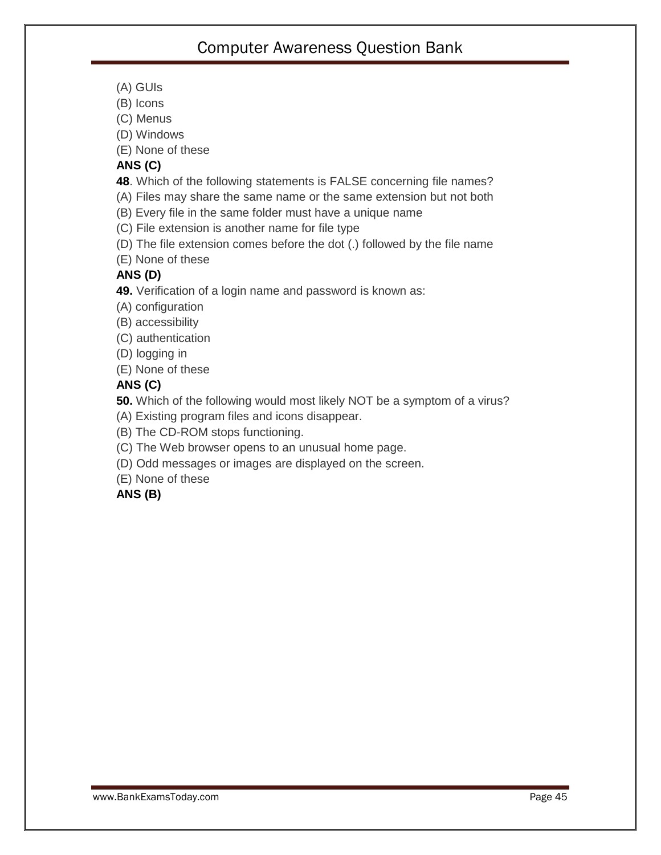- (A) GUIs
- (B) Icons
- (C) Menus
- (D) Windows
- (E) None of these

## **ANS (C)**

- **48**. Which of the following statements is FALSE concerning file names?
- (A) Files may share the same name or the same extension but not both
- (B) Every file in the same folder must have a unique name

(C) File extension is another name for file type

(D) The file extension comes before the dot (.) followed by the file name

(E) None of these

## **ANS (D)**

**49.** Verification of a login name and password is known as:

- (A) configuration
- (B) accessibility
- (C) authentication
- (D) logging in
- (E) None of these

## **ANS (C)**

**50.** Which of the following would most likely NOT be a symptom of a virus?

- (A) Existing program files and icons disappear.
- (B) The CD-ROM stops functioning.
- (C) The Web browser opens to an unusual home page.
- (D) Odd messages or images are displayed on the screen.
- (E) None of these

## **ANS (B)**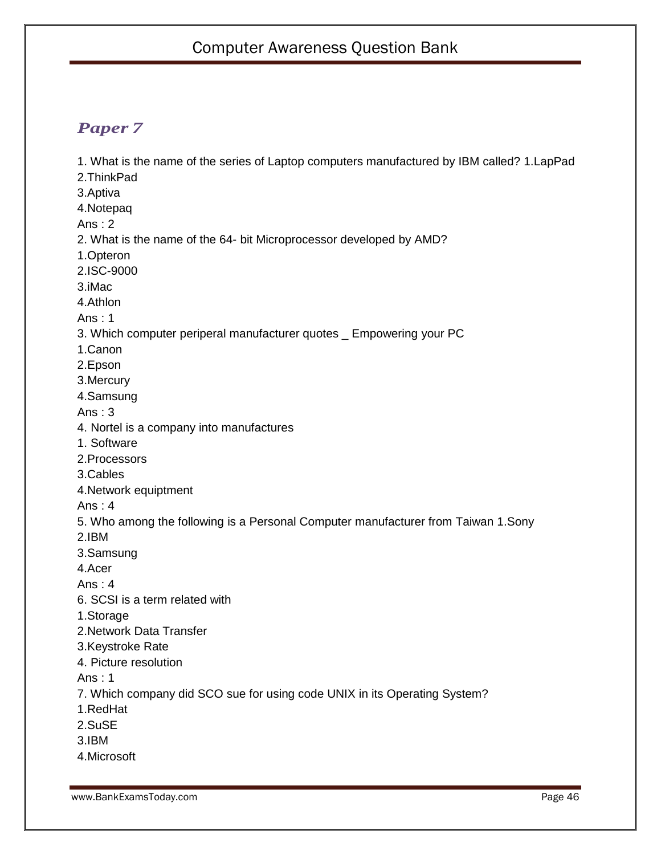## *Paper 7*

1. What is the name of the series of Laptop computers manufactured by IBM called? 1.LapPad 2.ThinkPad 3.Aptiva 4.Notepaq Ans : 2 2. What is the name of the 64- bit Microprocessor developed by AMD? 1.Opteron 2.ISC-9000 3.iMac 4.Athlon Ans : 1 3. Which computer periperal manufacturer quotes \_ Empowering your PC 1.Canon 2.Epson 3.Mercury 4.Samsung Ans : 3 4. Nortel is a company into manufactures 1. Software 2.Processors 3.Cables 4.Network equiptment Ans : 4 5. Who among the following is a Personal Computer manufacturer from Taiwan 1.Sony 2.IBM 3.Samsung 4.Acer Ans:  $4$ 6. SCSI is a term related with 1.Storage 2.Network Data Transfer 3.Keystroke Rate 4. Picture resolution Ans : 1 7. Which company did SCO sue for using code UNIX in its Operating System? 1.RedHat 2.SuSE 3.IBM 4.Microsoft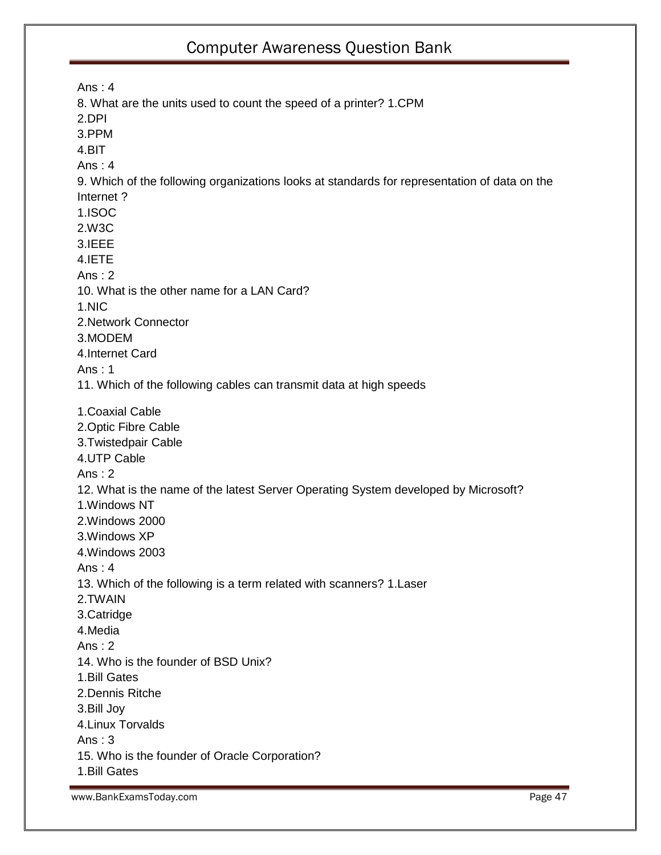Ans : 4 8. What are the units used to count the speed of a printer? 1.CPM 2.DPI 3.PPM 4.BIT Ans : 4 9. Which of the following organizations looks at standards for representation of data on the Internet ? 1.ISOC 2.W3C 3.IEEE 4.IETE Ans : 2 10. What is the other name for a LAN Card? 1.NIC 2.Network Connector 3.MODEM 4.Internet Card Ans : 1 11. Which of the following cables can transmit data at high speeds 1.Coaxial Cable 2.Optic Fibre Cable 3.Twistedpair Cable 4.UTP Cable Ans : 2 12. What is the name of the latest Server Operating System developed by Microsoft? 1.Windows NT 2.Windows 2000 3.Windows XP 4.Windows 2003 Ans : 4 13. Which of the following is a term related with scanners? 1.Laser 2.TWAIN 3.Catridge 4.Media Ans : 2 14. Who is the founder of BSD Unix? 1.Bill Gates 2.Dennis Ritche 3.Bill Joy 4.Linux Torvalds Ans : 3 15. Who is the founder of Oracle Corporation? 1.Bill Gates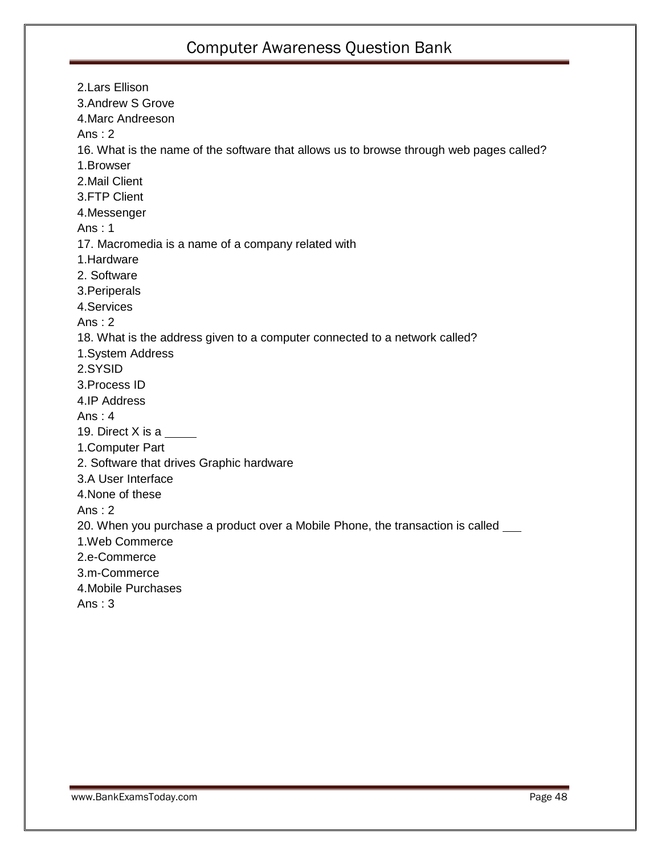2.Lars Ellison 3.Andrew S Grove 4.Marc Andreeson Ans:  $2$ 16. What is the name of the software that allows us to browse through web pages called? 1.Browser 2.Mail Client 3.FTP Client 4.Messenger Ans : 1 17. Macromedia is a name of a company related with 1.Hardware 2. Software 3.Periperals 4.Services Ans : 2 18. What is the address given to a computer connected to a network called? 1.System Address 2.SYSID 3.Process ID 4.IP Address Ans : 4 19. Direct X is a 1.Computer Part 2. Software that drives Graphic hardware 3.A User Interface 4.None of these Ans : 2 20. When you purchase a product over a Mobile Phone, the transaction is called 1.Web Commerce 2.e-Commerce 3.m-Commerce 4.Mobile Purchases Ans : 3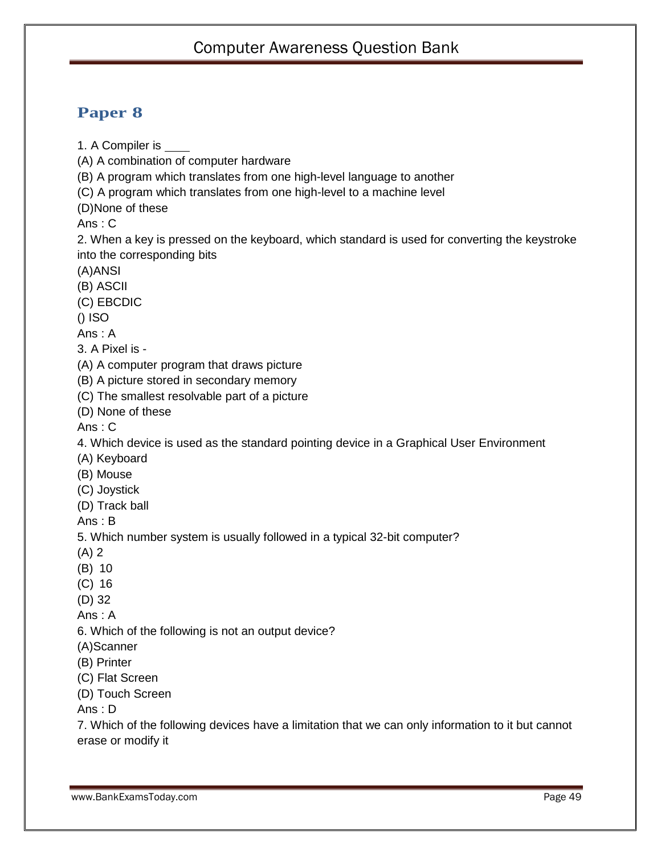## **Paper 8**

1. A Compiler is (A) A combination of computer hardware (B) A program which translates from one high-level language to another (C) A program which translates from one high-level to a machine level (D)None of these Ans : C 2. When a key is pressed on the keyboard, which standard is used for converting the keystroke into the corresponding bits (A)ANSI (B) ASCII (C) EBCDIC () ISO Ans : A 3. A Pixel is - (A) A computer program that draws picture (B) A picture stored in secondary memory (C) The smallest resolvable part of a picture (D) None of these Ans : C 4. Which device is used as the standard pointing device in a Graphical User Environment (A) Keyboard (B) Mouse (C) Joystick (D) Track ball Ans : B 5. Which number system is usually followed in a typical 32-bit computer? (A) 2 (B) 10 (C) 16 (D) 32 Ans : A 6. Which of the following is not an output device? (A)Scanner (B) Printer (C) Flat Screen (D) Touch Screen Ans : D 7. Which of the following devices have a limitation that we can only information to it but cannot erase or modify it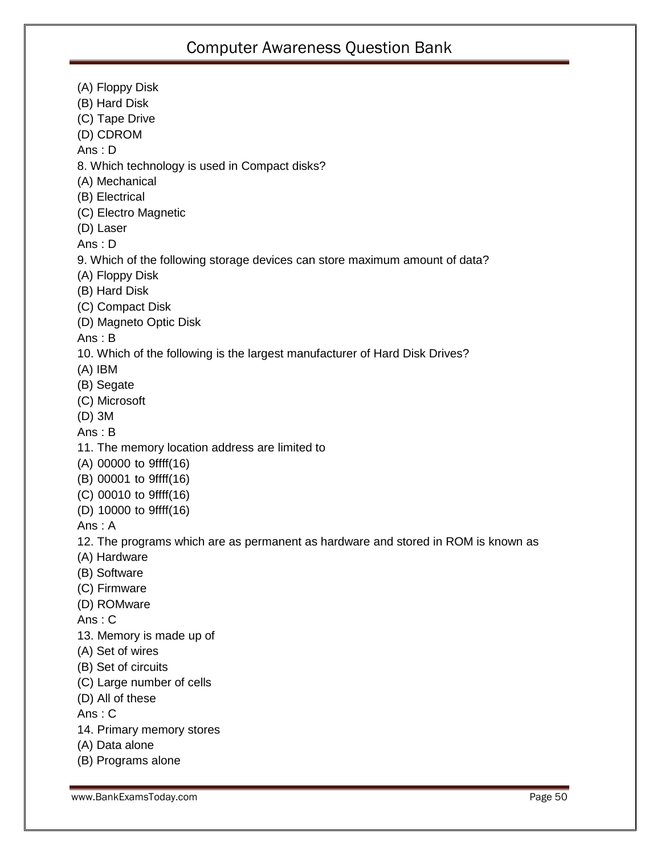- (A) Floppy Disk
- (B) Hard Disk
- (C) Tape Drive
- (D) CDROM

Ans : D

8. Which technology is used in Compact disks?

- (A) Mechanical
- (B) Electrical
- (C) Electro Magnetic

(D) Laser

Ans : D

9. Which of the following storage devices can store maximum amount of data?

- (A) Floppy Disk
- (B) Hard Disk
- (C) Compact Disk
- (D) Magneto Optic Disk

Ans : B

- 10. Which of the following is the largest manufacturer of Hard Disk Drives?
- (A) IBM
- (B) Segate
- (C) Microsoft
- (D) 3M

Ans : B

- 11. The memory location address are limited to
- (A) 00000 to 9ffff(16)
- (B) 00001 to 9ffff(16)
- (C) 00010 to 9ffff(16)
- (D) 10000 to 9ffff(16)

Ans : A

- 12. The programs which are as permanent as hardware and stored in ROM is known as
- (A) Hardware
- (B) Software
- (C) Firmware
- (D) ROMware

Ans : C

- 13. Memory is made up of
- (A) Set of wires
- (B) Set of circuits
- (C) Large number of cells
- (D) All of these

Ans : C

- 14. Primary memory stores
- (A) Data alone
- (B) Programs alone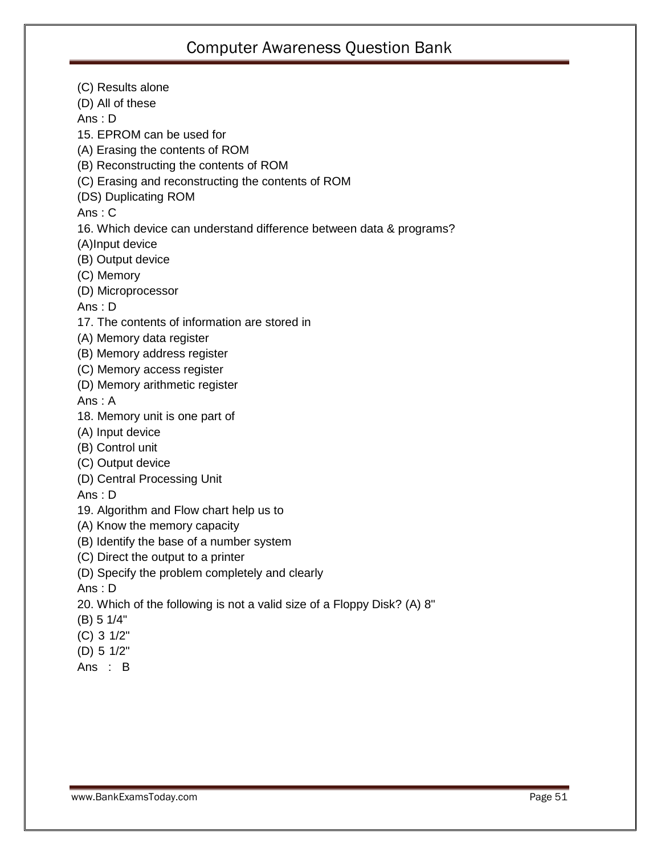(C) Results alone (D) All of these Ans : D 15. EPROM can be used for (A) Erasing the contents of ROM (B) Reconstructing the contents of ROM (C) Erasing and reconstructing the contents of ROM (DS) Duplicating ROM Ans : C 16. Which device can understand difference between data & programs? (A)Input device (B) Output device (C) Memory (D) Microprocessor Ans : D 17. The contents of information are stored in (A) Memory data register (B) Memory address register (C) Memory access register (D) Memory arithmetic register Ans : A 18. Memory unit is one part of (A) Input device (B) Control unit (C) Output device (D) Central Processing Unit Ans : D 19. Algorithm and Flow chart help us to (A) Know the memory capacity (B) Identify the base of a number system (C) Direct the output to a printer (D) Specify the problem completely and clearly Ans : D 20. Which of the following is not a valid size of a Floppy Disk? (A) 8" (B) 5 1/4" (C) 3 1/2" (D) 5 1/2" Ans : B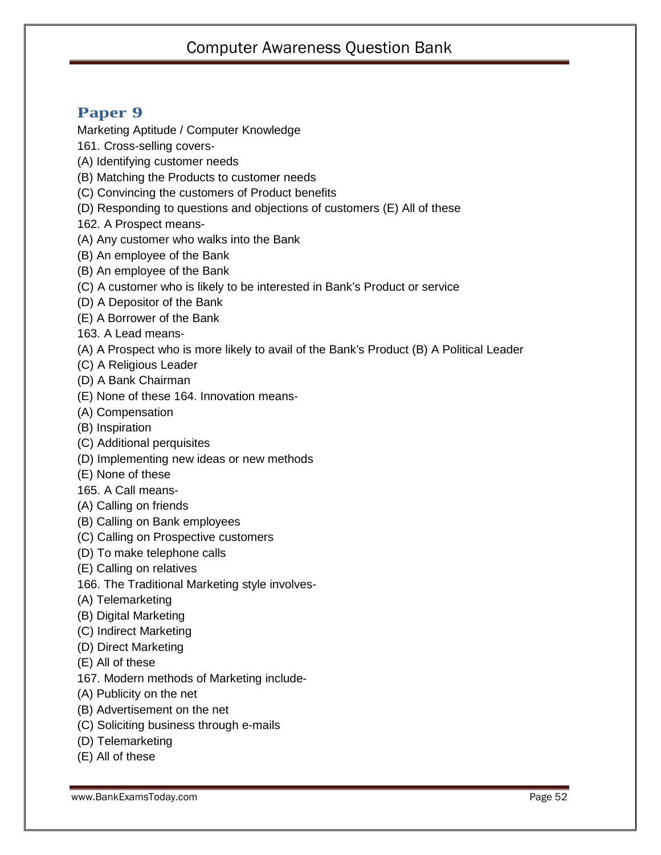## **Paper 9**

Marketing Aptitude / Computer Knowledge

- 161. Cross-selling covers-
- (A) Identifying customer needs
- (B) Matching the Products to customer needs
- (C) Convincing the customers of Product benefits
- (D) Responding to questions and objections of customers (E) All of these
- 162. A Prospect means-
- (A) Any customer who walks into the Bank
- (B) An employee of the Bank
- (B) An employee of the Bank
- (C) A customer who is likely to be interested in Bank's Product or service
- (D) A Depositor of the Bank
- (E) A Borrower of the Bank
- 163. A Lead means-
- (A) A Prospect who is more likely to avail of the Bank's Product (B) A Political Leader
- (C) A Religious Leader
- (D) A Bank Chairman
- (E) None of these 164. Innovation means-
- (A) Compensation
- (B) Inspiration
- (C) Additional perquisites
- (D) Implementing new ideas or new methods
- (E) None of these
- 165. A Call means-
- (A) Calling on friends
- (B) Calling on Bank employees
- (C) Calling on Prospective customers
- (D) To make telephone calls
- (E) Calling on relatives
- 166. The Traditional Marketing style involves-
- (A) Telemarketing
- (B) Digital Marketing
- (C) Indirect Marketing
- (D) Direct Marketing
- (E) All of these
- 167. Modern methods of Marketing include-
- (A) Publicity on the net
- (B) Advertisement on the net
- (C) Soliciting business through e-mails
- (D) Telemarketing
- (E) All of these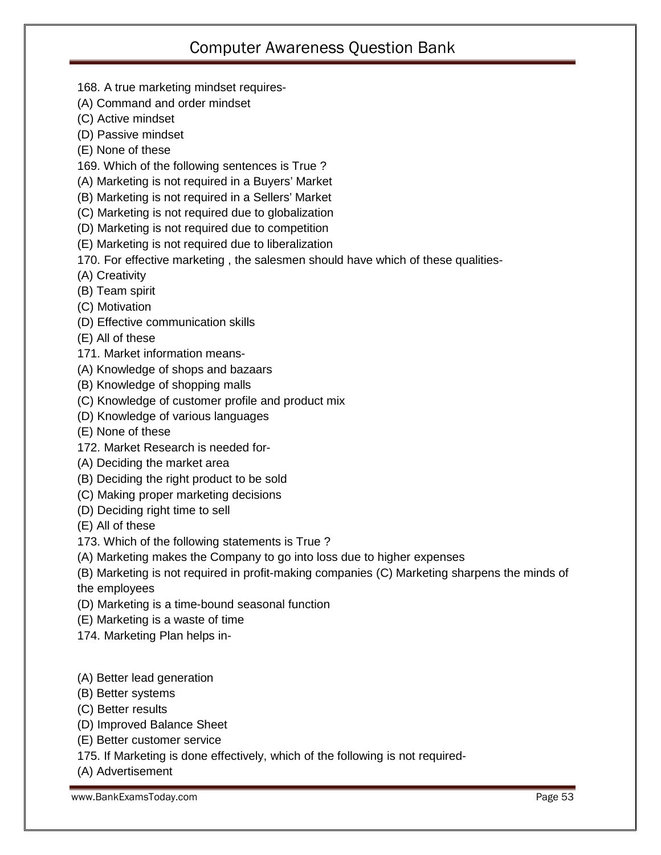- 168. A true marketing mindset requires-
- (A) Command and order mindset
- (C) Active mindset
- (D) Passive mindset
- (E) None of these
- 169. Which of the following sentences is True ?
- (A) Marketing is not required in a Buyers' Market
- (B) Marketing is not required in a Sellers' Market
- (C) Marketing is not required due to globalization
- (D) Marketing is not required due to competition
- (E) Marketing is not required due to liberalization
- 170. For effective marketing , the salesmen should have which of these qualities-
- (A) Creativity
- (B) Team spirit
- (C) Motivation
- (D) Effective communication skills
- (E) All of these
- 171. Market information means-
- (A) Knowledge of shops and bazaars
- (B) Knowledge of shopping malls
- (C) Knowledge of customer profile and product mix
- (D) Knowledge of various languages
- (E) None of these
- 172. Market Research is needed for-
- (A) Deciding the market area
- (B) Deciding the right product to be sold
- (C) Making proper marketing decisions
- (D) Deciding right time to sell
- (E) All of these
- 173. Which of the following statements is True ?
- (A) Marketing makes the Company to go into loss due to higher expenses
- (B) Marketing is not required in profit-making companies (C) Marketing sharpens the minds of
- the employees
- (D) Marketing is a time-bound seasonal function
- (E) Marketing is a waste of time
- 174. Marketing Plan helps in-
- (A) Better lead generation
- (B) Better systems
- (C) Better results
- (D) Improved Balance Sheet
- (E) Better customer service
- 175. If Marketing is done effectively, which of the following is not required-
- (A) Advertisement

www.BankExamsToday.com example and the control of the control of the control of the control of the control of the control of the control of the control of the control of the control of the control of the control of the con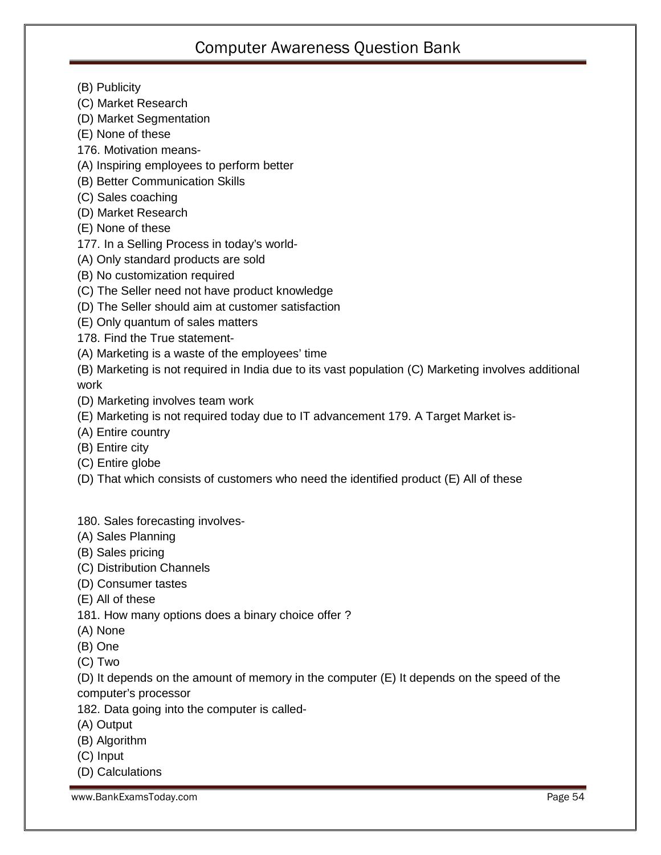- (B) Publicity
- (C) Market Research
- (D) Market Segmentation
- (E) None of these
- 176. Motivation means-
- (A) Inspiring employees to perform better
- (B) Better Communication Skills
- (C) Sales coaching
- (D) Market Research
- (E) None of these
- 177. In a Selling Process in today's world-
- (A) Only standard products are sold
- (B) No customization required
- (C) The Seller need not have product knowledge
- (D) The Seller should aim at customer satisfaction
- (E) Only quantum of sales matters
- 178. Find the True statement-
- (A) Marketing is a waste of the employees' time
- (B) Marketing is not required in India due to its vast population (C) Marketing involves additional work
- (D) Marketing involves team work
- (E) Marketing is not required today due to IT advancement 179. A Target Market is-
- (A) Entire country
- (B) Entire city
- (C) Entire globe
- (D) That which consists of customers who need the identified product (E) All of these

### 180. Sales forecasting involves-

- (A) Sales Planning
- (B) Sales pricing
- (C) Distribution Channels
- (D) Consumer tastes
- (E) All of these
- 181. How many options does a binary choice offer ?
- (A) None
- (B) One
- (C) Two

(D) It depends on the amount of memory in the computer (E) It depends on the speed of the computer's processor

182. Data going into the computer is called-

- (A) Output
- (B) Algorithm
- (C) Input
- (D) Calculations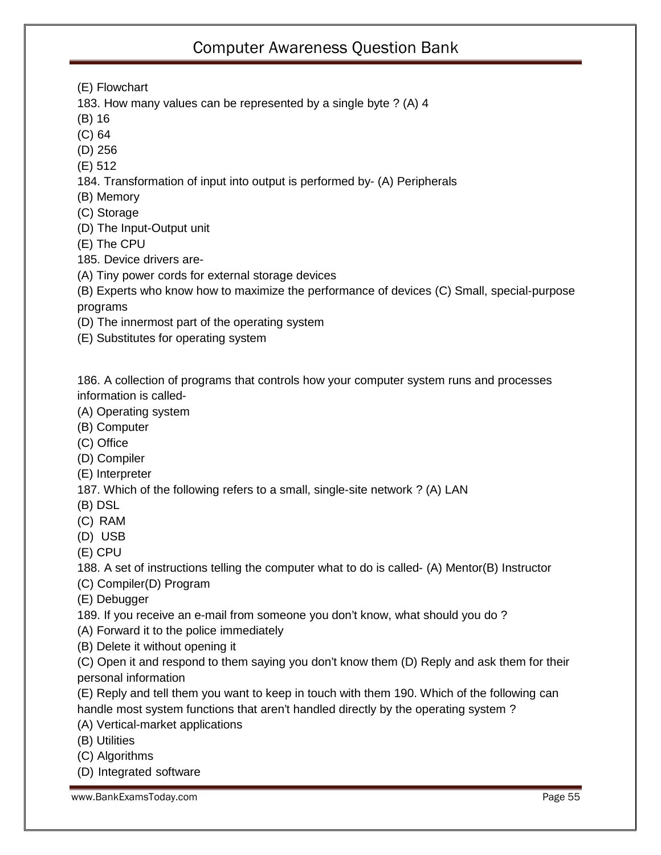(E) Flowchart

183. How many values can be represented by a single byte ? (A) 4

(B) 16

(C) 64

(D) 256

(E) 512

184. Transformation of input into output is performed by-(A) Peripherals

(B) Memory

(C) Storage

(D) The Input-Output unit

(E) The CPU

185. Device drivers are-

(A) Tiny power cords for external storage devices

(B) Experts who know how to maximize the performance of devices (C) Small, special-purpose programs

(D) The innermost part of the operating system

(E) Substitutes for operating system

186. A collection of programs that controls how your computer system runs and processes information is called-

(A) Operating system

(B) Computer

(C) Office

(D) Compiler

(E) Interpreter

187. Which of the following refers to a small, single-site network ? (A) LAN

(B) DSL

(C) RAM

(D) USB

(E) CPU

188. A set of instructions telling the computer what to do is called- (A) Mentor(B) Instructor

(C) Compiler(D) Program

(E) Debugger

189. If you receive an e-mail from someone you don't know, what should you do ?

(A) Forward it to the police immediately

(B) Delete it without opening it

(C) Open it and respond to them saying you don't know them (D) Reply and ask them for their personal information

(E) Reply and tell them you want to keep in touch with them 190. Which of the following can handle most system functions that aren't handled directly by the operating system ?

(A) Vertical-market applications

(B) Utilities

(C) Algorithms

(D) Integrated software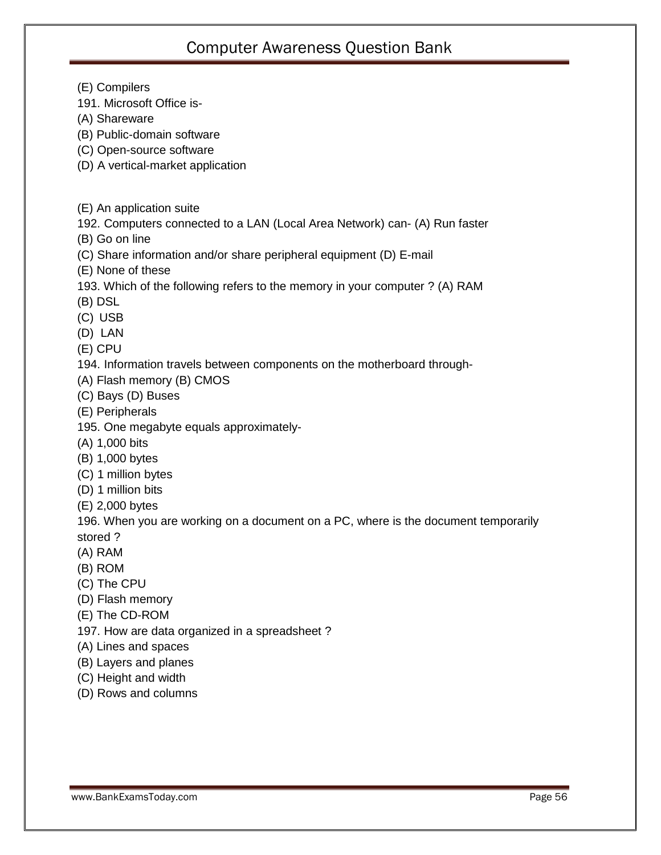(E) Compilers

- 191. Microsoft Office is-
- (A) Shareware
- (B) Public-domain software
- (C) Open-source software
- (D) A vertical-market application
- (E) An application suite
- 192. Computers connected to a LAN (Local Area Network) can- (A) Run faster
- (B) Go on line
- (C) Share information and/or share peripheral equipment (D) E-mail
- (E) None of these
- 193. Which of the following refers to the memory in your computer ? (A) RAM
- (B) DSL
- (C) USB
- (D) LAN
- (E) CPU
- 194. Information travels between components on the motherboard through-
- (A) Flash memory (B) CMOS
- (C) Bays (D) Buses
- (E) Peripherals
- 195. One megabyte equals approximately-
- (A) 1,000 bits
- (B) 1,000 bytes
- (C) 1 million bytes
- (D) 1 million bits
- (E) 2,000 bytes

196. When you are working on a document on a PC, where is the document temporarily stored ?

- (A) RAM
- (B) ROM
- (C) The CPU
- (D) Flash memory
- (E) The CD-ROM
- 197. How are data organized in a spreadsheet ?
- (A) Lines and spaces
- (B) Layers and planes
- (C) Height and width
- (D) Rows and columns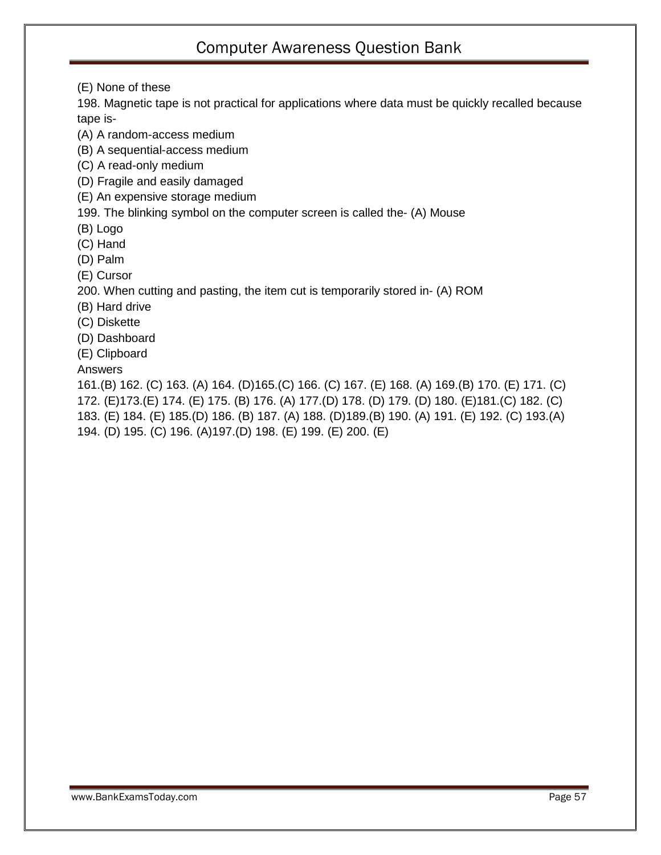(E) None of these

198. Magnetic tape is not practical for applications where data must be quickly recalled because tape is-

(A) A random-access medium

(B) A sequential-access medium

(C) A read-only medium

(D) Fragile and easily damaged

(E) An expensive storage medium

199. The blinking symbol on the computer screen is called the- (A) Mouse

(B) Logo

(C) Hand

(D) Palm

(E) Cursor

200. When cutting and pasting, the item cut is temporarily stored in- (A) ROM

(B) Hard drive

(C) Diskette

(D) Dashboard

(E) Clipboard

Answers

161.(B) 162. (C) 163. (A) 164. (D)165.(C) 166. (C) 167. (E) 168. (A) 169.(B) 170. (E) 171. (C) 172. (E)173.(E) 174. (E) 175. (B) 176. (A) 177.(D) 178. (D) 179. (D) 180. (E)181.(C) 182. (C) 183. (E) 184. (E) 185.(D) 186. (B) 187. (A) 188. (D)189.(B) 190. (A) 191. (E) 192. (C) 193.(A) 194. (D) 195. (C) 196. (A)197.(D) 198. (E) 199. (E) 200. (E)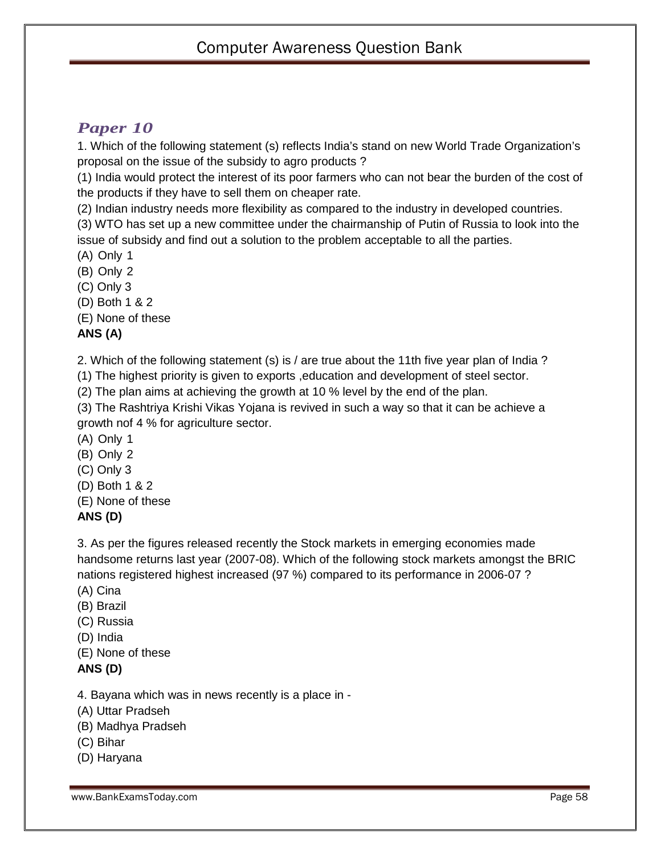## *Paper 10*

1. Which of the following statement (s) reflects India's stand on new World Trade Organization's proposal on the issue of the subsidy to agro products ?

(1) India would protect the interest of its poor farmers who can not bear the burden of the costof the products if they have to sell them on cheaper rate.

(2) Indian industry needs more flexibility as compared to the industry in developed countries.

(3) WTO has setup a new committee under the chairmanship of Putin of Russia to look into the issue of subsidy and find out a solution to the problem acceptable to all the parties.

(A) Only 1

(B) Only 2

(C) Only 3

(D) Both 1 & 2

(E) None of these

## **ANS (A)**

2. Which of the following statement (s) is / are true about the 11th five year plan of India ?

(1) The highest priority is given to exports ,education and development of steel sector.

(2) The plan aims at achieving the growth at 10 % level by the end of the plan.

(3) The Rashtriya Krishi Vikas Yojana is revived in such a way so that it can be achieve a growth nof 4 % for agriculture sector.

(A) Only 1

(B) Only 2

(C) Only 3

(D) Both 1 & 2

(E) None of these

### **ANS (D)**

3. As per the figures released recently the Stock markets in emerging economies made handsome returns last year (2007-08). Which of the following stock markets amongst the BRIC nations registered highest increased (97 %) compared to its performance in 2006-07 ?

- (A) Cina
- (B) Brazil
- (C) Russia
- (D) India
- (E) None of these

### **ANS (D)**

4. Bayana which was in news recently is a place in -

- (A) Uttar Pradseh
- (B) Madhya Pradseh
- (C) Bihar
- (D) Haryana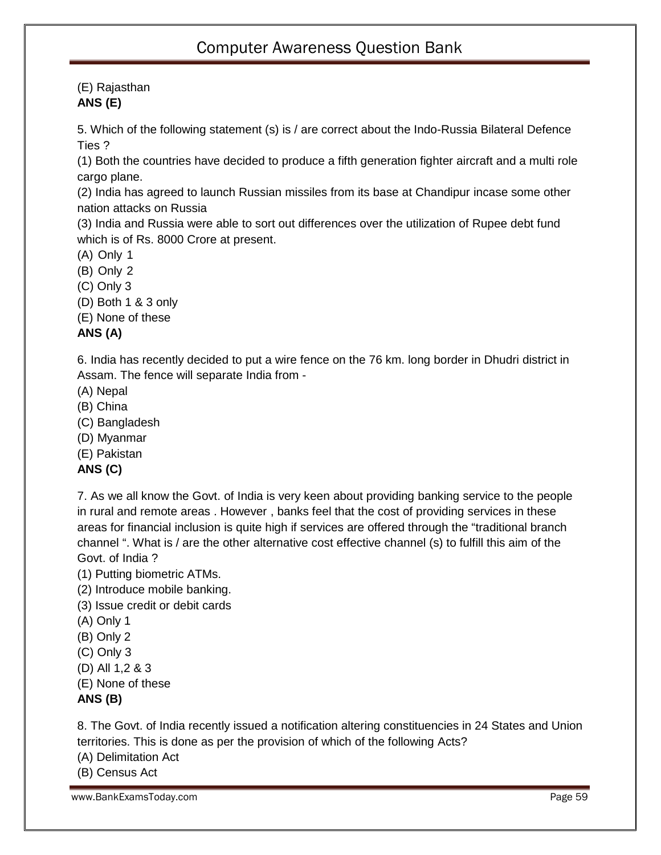(E) Rajasthan **ANS (E)**

5. Which of the following statement (s) is / are correct about the Indo-Russia Bilateral Defence Ties ?

(1) Both the countries have decided to produce a fifth generation fighter aircraft and a multirole cargo plane.

(2) India has agreed to launch Russian missiles from its base at Chandipur incase some other nation attacks on Russia

(3) India and Russia were able to sort out differences over the utilization of Rupee debt fund which is of Rs. 8000 Crore at present.

- (A) Only 1
- (B) Only 2
- (C) Only 3

(D) Both 1 & 3 only

(E) None of these

### **ANS (A)**

6. India has recently decided to put a wire fence on the 76 km. long border in Dhudri district in Assam. The fence will separate India from -

- (A) Nepal
- (B) China
- (C) Bangladesh
- (D) Myanmar
- (E) Pakistan

### **ANS (C)**

7. As we all know the Govt. of India is very keen about providing banking service to the people in rural and remote areas . However , banks feel that the cost of providing services in these areas for financial inclusion is quite high if services are offered through the "traditional branch channel ". What is / are the other alternative cost effective channel (s) to fulfill this aim of the Govt. of India ?

- (1) Putting biometric ATMs.
- (2) Introduce mobile banking.
- (3) Issue credit or debit cards
- (A) Only 1
- (B) Only 2
- (C) Only 3
- (D) All 1,2 & 3
- (E) None of these

### **ANS (B)**

8. The Govt. of India recently issued a notification altering constituencies in 24 States and Union territories. This is done as per the provision of which of the following Acts?

(A) Delimitation Act

(B) Census Act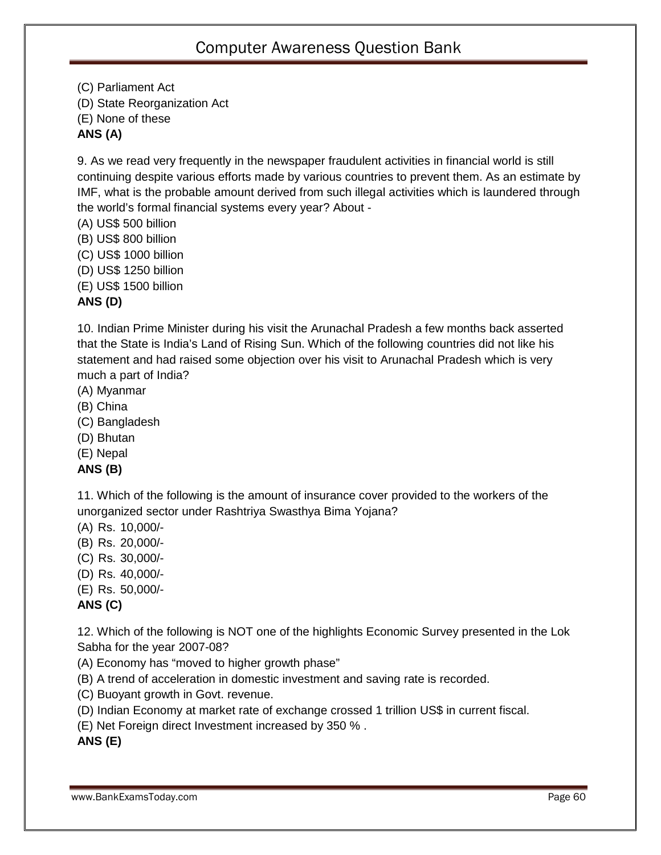(C) Parliament Act

(D) State Reorganization Act

(E) None of these

#### **ANS (A)**

9. As we read very frequently in the newspaper fraudulent activities in financial world is still continuing despite various efforts made by various countries to prevent them. As an estimate by IMF, what is the probable amount derived from such illegal activities which is laundered through the world's formal financial systems every year? About -

- (A) US\$ 500 billion
- (B) US\$ 800 billion
- (C) US\$ 1000 billion
- (D) US\$ 1250 billion

(E) US\$ 1500 billion

### **ANS (D)**

10. Indian Prime Minister during his visit the Arunachal Pradesh a few months back asserted that the State is India's Land of Rising Sun. Which of the following countries did not like his statement and had raised some objection over his visit to Arunachal Pradesh which is very much a part of India?

- (A) Myanmar
- (B) China
- (C) Bangladesh
- (D) Bhutan
- (E) Nepal

**ANS (B)**

11. Which of the following is the amount of insurance cover provided to the workers of the unorganized sector under Rashtriya Swasthya Bima Yojana?

- (A) Rs. 10,000/-
- (B) Rs. 20,000/-
- (C) Rs. 30,000/-
- (D) Rs. 40,000/-
- (E) Rs. 50,000/-

### **ANS (C)**

12. Which of the following is NOT one of the highlights Economic Survey presented in the Lok Sabha for the year 2007-08?

- (A) Economy has "moved to higher growth phase"
- (B) A trend of acceleration in domestic investment and saving rate is recorded.
- (C) Buoyant growth in Govt. revenue.
- (D) Indian Economy at market rate of exchange crossed 1 trillion US\$ in current fiscal.
- (E) Net Foreign direct Investment increased by 350 % .

### **ANS (E)**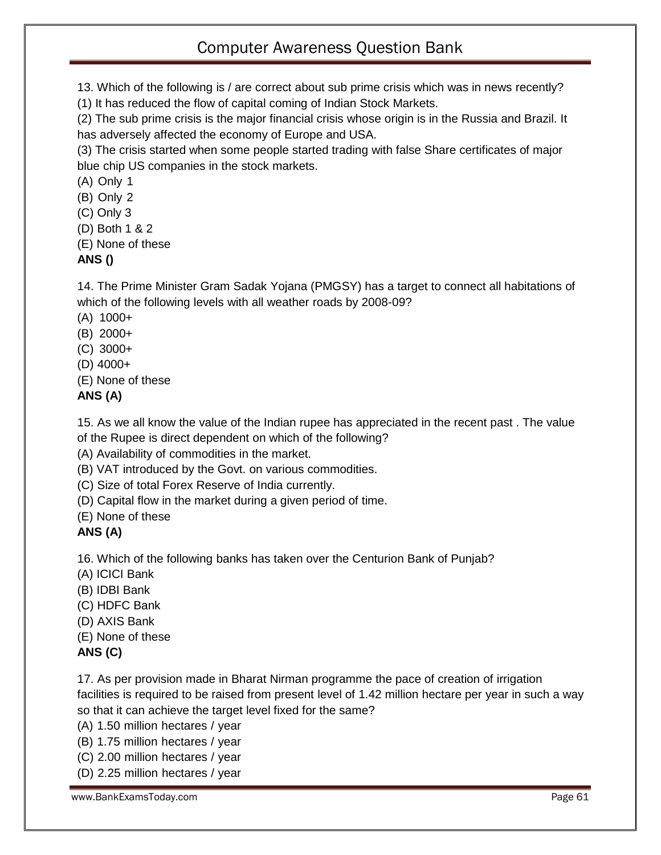13. Which of the following is / are correct about sub prime crisis which was in news recently?

(1) It has reduced the flow of capital coming of Indian Stock Markets.

(2) The sub prime crisis is the major financial crisis whose origin is in the Russia and Brazil. It has adversely affected the economy of Europe and USA.

(3) The crisis started when some people started trading with false Share certificates of major blue chip US companies in the stock markets.

(A) Only 1

(B) Only 2

- (C) Only 3
- (D) Both 1 & 2
- (E) None of these

### **ANS ()**

14. The Prime Minister Gram Sadak Yojana (PMGSY) has a target to connect all habitations of which of the following levels with all weather roads by 2008-09?

- $(A)$  1000+
- (B) 2000+
- (C) 3000+
- (D) 4000+
- (E) None of these

### **ANS (A)**

15. As we all know the value of the Indian rupee has appreciated in the recent past . The value of the Rupee is direct dependent on which of the following?

(A) Availability of commodities in the market.

(B) VAT introduced by the Govt. on various commodities.

(C) Size of total Forex Reserve of India currently.

(D) Capital flow in the market during a given period of time.

(E) None of these

## **ANS (A)**

16. Which of the following banks has taken over the Centurion Bank of Punjab?

(A) ICICI Bank

(B) IDBI Bank

- (C) HDFC Bank
- (D) AXIS Bank
- (E) None of these

### **ANS (C)**

17. As per provision made in Bharat Nirman programme the pace of creation of irrigation facilities is required to be raised from present level of 1.42 million hectare per year in such a way so that it can achieve the target level fixed for the same?

(A) 1.50 million hectares / year

(B) 1.75 million hectares / year

- (C) 2.00 million hectares / year
- (D) 2.25 million hectares / year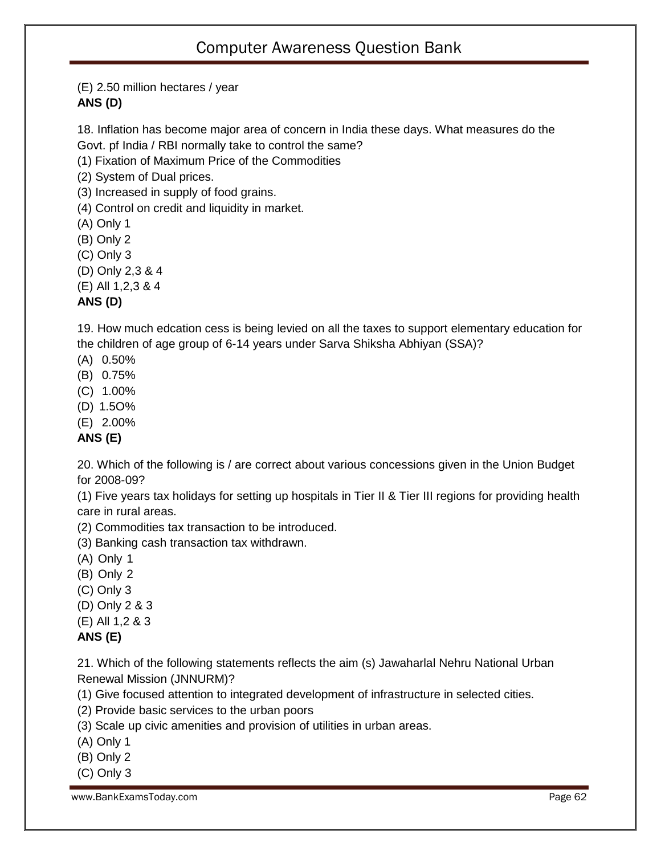(E) 2.50 million hectares / year **ANS (D)**

18. Inflation has become major area of concern in India these days. What measures do the Govt. pf India / RBI normally take to control the same?

(1) Fixation of Maximum Price of the Commodities

(2) System of Dual prices.

(3) Increased in supply of food grains.

(4) Control on credit and liquidity in market.

(A) Only 1

(B) Only 2

- (C) Only 3
- (D) Only 2,3 & 4

(E) All 1,2,3 & 4

### **ANS (D)**

19. How much edcation cess is being levied on all the taxes to support elementary education for the children of age group of 6-14 years under Sarva Shiksha Abhiyan (SSA)?

(A) 0.50%

(B) 0.75%

(C) 1.00%

(D) 1.5O%

(E) 2.00%

### **ANS (E)**

20. Which of the following is / are correct about various concessions given in the Union Budget for 2008-09?

(1) Five years tax holidays for setting up hospitals in Tier II & Tier III regions for providing health care in rural areas.

(2) Commodities tax transaction to be introduced.

(3) Banking cash transaction tax withdrawn.

(A) Only 1

- (B) Only 2
- (C) Only 3
- (D) Only 2 & 3
- (E) All 1,2 & 3

### **ANS (E)**

21. Which of the following statements reflects the aim (s) Jawaharlal Nehru National Urban Renewal Mission (JNNURM)?

(1) Give focused attention to integrated development of infrastructure in selected cities.

(2) Provide basic services to the urban poors

(3) Scale up civic amenities and provision of utilities in urban areas.

(A) Only 1

(B) Only 2

(C) Only 3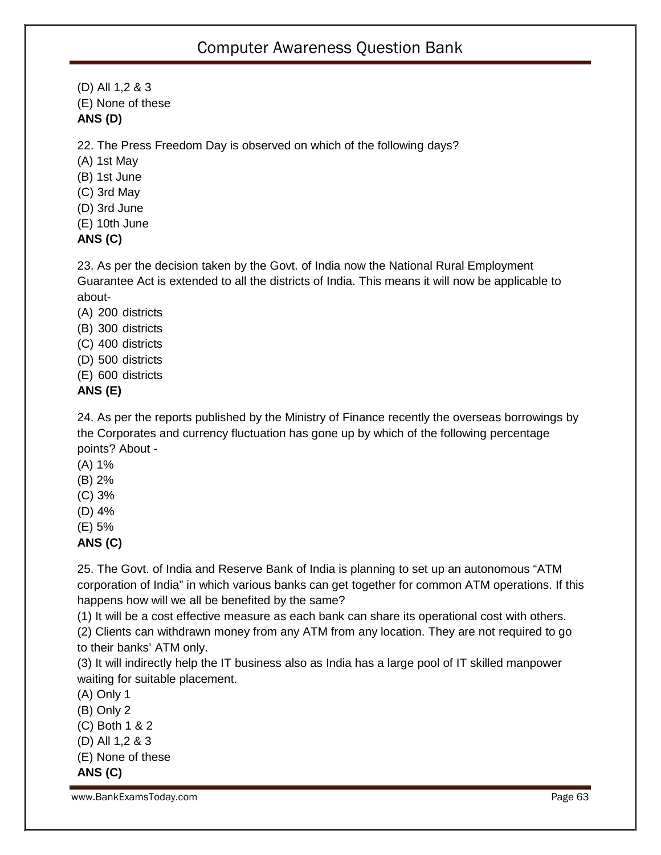(D) All 1,2 & 3 (E) None of these

#### **ANS (D)**

22. The Press Freedom Day is observed on which of the following days?

- (A) 1st May
- (B) 1st June
- (C) 3rd May
- (D) 3rd June
- (E) 10th June

### **ANS (C)**

23. As per the decision taken by the Govt. of India now the National Rural Employment Guarantee Act is extended to all the districts of India. This means it will now be applicable to about-

- (A) 200 districts
- (B) 300 districts
- (C) 400 districts
- (D) 500 districts
- (E) 600 districts

### **ANS (E)**

24. As per the reports published by the Ministry of Finance recently the overseas borrowings by the Corporates and currency fluctuation has gone up by which of the following percentage points? About -

- (A) 1%
- (B) 2%
- (C) 3%
- (D) 4%
- (E) 5%

### **ANS (C)**

25. The Govt. of India and Reserve Bank of India is planning to set up an autonomous "ATM corporation of India" in which various banks can get together for common ATM operations. If this happens how will we all be benefited by the same?

(1) It will be a cost effective measure as each bank can share its operational cost with others.

(2) Clients can withdrawn money from any ATM from any location. They are not required to go to their banks' ATM only.

(3) It will indirectly help the IT business also as India has a large pool of IT skilled manpower waiting for suitable placement.

(A) Only 1

- (B) Only 2
- (C) Both 1 & 2
- (D) All 1,2 & 3
- (E) None of these

#### **ANS (C)**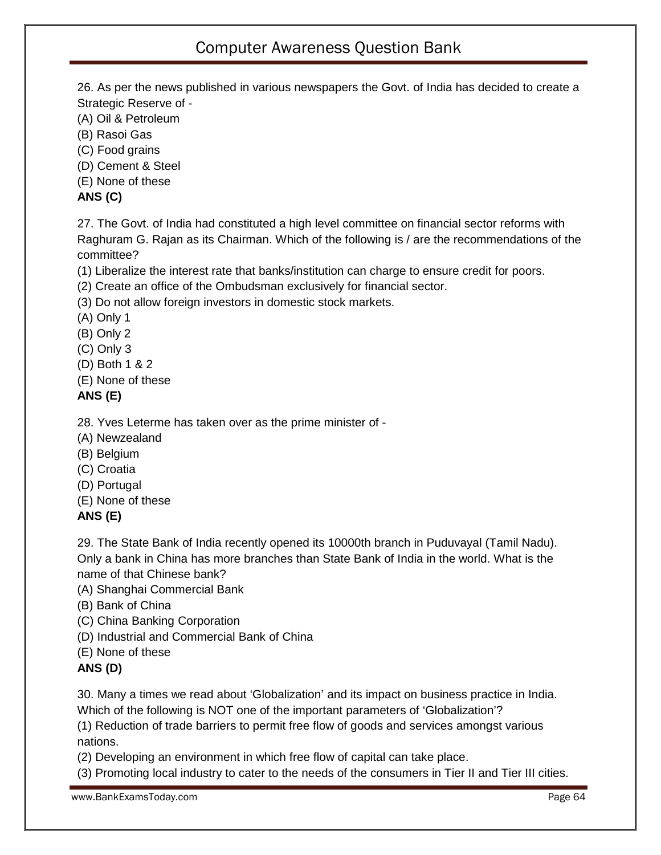26. As per the news published in various newspapers the Govt. of India has decided to create a Strategic Reserve of -

- (A) Oil & Petroleum
- (B) Rasoi Gas
- (C) Food grains
- (D) Cement & Steel
- (E) None of these

### **ANS (C)**

27. The Govt. of India had constituted a high level committee on financial sector reforms with Raghuram G. Rajan as its Chairman. Which of the following is / are the recommendations of the committee?

- (1) Liberalize the interest rate that banks/institution can charge to ensure credit for poors.
- (2) Create an office of the Ombudsman exclusively for financial sector.
- (3) Do not allow foreign investors in domestic stock markets.
- (A) Only 1
- (B) Only 2
- (C) Only 3
- (D) Both 1 & 2
- (E) None of these

### **ANS (E)**

28. Yves Leterme has taken over as the prime minister of -

- (A) Newzealand
- (B) Belgium
- (C) Croatia
- (D) Portugal
- (E) None of these

### **ANS (E)**

29. The State Bank of India recently opened its 10000th branch in Puduvayal (Tamil Nadu). Only a bank in China has more branches than State Bank of India in the world. What is the name of that Chinese bank?

- (A) Shanghai Commercial Bank
- (B) Bank of China
- (C) China Banking Corporation
- (D) Industrial and Commercial Bank of China
- (E) None of these

### **ANS (D)**

30. Many a times we read about 'Globalization' and its impact on business practice in India. Which of the following is NOT one of the important parameters of 'Globalization'?

(1) Reduction of trade barriers to permit free flow of goods and services amongst various nations.

(2) Developing an environment in which free flow of capital can take place.

(3) Promoting local industry to cater to the needs of the consumers in Tier II and Tier III cities.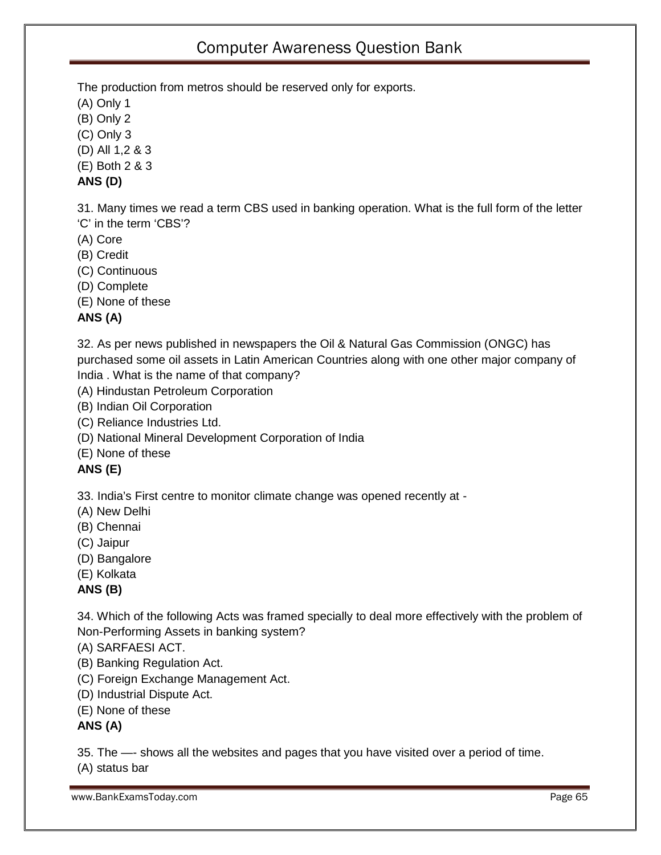The production from metros should be reserved only for exports.

- (A) Only 1
- (B) Only 2
- (C) Only 3
- (D) All 1,2 & 3
- (E) Both 2 & 3
- **ANS (D)**

31. Many times we read a term CBS used in banking operation. What is the full form of the letter 'C' in the term 'CBS'?

- (A) Core
- (B) Credit
- (C) Continuous
- (D) Complete
- (E) None of these

### **ANS (A)**

32. As per news published in newspapers the Oil & Natural Gas Commission (ONGC) has purchased some oil assets in Latin American Countries along with one other major company of India . What is the name of that company?

- (A) Hindustan Petroleum Corporation
- (B) Indian Oil Corporation
- (C) Reliance Industries Ltd.
- (D) National Mineral Development Corporation of India
- (E) None of these

### **ANS (E)**

33. India's First centre to monitor climate change was opened recently at -

- (A) New Delhi
- (B) Chennai
- (C) Jaipur
- (D) Bangalore
- (E) Kolkata

### **ANS (B)**

34. Which of the following Acts was framed specially to deal more effectively with the problem of Non-Performing Assets in banking system?

(A) SARFAESI ACT.

- (B) Banking Regulation Act.
- (C) Foreign Exchange Management Act.
- (D) Industrial Dispute Act.(E) None of these
- 

### **ANS (A)**

35. The —- shows all the websites and pages that you have visited over a period of time.

(A) status bar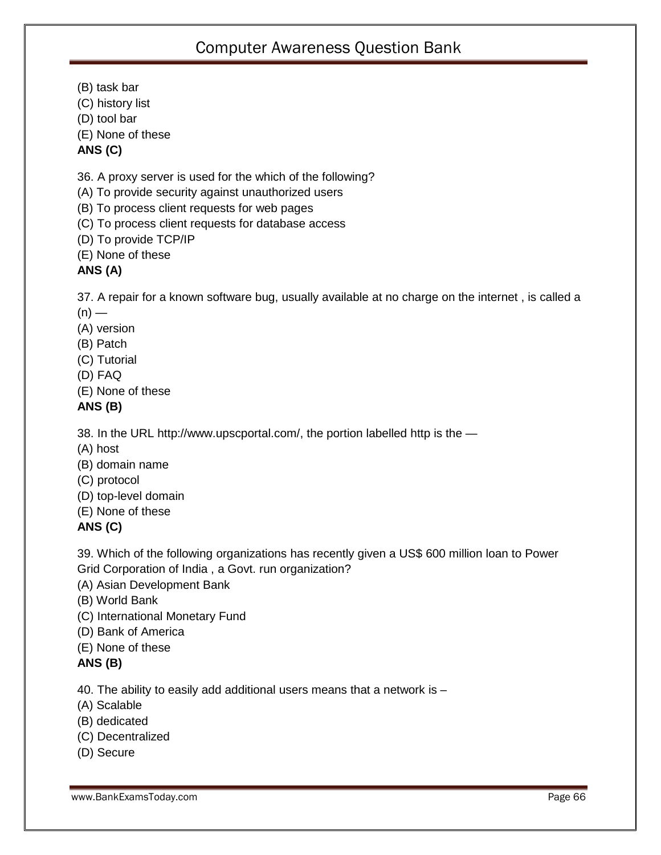- (B) task bar
- (C) history list
- (D) tool bar
- (E) None of these

## **ANS (C)**

36. A proxy server is used for the which of the following?

- (A) To provide security against unauthorized users
- (B) To process client requests for web pages
- (C) To process client requests for database access
- (D) To provide TCP/IP
- (E) None of these

## **ANS (A)**

37. A repair for a known software bug, usually available at no charge on the internet , is called a

- $(n)$  —
- (A) version
- (B) Patch
- (C) Tutorial
- (D) FAQ
- (E) None of these

## **ANS (B)**

38. In the URL http://www.upscportal.com/, the portion labelled http is the —

- (A) host
- (B) domain name
- (C) protocol
- (D) top-level domain
- (E) None of these

## **ANS (C)**

39. Which of the following organizations has recently given a US\$ 600 million loan to Power Grid Corporation of India , a Govt. run organization?

- (A) Asian Development Bank
- (B) World Bank
- (C) International Monetary Fund
- (D) Bank of America
- (E) None of these
- **ANS (B)**

40. The ability to easily add additional users means that a network is –

- (A) Scalable
- (B) dedicated
- (C) Decentralized
- (D) Secure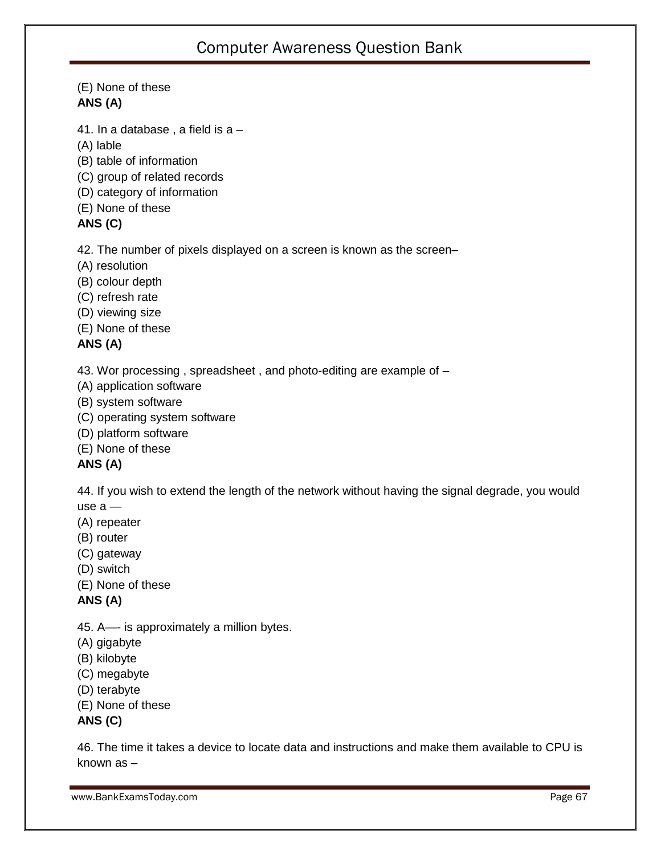(E) None of these **ANS (A)**

41. In a database , a field is a –

(A) lable

(B) table of information

(C) group of related records

(D) category of information

(E) None of these

**ANS (C)**

42. The number of pixels displayed on a screen is known as the screen–

(A) resolution

(B) colour depth

(C) refresh rate

(D) viewing size

(E) None of these

**ANS (A)**

43. Wor processing , spreadsheet , and photo-editing are example of –

(A) application software

(B) system software

(C) operating system software

(D) platform software

(E) None of these

#### **ANS (A)**

44. If you wish to extend the length of the network without having the signal degrade, you would

use a —

(A) repeater

(B) router

(C) gateway

(D) switch

(E) None of these

**ANS (A)**

45. A—- is approximately a million bytes.

(A) gigabyte

(B) kilobyte

(C) megabyte

(D) terabyte

(E) None of these

**ANS (C)**

46. The time it takes a device to locate data and instructions and make them available to CPU is known as –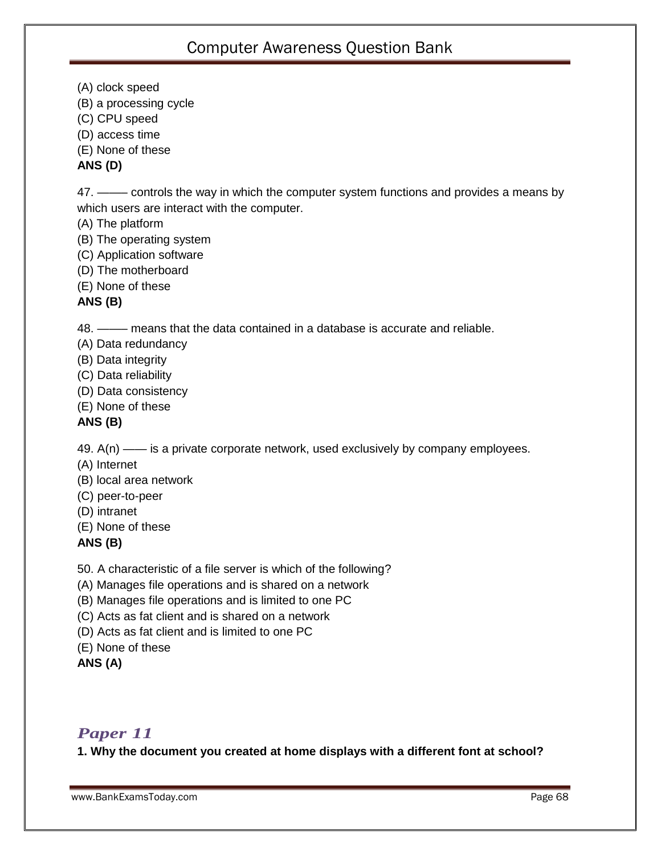- (A) clock speed
- (B) a processing cycle
- (C) CPU speed
- (D) access time

(E) None of these

### **ANS (D)**

47. ——– controls the way in which the computer system functions and provides a means by which users are interact with the computer.

- (A) The platform
- (B) The operating system
- (C) Application software
- (D) The motherboard
- (E) None of these

### **ANS (B)**

48. ——– means that the data contained in a database is accurate and reliable.

- (A) Data redundancy
- (B) Data integrity
- (C) Data reliability
- (D) Data consistency
- (E) None of these

#### **ANS (B)**

49. A(n) —— is a private corporate network, used exclusively by company employees.

- (A) Internet
- (B) local area network
- (C) peer-to-peer
- (D) intranet
- (E) None of these

### **ANS (B)**

- 50. A characteristic of a file server is which of the following?
- (A) Manages file operations and is shared on a network
- (B) Manages file operations and is limited to one PC
- (C) Acts as fat client and is shared on a network
- (D) Acts as fat client and is limited to one PC
- (E) None of these

#### **ANS (A)**

## *Paper 11*

**1. Why the document you created at home displays with a different font at school?**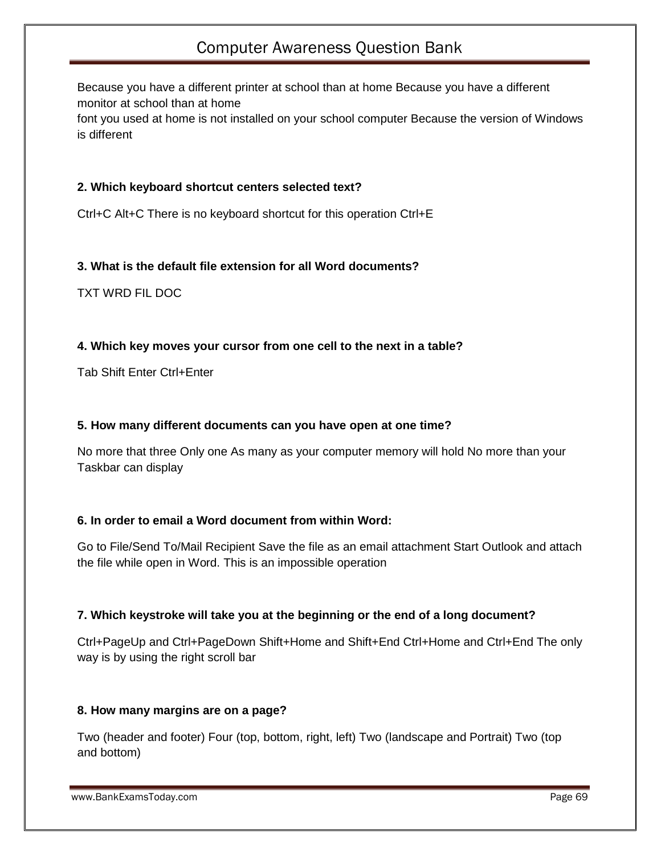Because you have a different printer at school than at home Because you have a different monitor at school than at home

font you used at home is not installed on your school computer Because the version of Windows is different

#### **2. Which keyboard shortcut centers selected text?**

Ctrl+C Alt+C There is no keyboard shortcut for this operation Ctrl+E

#### **3. What is the default file extension forall Word documents?**

TXT WRD FIL DOC

#### **4. Which key moves your cursor from one cell to the next in a table?**

Tab Shift Enter Ctrl+Enter

#### **5. How many different documents can you have open at one time?**

No more that three Only one As many as your computer memory will hold No more than your Taskbar can display

#### **6. In order to email a Word document from within Word:**

Go to File/Send To/Mail Recipient Save the file as an email attachment Start Outlook and attach the file while open in Word. This is an impossible operation

#### **7. Which keystroke will take you at the beginning or the end of a long document?**

Ctrl+PageUp and Ctrl+PageDown Shift+Home and Shift+End Ctrl+Home and Ctrl+End The only way is by using the right scroll bar

#### **8. How many margins are on a page?**

Two (header and footer) Four (top, bottom, right, left) Two (landscape and Portrait) Two (top and bottom)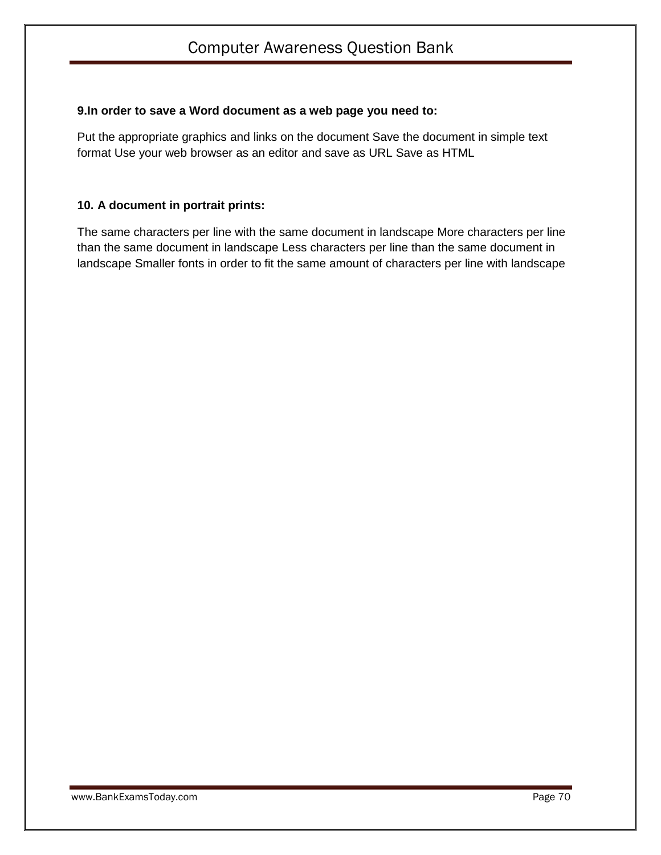#### **9.In order to save a Word document as a web page you need to:**

Put the appropriate graphics and links on the document Save the document in simple text format Use your web browser as an editor and save as URL Save as HTML

#### **10. A document in portrait prints:**

The same characters per line with the same document in landscape More characters per line than the same document in landscape Less characters per line than the same document in landscape Smaller fonts in order to fit the same amount of characters per line with landscape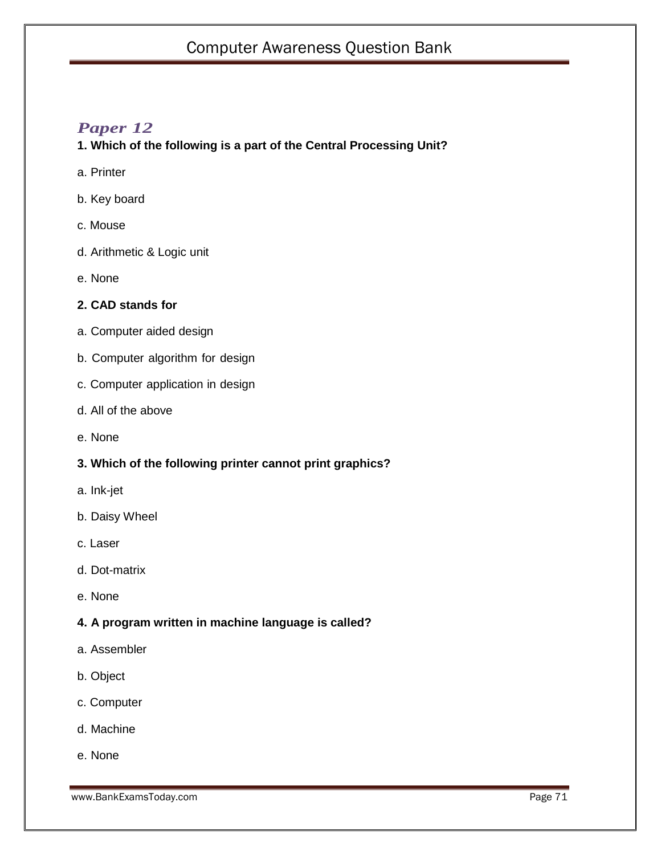## *Paper 12*

**1. Which of the following is a part of the Central Processing Unit?**

- a. Printer
- b. Key board
- c. Mouse
- d. Arithmetic & Logic unit
- e. None

### **2. CAD stands for**

- a. Computer aided design
- b. Computer algorithm for design
- c. Computer application in design
- d. All of the above
- e. None

### **3. Which of the following printer cannot print graphics?**

- a. Ink-jet
- b. Daisy Wheel
- c. Laser
- d. Dot-matrix
- e. None

### **4. A program written in machine language is called?**

- a. Assembler
- b. Object
- c. Computer
- d. Machine
- e. None

www.BankExamsToday.com example and the state of the state of the Page 71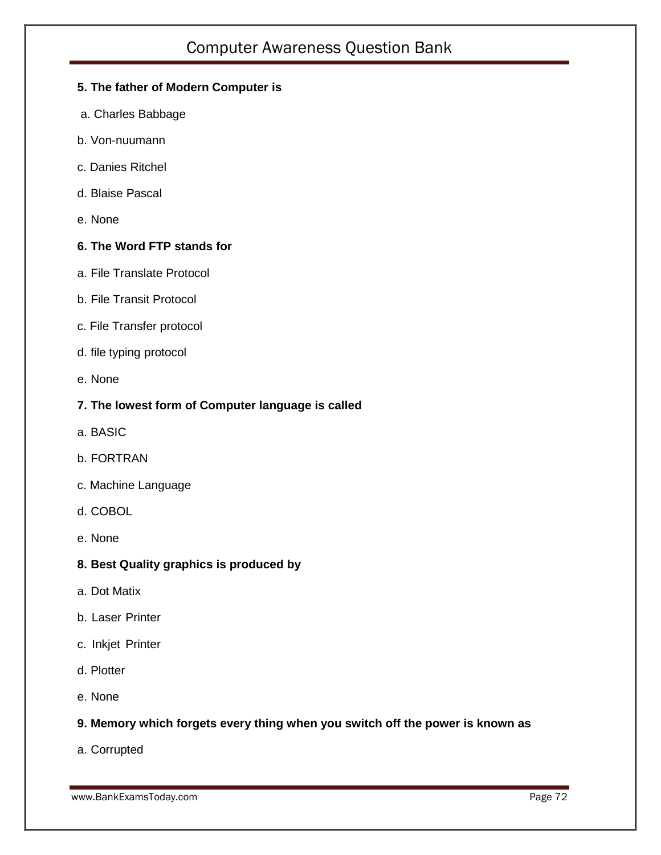#### **5. The father of Modern Computer is**

- a. Charles Babbage
- b. Von-nuumann
- c. Danies Ritchel
- d. Blaise Pascal
- e. None

#### **6. The Word FTP stands for**

- a. File Translate Protocol
- b. File Transit Protocol
- c. File Transfer protocol
- d. file typing protocol
- e. None

#### **7. The lowest form of Computer language is called**

- a. BASIC
- b. FORTRAN
- c. Machine Language
- d. COBOL
- e. None

#### **8. Best Quality graphics is produced by**

- a. Dot Matix
- b. Laser Printer
- c. Inkjet Printer
- d. Plotter
- e. None

#### **9. Memory which forgets every thing when you switch off the power is known as**

a. Corrupted

www.BankExamsToday.com example and the control of the control of the control of the Page 72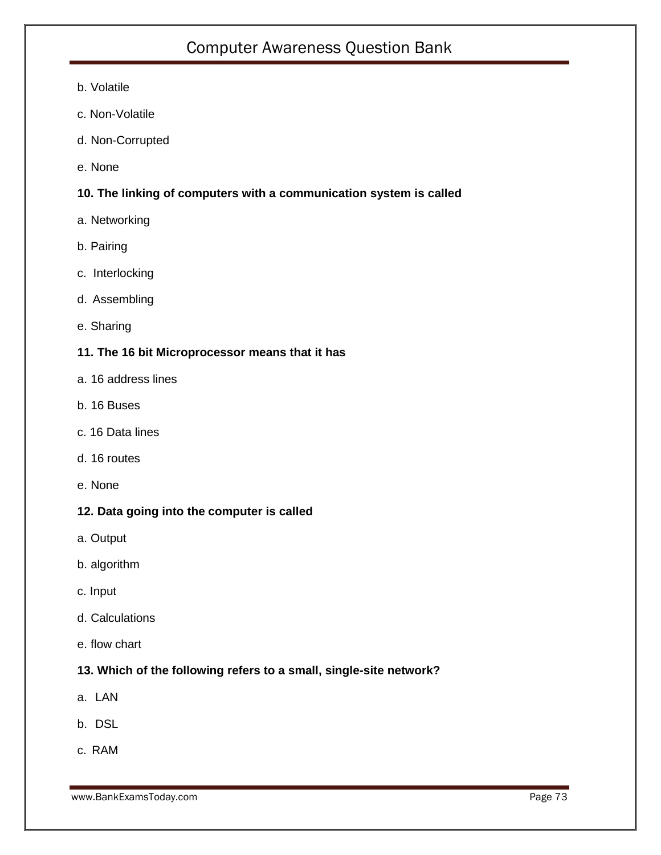- b. Volatile
- c. Non-Volatile
- d. Non-Corrupted
- e. None

### **10. The linking of computers with a communication system is called**

- a. Networking
- b. Pairing
- c. Interlocking
- d. Assembling
- e. Sharing

#### **11. The 16 bit Microprocessor means that it has**

- a. 16 address lines
- b. 16 Buses
- c. 16 Data lines
- d. 16 routes
- e. None

### **12. Data going into the computer is called**

- a. Output
- b. algorithm
- c. Input
- d. Calculations
- e. flow chart

#### **13. Which of the following refers to a small, single-site network?**

- a. LAN
- b. DSL
- c. RAM

www.BankExamsToday.com example and the control of the control of the control of the Page 73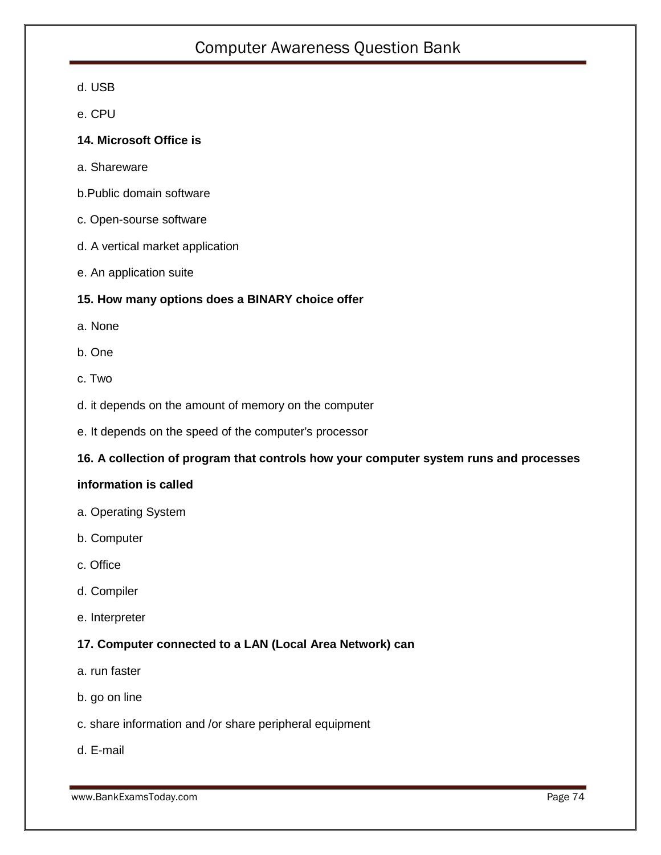- d. USB
- e. CPU
- **14. Microsoft Office is**
- a. Shareware
- b.Public domain software
- c. Open-sourse software
- d. A vertical market application
- e. An application suite

#### **15. How many options does a BINARY choice offer**

- a. None
- b. One
- c. Two
- d. it depends on the amount of memory on the computer
- e. It depends on the speed of the computer's processor

#### **16. A collection of program that controls how your computer system runsand processes**

### **information is called**

- a. Operating System
- b. Computer
- c. Office
- d. Compiler
- e. Interpreter

#### **17. Computer connected to a LAN (LocalArea Network) can**

- a. run faster
- b. go on line
- c. share information and /or share peripheral equipment
- d. E-mail

www.BankExamsToday.com example and the control of the control of the control of the control of the control of the control of the control of the control of the control of the control of the control of the control of the con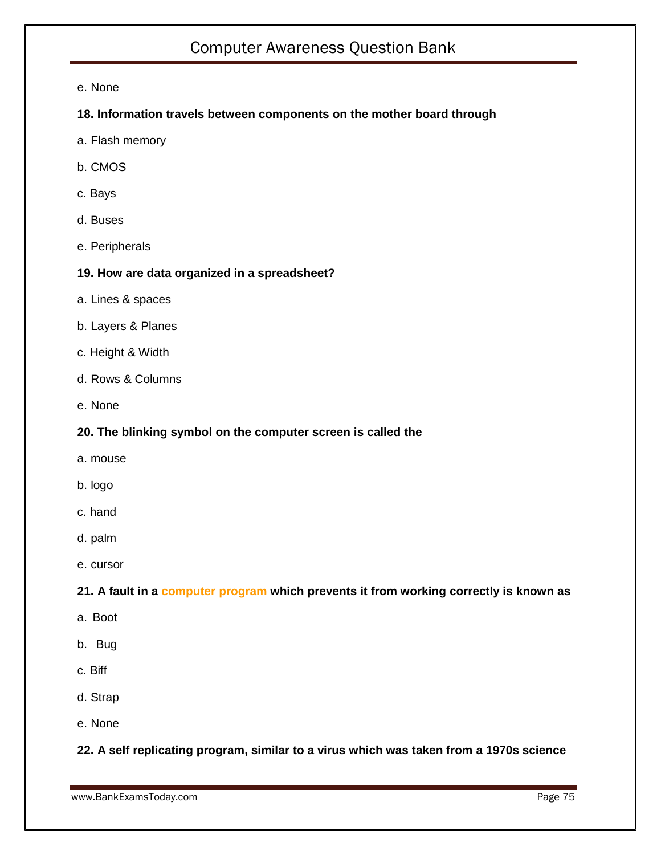e. None

#### **18. Information travels between components on the mother board through**

- a. Flash memory
- b. CMOS
- c. Bays
- d. Buses
- e. Peripherals

#### **19. How are data organized in a spreadsheet?**

- a. Lines & spaces
- b. Layers & Planes
- c. Height & Width
- d. Rows & Columns
- e. None

#### **20. The blinking symbol on the computer screen is called the**

- a. mouse
- b. logo
- c. hand
- d. palm
- e. cursor

**21. A fault in a computer program which prevents it from working correctly is known as**

- a. Boot
- b. Bug
- c. Biff
- d. Strap
- e. None

#### **22. A self replicating program, similar to a virus which was taken from a 1970s science**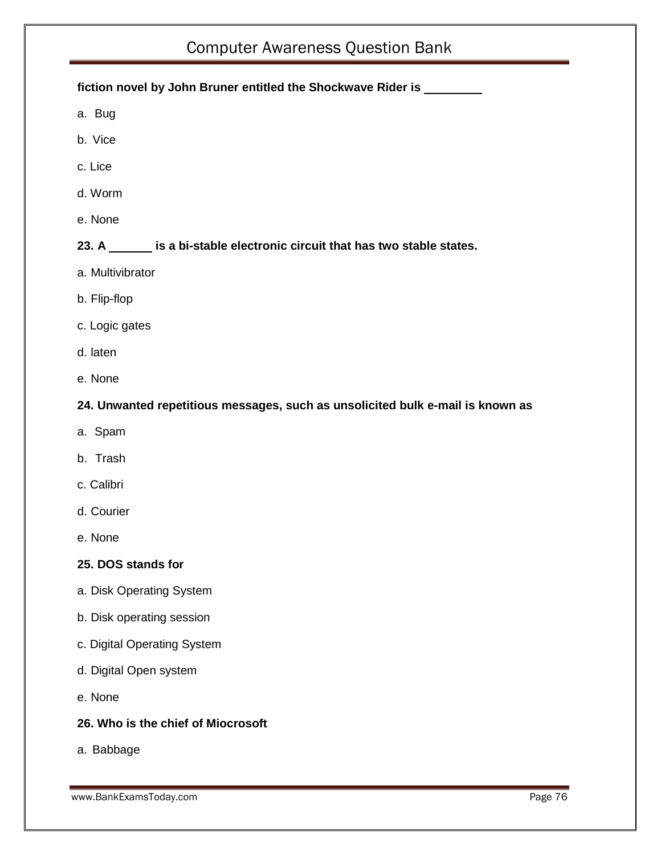**fiction novel by John Bruner entitled the Shockwave Rider is**

- a. Bug
- b. Vice
- c. Lice
- d. Worm
- e. None

### **23. A is a bi-stable electronic circuit that has two stable states.**

- a. Multivibrator
- b. Flip-flop
- c. Logic gates
- d. laten
- e. None

#### **24. Unwanted repetitious messages, such as unsolicited bulk e-mail is known as**

- a. Spam
- b. Trash
- c. Calibri
- d. Courier
- e. None

#### **25. DOS stands for**

- a. Disk Operating System
- b. Disk operating session
- c. Digital Operating System
- d. Digital Open system
- e. None

#### **26. Who is the chief of Miocrosoft**

a. Babbage

www.BankExamsToday.com example and the state of the state of the state of the Page 76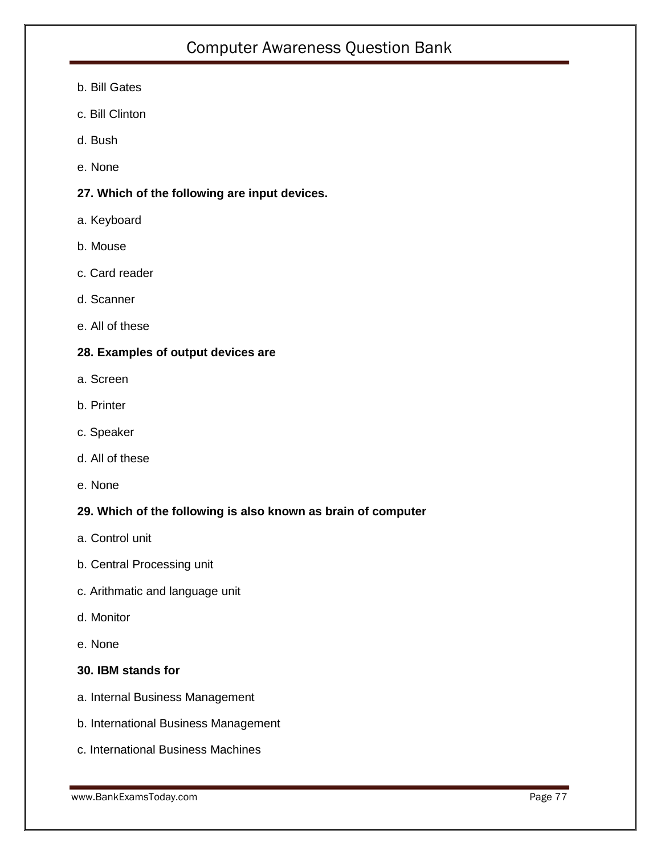- b. Bill Gates
- c. Bill Clinton
- d. Bush
- e. None
- **27. Which of the following are input devices.**
- a. Keyboard
- b. Mouse
- c. Card reader
- d. Scanner
- e. All of these

### **28. Examples of output devices are**

- a. Screen
- b. Printer
- c. Speaker
- d. All of these
- e. None

#### **29. Which of the following is also known as brain of computer**

- a. Control unit
- b. Central Processing unit
- c. Arithmatic and language unit
- d. Monitor
- e. None

#### **30. IBM stands for**

- a. Internal Business Management
- b. International Business Management
- c. International Business Machines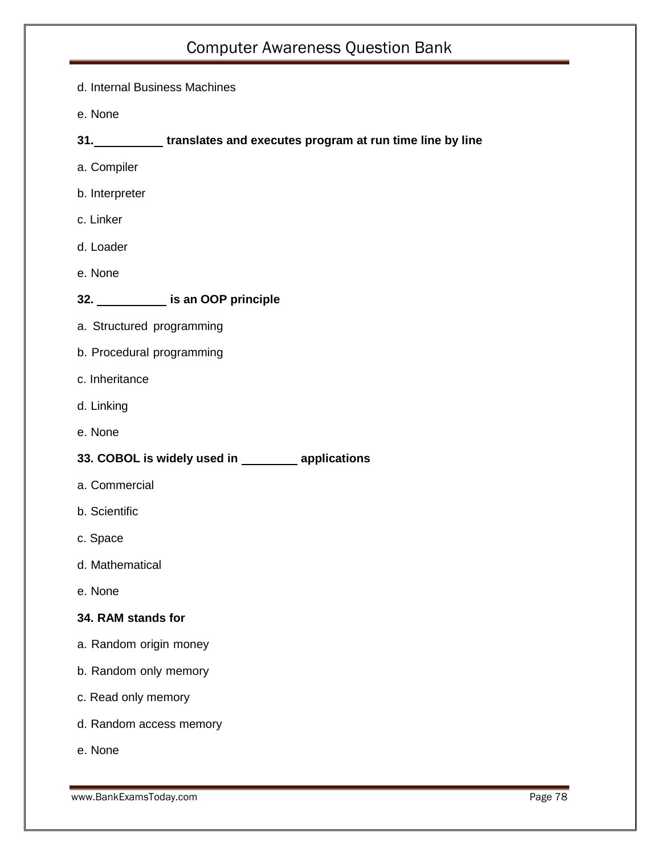- d. Internal Business Machines
- e. None
- **31. translates and executes program at run time line by line**
- a. Compiler
- b. Interpreter
- c. Linker
- d. Loader
- e. None

### **32. is an OOP principle**

- a. Structured programming
- b. Procedural programming
- c. Inheritance
- d. Linking
- e. None

### **33. COBOL is widely used in applications**

- a. Commercial
- b. Scientific
- c. Space
- d. Mathematical
- e. None

#### **34. RAM stands for**

- a. Random origin money
- b. Random only memory
- c. Read only memory
- d. Random access memory
- e. None

www.BankExamsToday.com example and the contract of the contract of the Page 78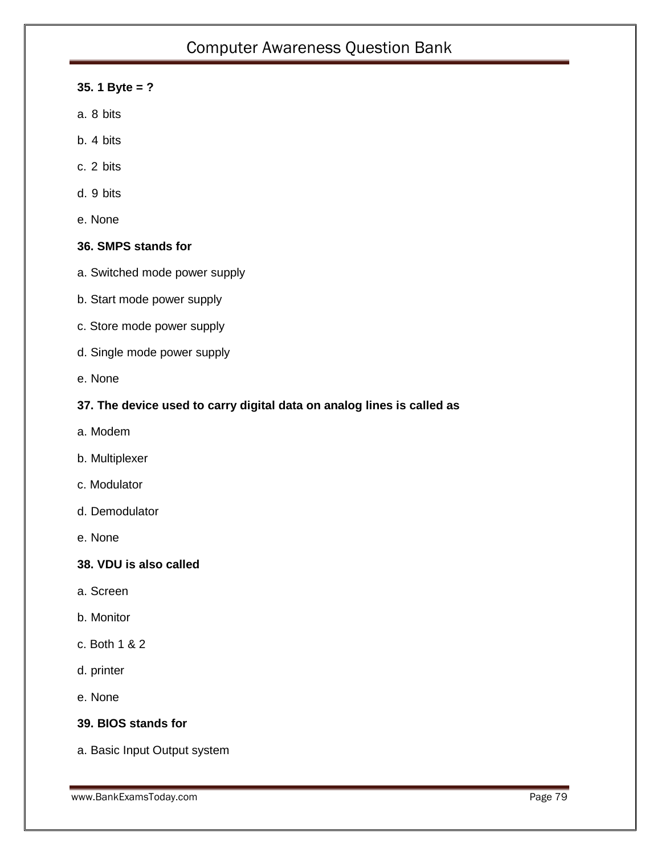### **35. 1 Byte = ?**

- a. 8 bits
- b. 4 bits
- c. 2 bits
- d. 9 bits
- e. None

#### **36. SMPS stands for**

- a. Switched mode power supply
- b. Start mode power supply
- c. Store mode power supply
- d. Single mode power supply
- e. None

### **37. The device used to carry digital data on analog lines is called as**

- a. Modem
- b. Multiplexer
- c. Modulator
- d. Demodulator
- e. None

#### **38. VDU is also called**

- a. Screen
- b. Monitor
- c. Both 1 & 2
- d. printer
- e. None

#### **39. BIOS stands for**

a. Basic Input Output system

www.BankExamsToday.com example and the control of the control of the control of the Page 79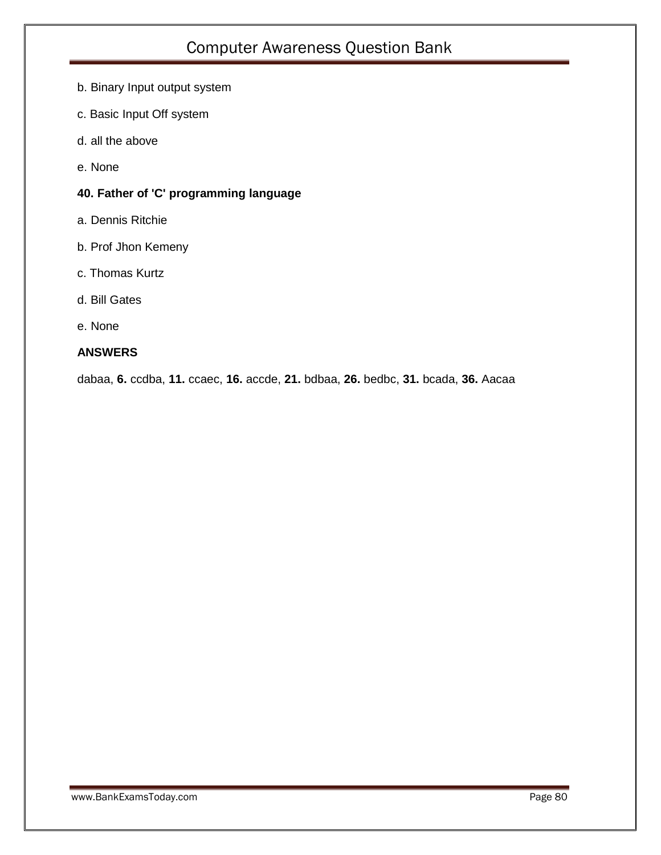- b. Binary Input output system
- c. Basic Input Off system
- d. all the above
- e. None

### **40. Father of 'C' programming language**

- a. Dennis Ritchie
- b. Prof Jhon Kemeny
- c. Thomas Kurtz
- d. Bill Gates
- e. None

#### **ANSWERS**

dabaa, **6.** ccdba, **11.** ccaec, **16.** accde, **21.** bdbaa, **26.** bedbc, **31.** bcada, **36.** Aacaa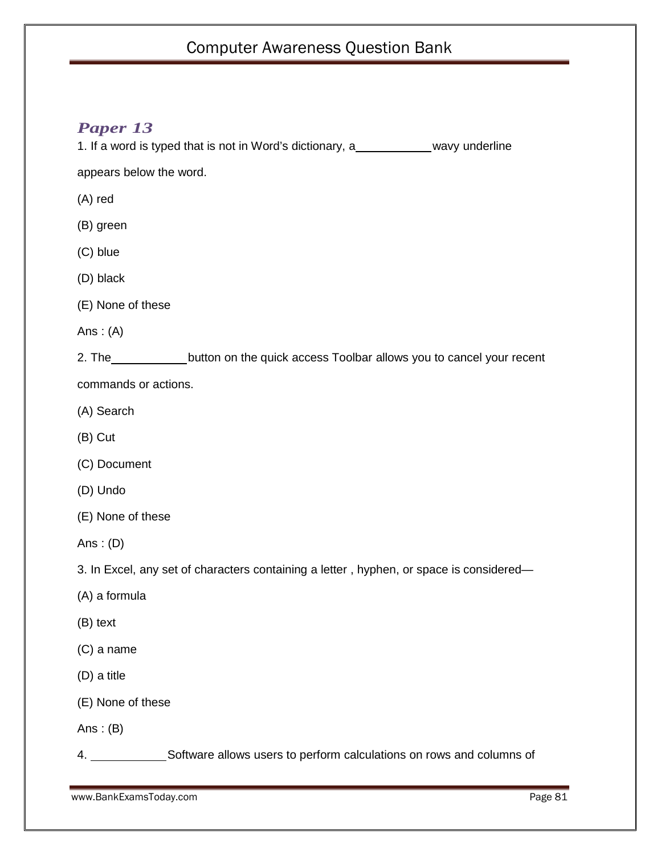# *Paper 13*

|                                                                                         | 1. If a word is typed that is not in Word's dictionary, a______________ wavy underline |  |  |
|-----------------------------------------------------------------------------------------|----------------------------------------------------------------------------------------|--|--|
| appears below the word.                                                                 |                                                                                        |  |  |
| $(A)$ red                                                                               |                                                                                        |  |  |
| (B) green                                                                               |                                                                                        |  |  |
| (C) blue                                                                                |                                                                                        |  |  |
| (D) black                                                                               |                                                                                        |  |  |
| (E) None of these                                                                       |                                                                                        |  |  |
| Ans: $(A)$                                                                              |                                                                                        |  |  |
|                                                                                         | 2. The button on the quick access Toolbar allows you to cancel your recent             |  |  |
| commands or actions.                                                                    |                                                                                        |  |  |
| (A) Search                                                                              |                                                                                        |  |  |
| $(B)$ Cut                                                                               |                                                                                        |  |  |
| (C) Document                                                                            |                                                                                        |  |  |
| (D) Undo                                                                                |                                                                                        |  |  |
| (E) None of these                                                                       |                                                                                        |  |  |
| Ans: $(D)$                                                                              |                                                                                        |  |  |
| 3. In Excel, any set of characters containing a letter, hyphen, or space is considered- |                                                                                        |  |  |
| (A) a formula                                                                           |                                                                                        |  |  |
| (B) text                                                                                |                                                                                        |  |  |
| (C) a name                                                                              |                                                                                        |  |  |
| (D) a title                                                                             |                                                                                        |  |  |
| (E) None of these                                                                       |                                                                                        |  |  |
| Ans: $(B)$                                                                              |                                                                                        |  |  |
|                                                                                         | 4. Software allows users to perform calculations on rows and columns of                |  |  |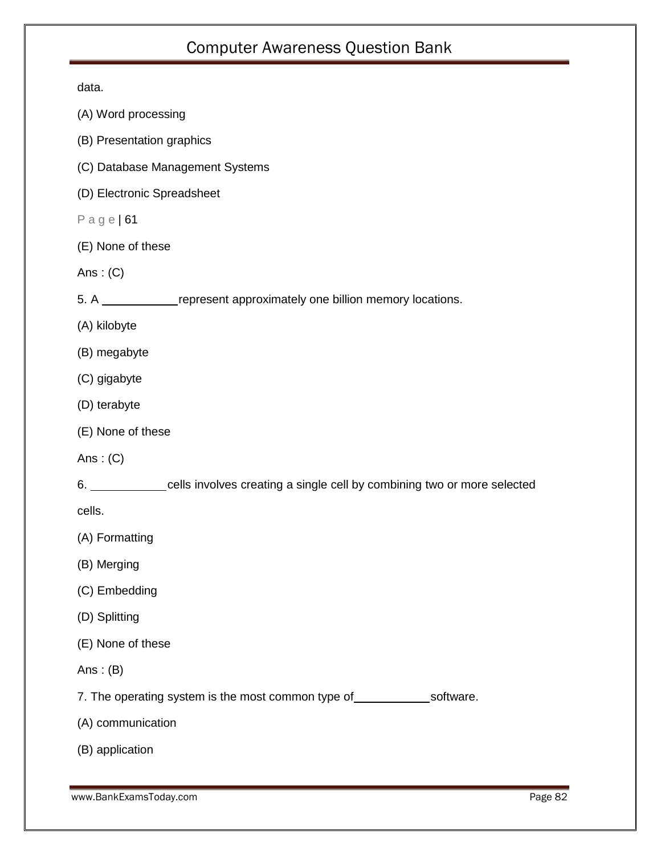data.

- (A) Word processing
- (B) Presentation graphics
- (C) Database Management Systems
- (D) Electronic Spreadsheet
- P a g e | 61
- (E) None of these
- Ans :  $(C)$
- 5. A \_\_\_\_\_\_\_\_\_\_\_\_\_\_\_ represent approximately one billion memory locations.
- (A) kilobyte
- (B) megabyte
- (C) gigabyte
- (D) terabyte
- (E) None of these
- Ans : (C)
- 6. \_\_\_\_\_\_\_\_\_\_\_\_cells involves creating a single cell by combining two or more selected

cells.

- (A) Formatting
- (B) Merging
- (C) Embedding
- (D) Splitting
- (E) None of these
- Ans : (B)

7. The operating system is the most common type of software.

- (A) communication
- (B) application

www.BankExamsToday.com example and the state of the state of the state of the Page 82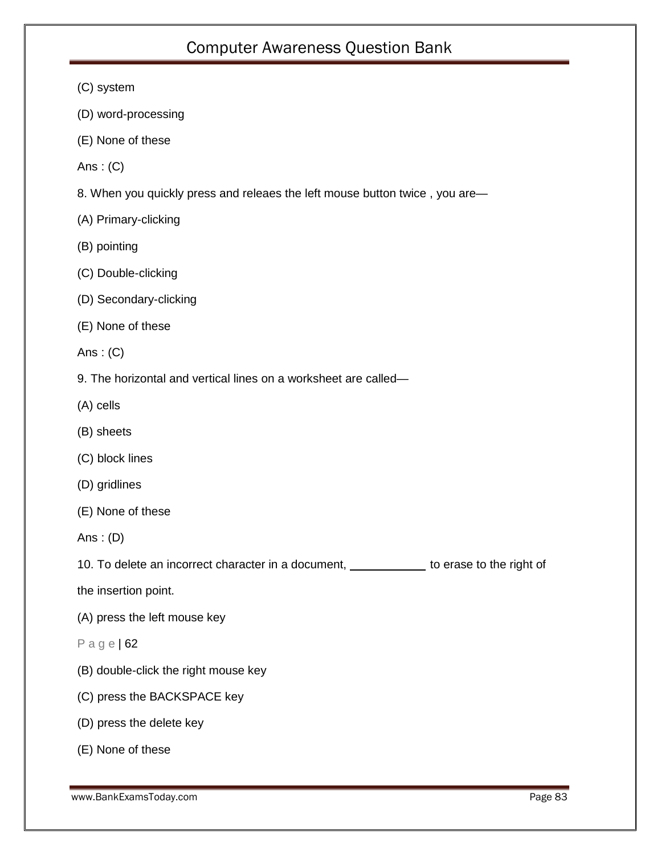- (C) system
- (D) word-processing
- (E) None of these
- Ans : (C)
- 8. When you quickly press and releaes the left mouse button twice , you are—
- (A) Primary-clicking
- (B) pointing
- (C) Double-clicking
- (D) Secondary-clicking
- (E) None of these
- Ans  $: (C)$
- 9. The horizontal and vertical lines on a worksheet are called—
- (A) cells
- (B) sheets
- (C) block lines
- (D) gridlines
- (E) None of these

Ans : (D)

10. To delete an incorrect character in a document, the state to the right of

the insertion point.

- (A) press the left mouse key
- P a g e | 62
- (B) double-click the right mouse key
- (C) press the BACKSPACE key
- (D) press the delete key
- (E) None of these

www.BankExamsToday.com example and the state of the state of the state of the Page 83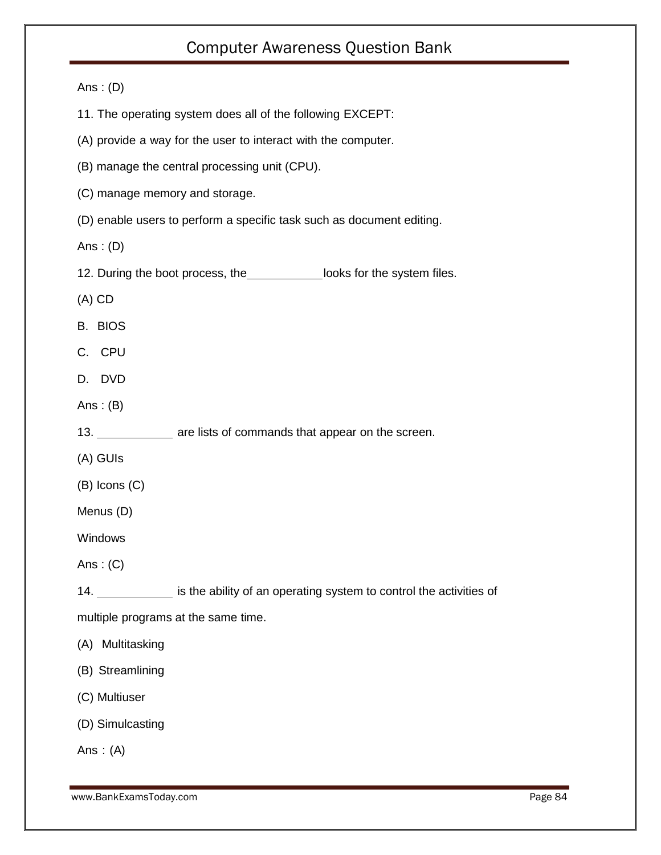#### Ans : (D)

11. The operating system does all of the following EXCEPT:

(A) provide a way for the user to interact with the computer.

(B) manage the central processing unit (CPU).

(C) manage memory and storage.

(D) enable users to perform a specific task such as document editing.

Ans : (D)

12. During the boot process, the looks for the system files.

- (A) CD
- B. BIOS
- C. CPU
- D. DVD
- Ans : (B)

13. **are lists of commands that appear on the screen.** 

(A) GUIs

(B) Icons (C)

Menus (D)

Windows

Ans  $: (C)$ 

14. is the ability of an operating system to control the activities of multiple programs at the same time.

(A) Multitasking

(B) Streamlining

(C) Multiuser

(D) Simulcasting

Ans : (A)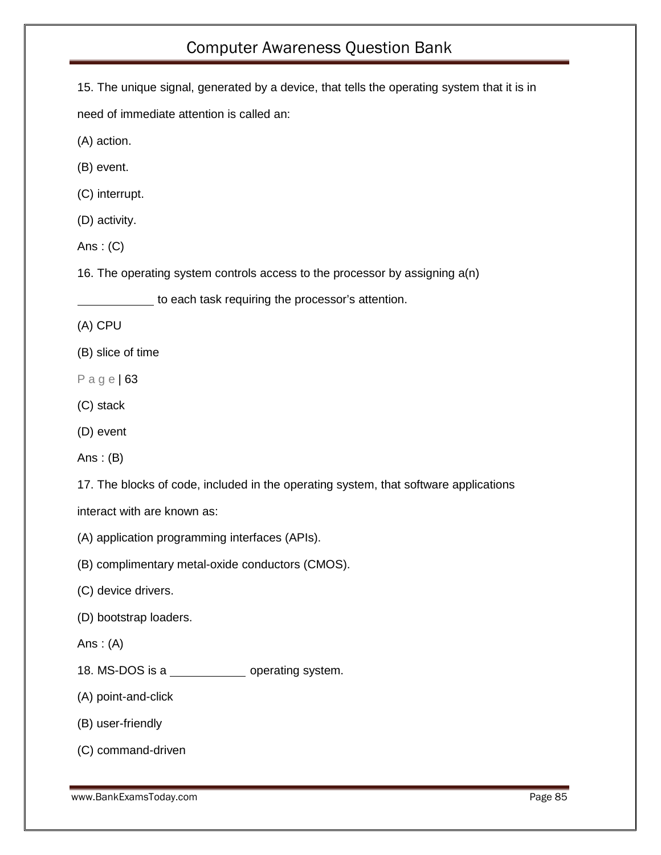15. The unique signal, generated by a device, that tells the operating system that it is in

need of immediate attention is called an:

(A) action.

(B) event.

(C) interrupt.

(D) activity.

Ans  $: (C)$ 

16. The operating system controls access to the processor by assigning a(n)

to each task requiring the processor's attention.

(A) CPU

(B) slice of time

P a g e | 63

- (C) stack
- (D) event

Ans : (B)

17. The blocks of code, included in the operating system, that software applications

interact with are known as:

(A) application programming interfaces (APIs).

(B) complimentary metal-oxide conductors (CMOS).

- (C) device drivers.
- (D) bootstrap loaders.
- Ans  $: (A)$
- 18. MS-DOS is a \_\_\_\_\_\_\_\_\_\_\_\_\_\_ operating system.
- (A) point-and-click
- (B) user-friendly
- (C) command-driven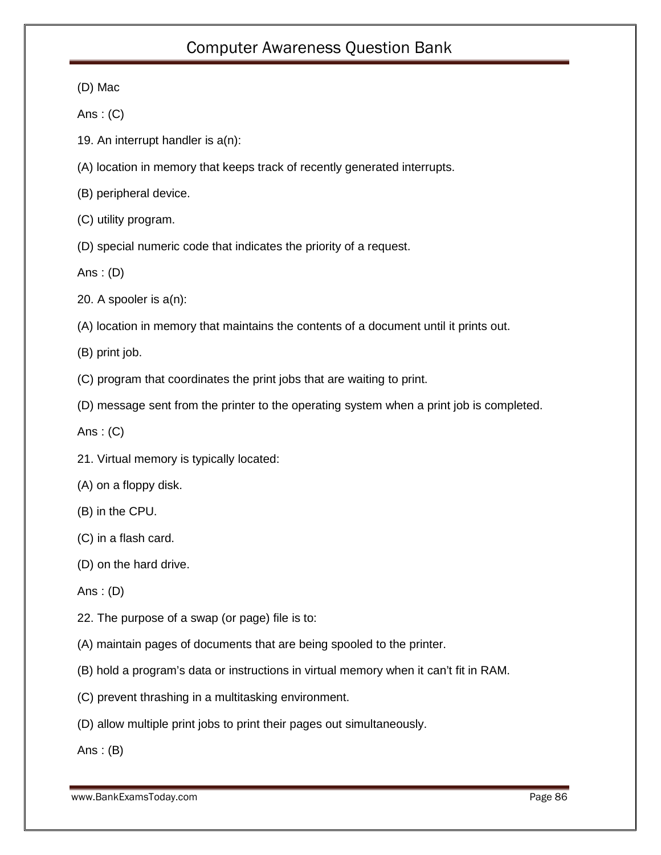(D) Mac

Ans : (C)

19. An interrupt handler is a(n):

(A) location in memory that keeps track of recently generated interrupts.

(B) peripheral device.

(C) utility program.

(D) special numeric code that indicates the priority of a request.

Ans : (D)

20. A spooler is a(n):

(A) location in memory that maintains the contents of a document until it prints out.

(B) print job.

(C) program that coordinates the print jobs that are waiting to print.

(D) message sent from the printer to the operating system when a print job is completed.

Ans : (C)

21. Virtual memory is typically located:

(A) on a floppy disk.

(B) in the CPU.

(C) in a flash card.

(D) on the hard drive.

Ans : (D)

22. The purpose of a swap (or page) file is to:

(A) maintain pages of documents that are being spooled to the printer.

(B) hold a program's data or instructions in virtual memory when it can't fit in RAM.

(C) prevent thrashing in a multitasking environment.

(D) allow multiple print jobs to print their pages out simultaneously.

Ans  $:$  (B)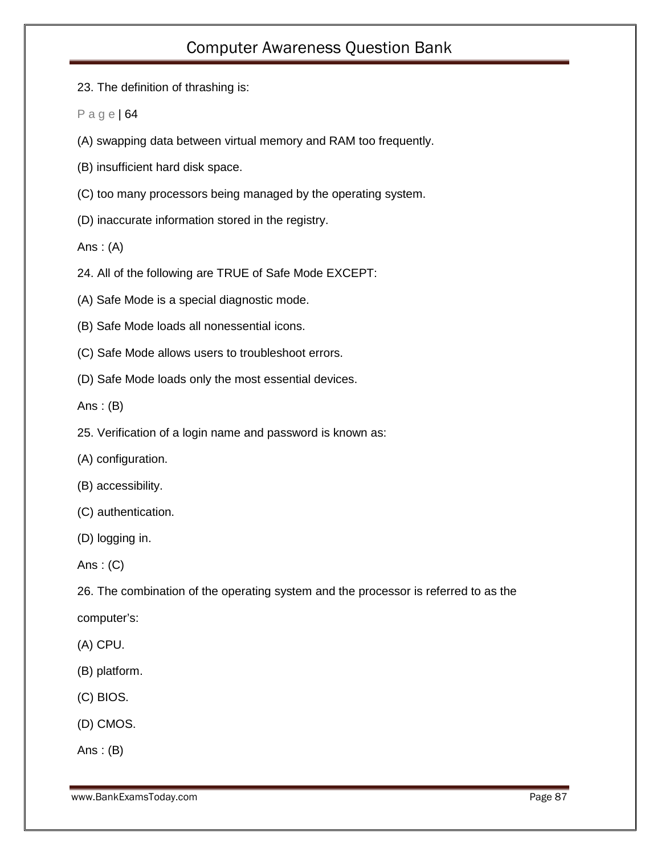23. The definition of thrashing is:

P a g e | 64

- (A) swapping data between virtual memory and RAM too frequently.
- (B) insufficient hard disk space.
- (C) too many processors being managed by the operating system.
- (D) inaccurate information stored in the registry.

Ans  $: (A)$ 

- 24. All of the following are TRUE of Safe Mode EXCEPT:
- (A) Safe Mode is a special diagnostic mode.
- (B) Safe Mode loads all nonessential icons.
- (C) Safe Mode allows users to troubleshoot errors.
- (D) Safe Mode loads only the most essential devices.

Ans  $:$  (B)

- 25. Verification of a login name and password is known as:
- (A) configuration.
- (B) accessibility.
- (C) authentication.
- (D) logging in.

Ans : (C)

26. The combination of the operating system and the processor is referred to as the computer's:

(A) CPU.

- (B) platform.
- (C) BIOS.
- (D) CMOS.

Ans : (B)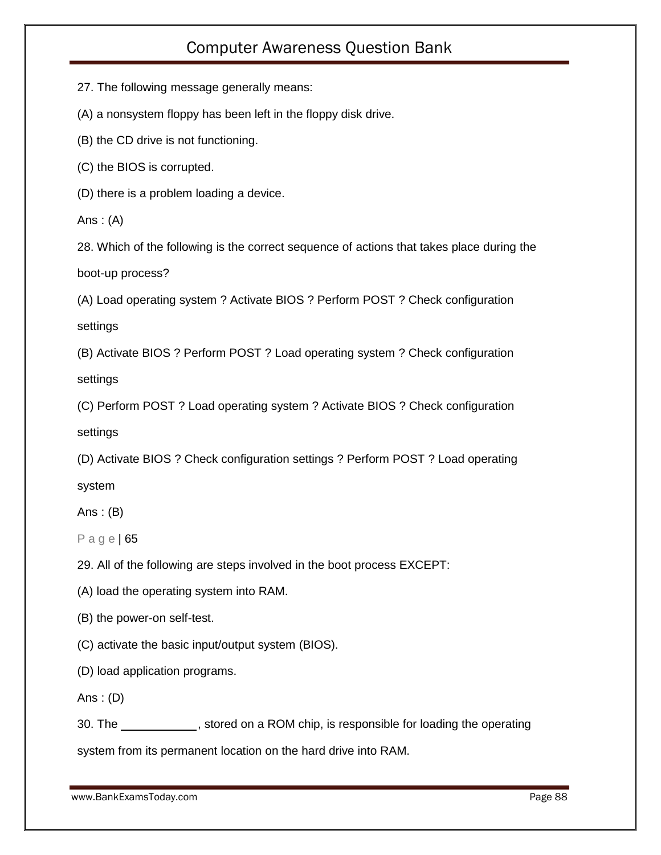27. The following message generally means:

(A) a nonsystem floppy has been left in the floppy disk drive.

(B) the CD drive is not functioning.

(C) the BIOS is corrupted.

(D) there is a problem loading a device.

Ans  $: (A)$ 

28. Which of the following is the correct sequence of actions that takes place during the boot-up process?

(A) Load operating system ? Activate BIOS ? Perform POST ? Check configuration

settings

(B) Activate BIOS ? Perform POST ? Load operating system ? Check configuration settings

(C) Perform POST ? Load operating system ? Activate BIOS ? Check configuration settings

(D) Activate BIOS ? Check configuration settings ? Perform POST ? Load operating

system

Ans : (B)

P a g e | 65

29. All of the following are steps involved in the boot process EXCEPT:

(A) load the operating system into RAM.

(B) the power-on self-test.

(C) activate the basic input/output system (BIOS).

(D) load application programs.

Ans : (D)

30. The \_\_\_\_\_\_\_\_\_\_\_, stored on a ROM chip, is responsible for loading the operating system from its permanent location on the hard drive into RAM.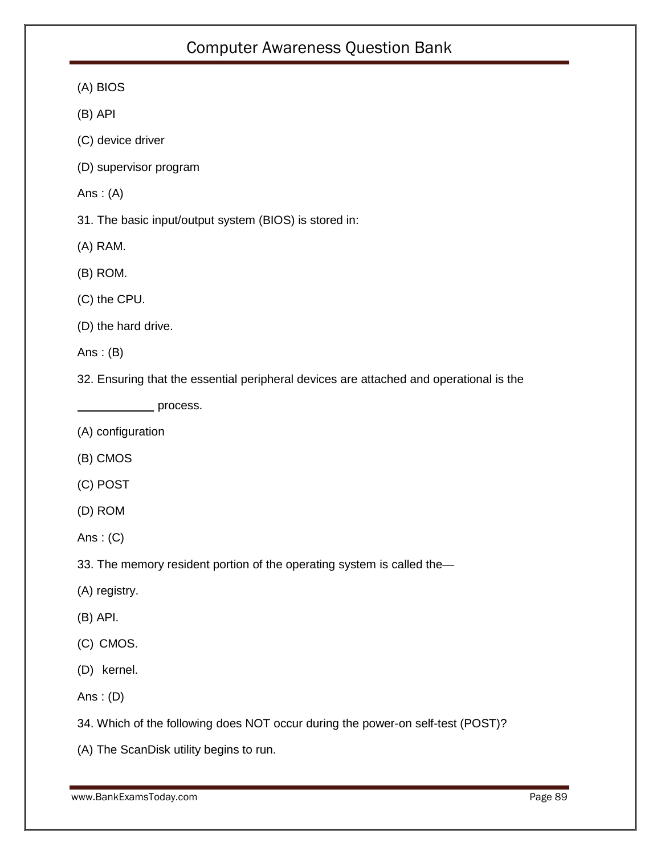- (A) BIOS
- (B) API
- (C) device driver
- (D) supervisor program
- Ans  $: (A)$
- 31. The basic input/output system (BIOS) is stored in:
- (A) RAM.
- (B) ROM.
- (C) the CPU.
- (D) the hard drive.
- Ans : (B)
- 32. Ensuring that the essential peripheral devices are attached and operational is the
	- \_ process.
- (A) configuration
- (B) CMOS
- (C) POST
- (D) ROM
- Ans : (C)
- 33. The memory resident portion of the operating system is called the—
- (A) registry.
- (B) API.
- (C) CMOS.
- (D) kernel.
- Ans : (D)
- 34. Which of the following does NOT occur during the power-on self-test (POST)?
- (A) The ScanDisk utility begins to run.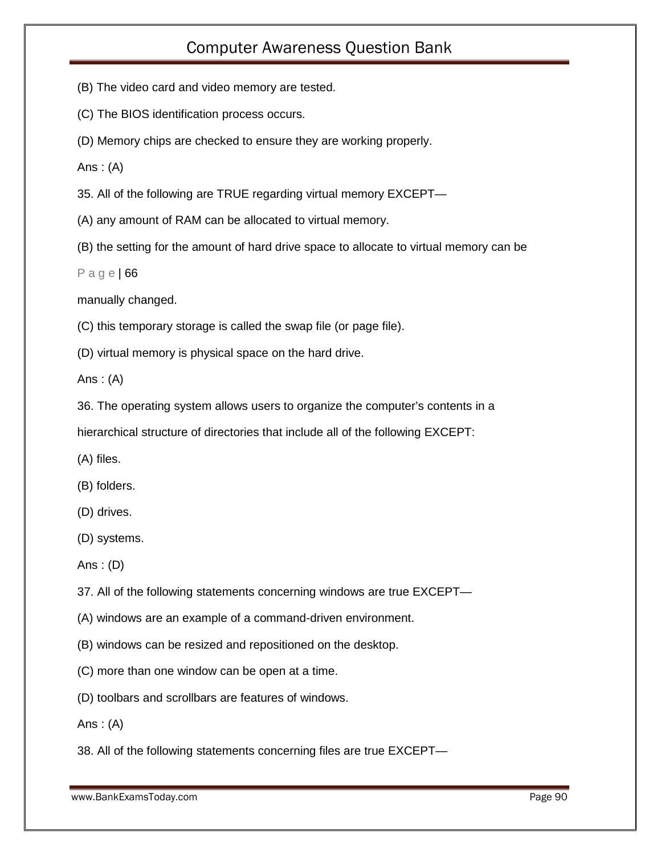- (B) The video card and video memory are tested.
- (C) The BIOS identification process occurs.
- (D) Memory chips are checked to ensure they are working properly.

Ans : (A)

35. All of the following are TRUE regarding virtual memory EXCEPT—

(A) any amount of RAM can be allocated to virtual memory.

(B) the setting for the amount of hard drive space to allocate to virtual memory can be

P a g e | 66

manually changed.

(C) this temporary storage is called the swap file (or page file).

(D) virtual memory is physical space on the hard drive.

Ans : (A)

36. The operating system allows users to organize the computer's contents in a

hierarchical structure of directories that include all of the following EXCEPT:

(A) files.

(B) folders.

(D) drives.

(D) systems.

Ans : (D)

37. All of the following statements concerning windows are true EXCEPT—

(A) windows are an example of a command-driven environment.

(B) windows can be resized and repositioned on the desktop.

(C) more than one window can be open at a time.

(D) toolbars and scrollbars are features of windows.

Ans : (A)

38. All of the following statements concerning files are true EXCEPT—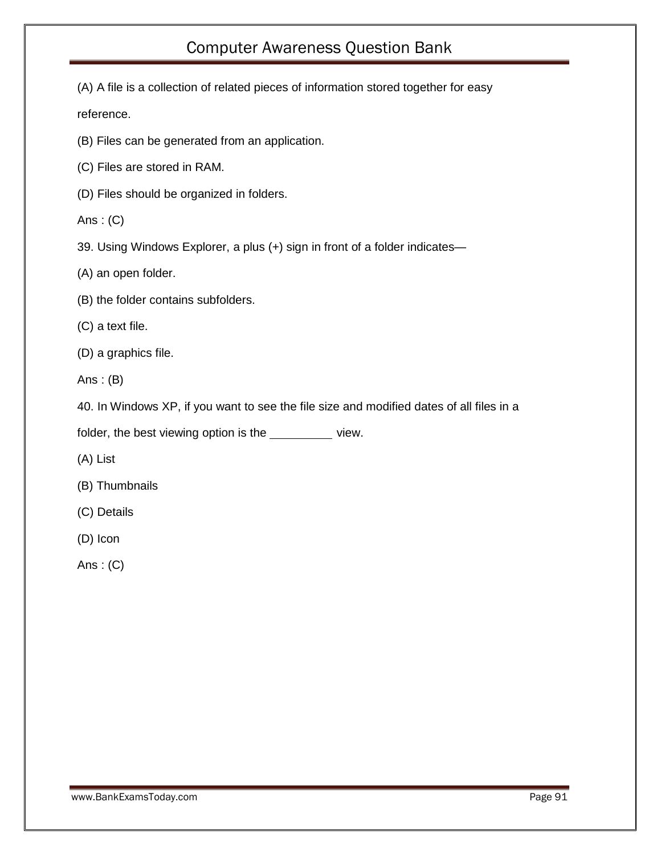(A) A file is a collection of related pieces of information stored together for easy

reference.

(B) Files can be generated from an application.

(C) Files are stored in RAM.

(D) Files should be organized in folders.

Ans : (C)

39. Using Windows Explorer, a plus (+) sign in front of a folder indicates—

(A) an open folder.

(B) the folder contains subfolders.

(C) a text file.

(D) a graphics file.

Ans : (B)

40. In Windows XP, if you want to see the file size and modified dates of all files in a

folder, the best viewing option is the wiew.

- (A) List
- (B) Thumbnails
- (C) Details
- (D) Icon

Ans : (C)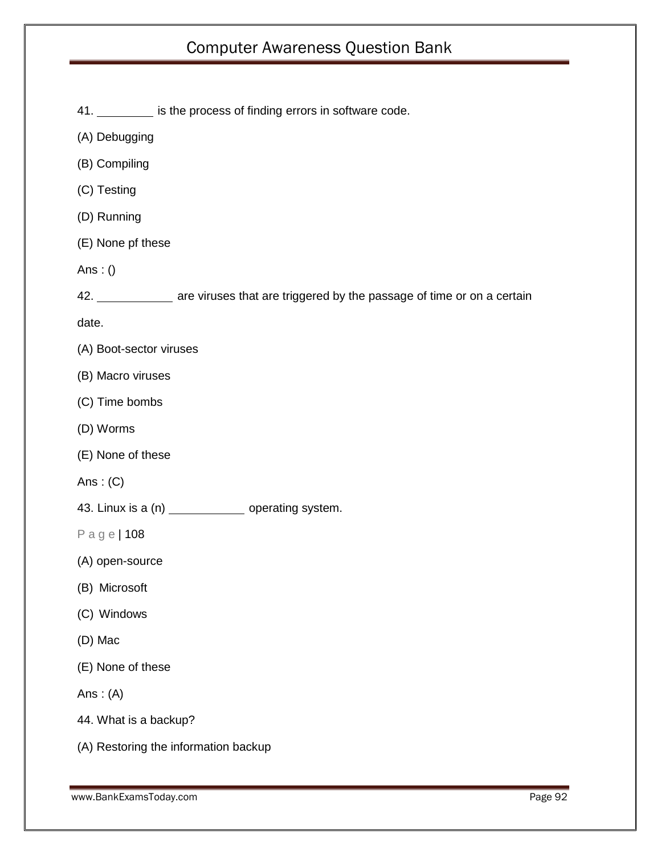- 41. \_\_\_\_\_\_\_\_\_ is the process of finding errors in software code.
- (A) Debugging
- (B) Compiling
- (C) Testing
- (D) Running
- (E) None pf these
- Ans : ()

| 42.<br>are viruses that are triggered by the passage of time or on a certain |  |
|------------------------------------------------------------------------------|--|
|------------------------------------------------------------------------------|--|

- date.
- (A) Boot-sector viruses
- (B) Macro viruses
- (C) Time bombs
- (D) Worms
- (E) None of these
- Ans : (C)
- 43. Linux is a (n) \_\_\_\_\_\_\_\_\_\_\_\_\_\_ operating system.
- P a g e | 108
- (A) open-source
- (B) Microsoft
- (C) Windows
- (D) Mac
- (E) None of these
- Ans  $: (A)$
- 44. What is a backup?
- (A) Restoring the information backup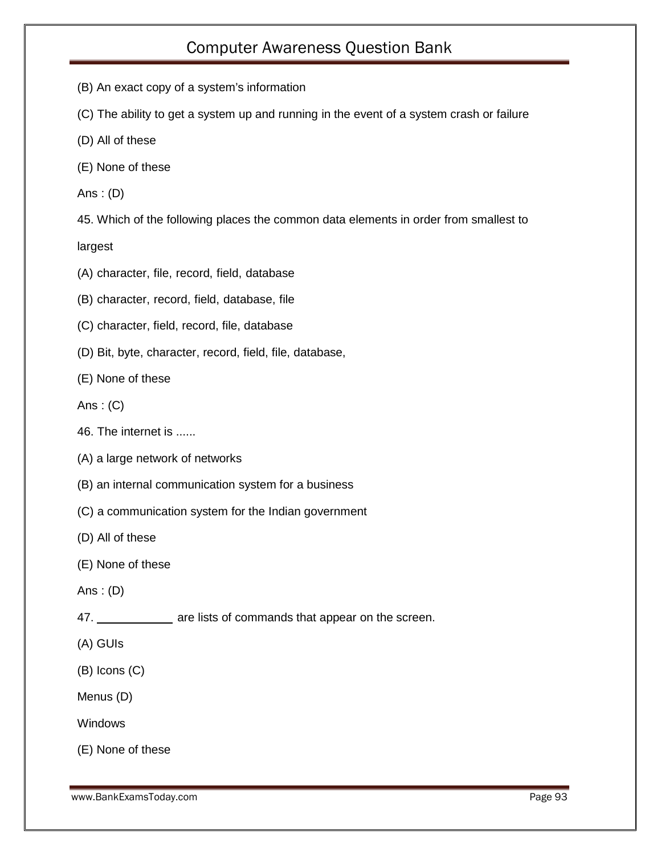- (B) An exact copy of a system's information
- (C) The ability to get a system up and running in the event of a system crash or failure
- (D) All of these
- (E) None of these

Ans : (D)

45. Which of the following places the common data elements in order from smallest to

largest

- (A) character, file, record, field, database
- (B) character, record, field, database, file
- (C) character, field, record, file, database
- (D) Bit, byte, character, record, field, file, database,

(E) None of these

Ans : (C)

- 46. The internet is ......
- (A) a large network of networks
- (B) an internal communication system for a business
- (C) a communication system for the Indian government
- (D) All of these
- (E) None of these
- Ans :  $(D)$
- 47. \_\_\_\_\_\_\_\_\_\_\_\_\_ are lists of commands that appear on the screen.
- (A) GUIs
- (B) Icons (C)
- Menus (D)

**Windows** 

(E) None of these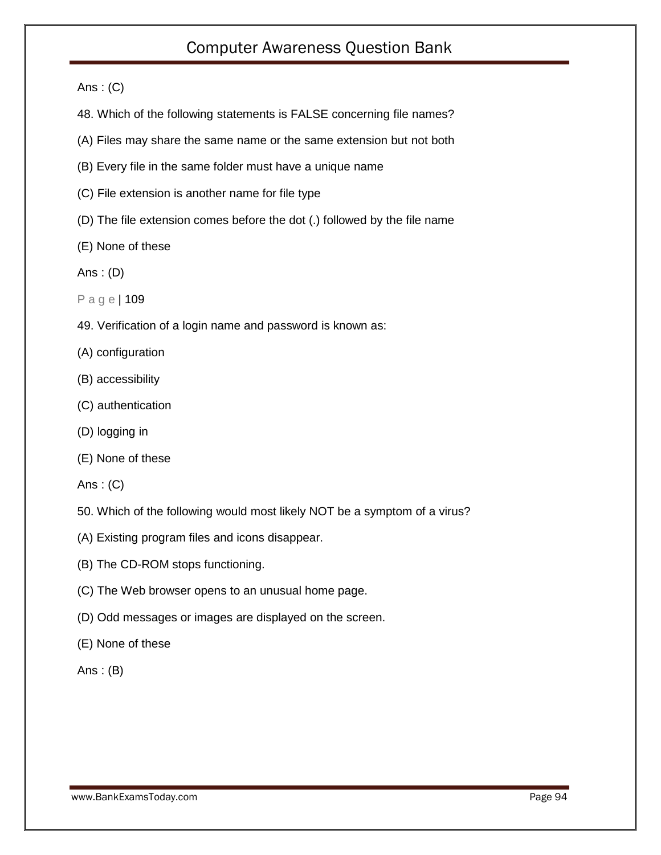#### Ans : (C)

- 48. Which of the following statements is FALSE concerning file names?
- (A) Files may share the same name or the same extension but not both
- (B) Every file in the same folder must have a unique name
- (C) File extension is another name for file type
- (D) The file extension comes before the dot (.) followed by the file name
- (E) None of these
- Ans : (D)
- P a g e | 109
- 49. Verification of a login name and password is known as:
- (A) configuration
- (B) accessibility
- (C) authentication
- (D) logging in
- (E) None of these
- Ans :  $(C)$
- 50. Which of the following would most likely NOT be a symptom of a virus?
- (A) Existing program files and icons disappear.
- (B) The CD-ROM stops functioning.
- (C) The Web browser opens to an unusual home page.
- (D) Odd messages or images are displayed on the screen.
- (E) None of these
- Ans : (B)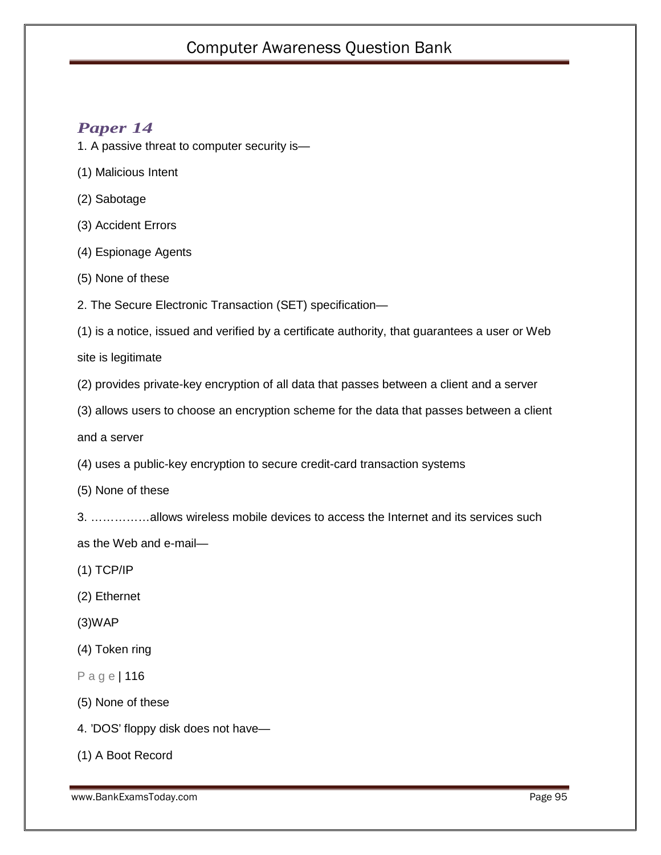### *Paper 14*

- 1. A passive threat to computer security is—
- (1) Malicious Intent
- (2) Sabotage
- (3) Accident Errors
- (4) Espionage Agents
- (5) None of these
- 2. The Secure Electronic Transaction (SET) specification—
- (1) is a notice, issued and verified by a certificate authority, that guarantees a user or Web

site is legitimate

- (2) provides private-key encryption of all data that passes between a client and a server
- (3) allows users to choose an encryption scheme for the data that passes between a client

and a server

(4) uses a public-key encryption to secure credit-card transaction systems

(5) None of these

3. ……………allows wireless mobile devices to access the Internet and its services such

as the Web and e-mail—

- (1) TCP/IP
- (2) Ethernet
- (3)WAP
- (4) Token ring
- P a g e | 116
- (5) None of these
- 4. 'DOS' floppy disk does not have—

(1) A Boot Record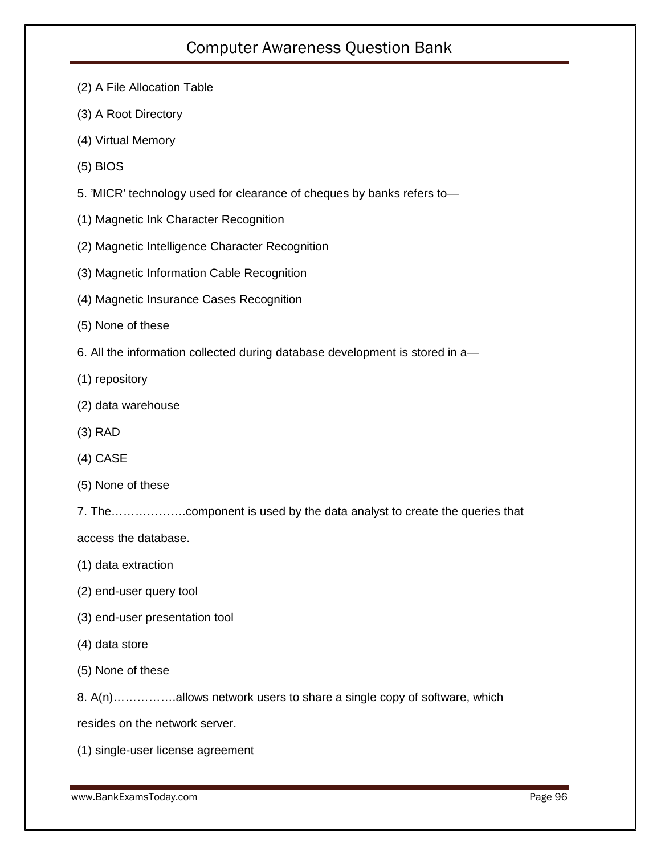- (2) A File Allocation Table
- (3) A Root Directory
- (4) Virtual Memory
- (5) BIOS
- 5. 'MICR' technology used for clearance of cheques by banks refers to—
- (1) Magnetic Ink Character Recognition
- (2) Magnetic Intelligence Character Recognition
- (3) Magnetic Information Cable Recognition
- (4) Magnetic Insurance Cases Recognition
- (5) None of these
- 6. All the information collected during database development is stored in a—
- (1) repository
- (2) data warehouse
- (3) RAD
- (4) CASE
- (5) None of these
- 7. The……………….component is used by the data analyst to create the queries that

access the database.

- (1) data extraction
- (2) end-user query tool
- (3) end-user presentation tool
- (4) data store
- (5) None of these
- 8. A(n)…………….allows network users to share a single copy of software, which

resides on the network server.

(1) single-user license agreement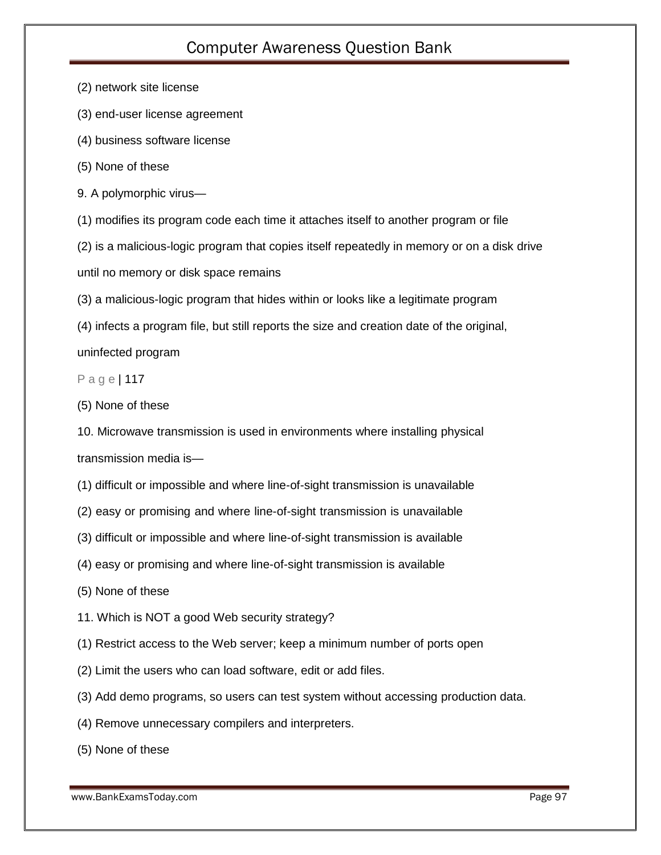- (2) network site license
- (3) end-user license agreement
- (4) business software license
- (5) None of these
- 9. A polymorphic virus—
- (1) modifies its program code each time it attaches itself to another program or file

(2) is a malicious-logic program that copies itself repeatedly in memory or on a disk drive

until no memory or disk space remains

(3) a malicious-logic program that hides within or looks like a legitimate program

(4) infects a program file, but still reports the size and creation date of the original,

uninfected program

P a g e | 117

(5) None of these

10. Microwave transmission is used in environments where installing physical transmission media is—

- (1) difficult or impossible and where line-of-sight transmission is unavailable
- (2) easy or promising and where line-of-sight transmission is unavailable

(3) difficult or impossible and where line-of-sight transmission is available

(4) easy or promising and where line-of-sight transmission is available

- (5) None of these
- 11. Which is NOT a good Web security strategy?
- (1) Restrict access to the Web server; keep a minimum number of ports open
- (2) Limit the users who can load software, edit or add files.
- (3) Add demo programs, so users can test system without accessing production data.
- (4) Remove unnecessary compilers and interpreters.

(5) None of these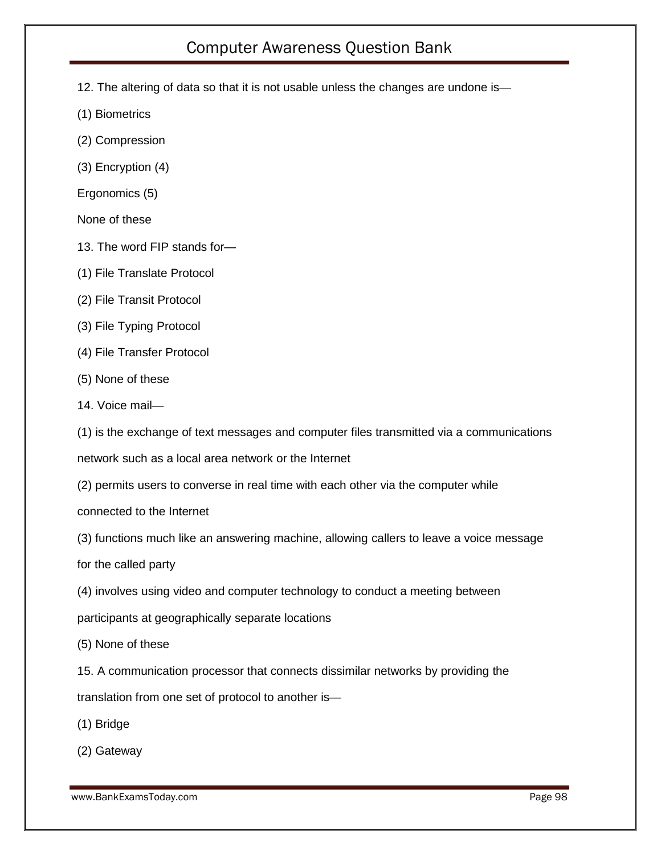- 12. The altering of data so that it is not usable unless the changes are undone is—
- (1) Biometrics
- (2) Compression
- (3) Encryption (4)
- Ergonomics (5)
- None of these
- 13. The word FIP stands for—
- (1) File Translate Protocol
- (2) File Transit Protocol
- (3) File Typing Protocol
- (4) File Transfer Protocol
- (5) None of these
- 14. Voice mail—

(1) is the exchange of text messages and computer files transmitted via a communications

network such as a local area network or the Internet

(2) permits users to converse in real time with each other via the computer while

connected to the Internet

(3) functions much like an answering machine, allowing callers to leave a voice message

for the called party

(4) involves using video and computer technology to conduct a meeting between participants at geographically separate locations

(5) None of these

15. A communication processor that connects dissimilar networks by providing the translation from one set of protocol to another is—

- (1) Bridge
- (2) Gateway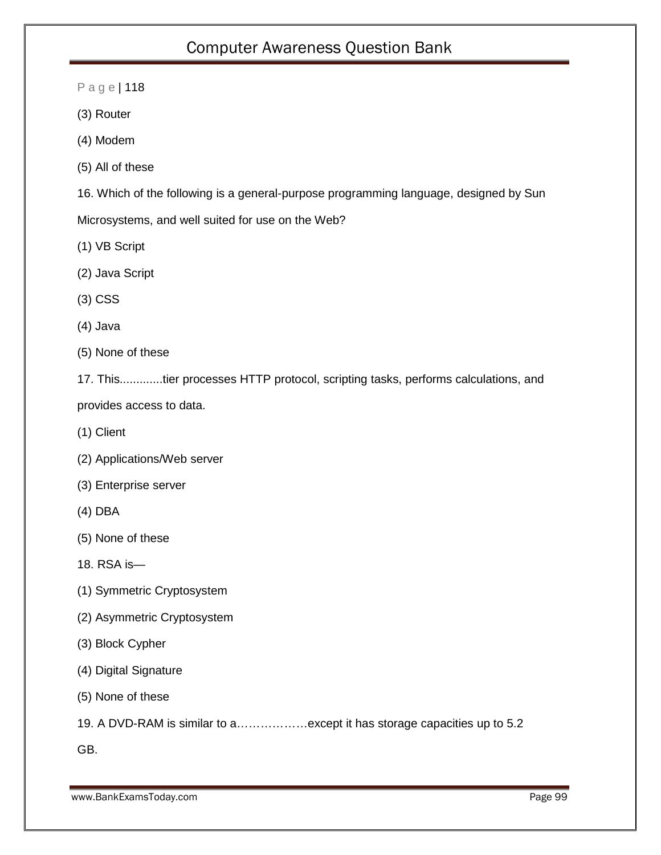- P a g e | 118
- (3) Router
- (4) Modem
- (5) All of these
- 16. Which of the following is a general-purpose programming language, designed by Sun
- Microsystems, and well suited for use on the Web?
- (1) VB Script
- (2) Java Script
- (3) CSS
- (4) Java
- (5) None of these

17. This.............tier processes HTTP protocol, scripting tasks, performs calculations, and provides access to data.

- (1) Client
- (2) Applications/Web server
- (3) Enterprise server
- (4) DBA
- (5) None of these
- 18. RSA is—
- (1) Symmetric Cryptosystem
- (2) Asymmetric Cryptosystem
- (3) Block Cypher
- (4) Digital Signature
- (5) None of these
- 19. A DVD-RAM is similar to a………………except it has storage capacities up to 5.2

GB.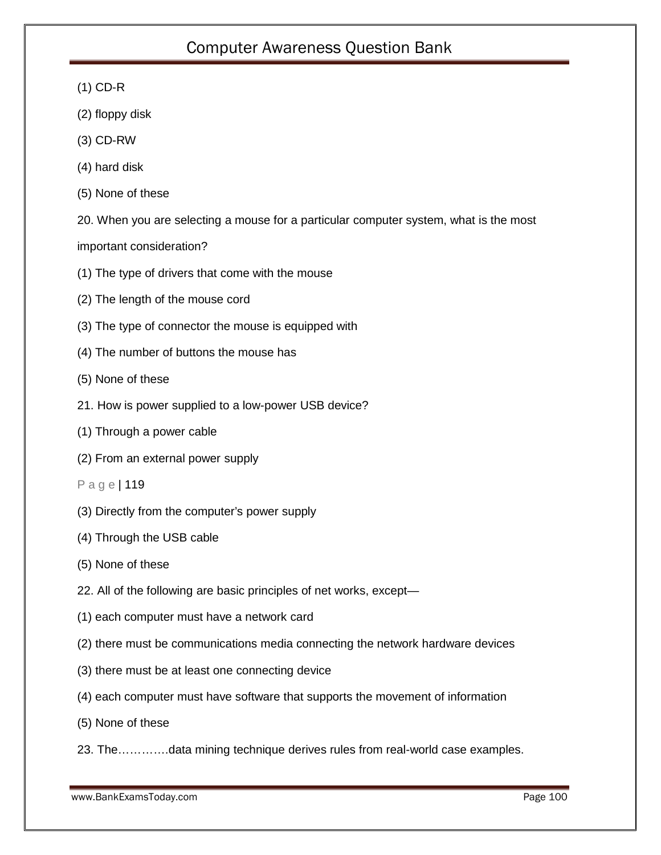- (1) CD-R
- (2) floppy disk
- (3) CD-RW
- (4) hard disk
- (5) None of these
- 20. When you are selecting a mouse for a particular computer system, what is the most

important consideration?

- (1) The type of drivers that come with the mouse
- (2) The length of the mouse cord
- (3) The type of connector the mouse is equipped with
- (4) The number of buttons the mouse has
- (5) None of these
- 21. How is power supplied to a low-power USB device?
- (1) Through a power cable
- (2) From an external power supply
- P a g e | 119
- (3) Directly from the computer's power supply
- (4) Through the USB cable
- (5) None of these
- 22. All of the following are basic principles of net works, except—
- (1) each computer must have a network card
- (2) there must be communications media connecting the network hardware devices
- (3) there must be at least one connecting device
- (4) each computer must have software that supports the movement of information
- (5) None of these
- 23. The………….data mining technique derives rules from real-world case examples.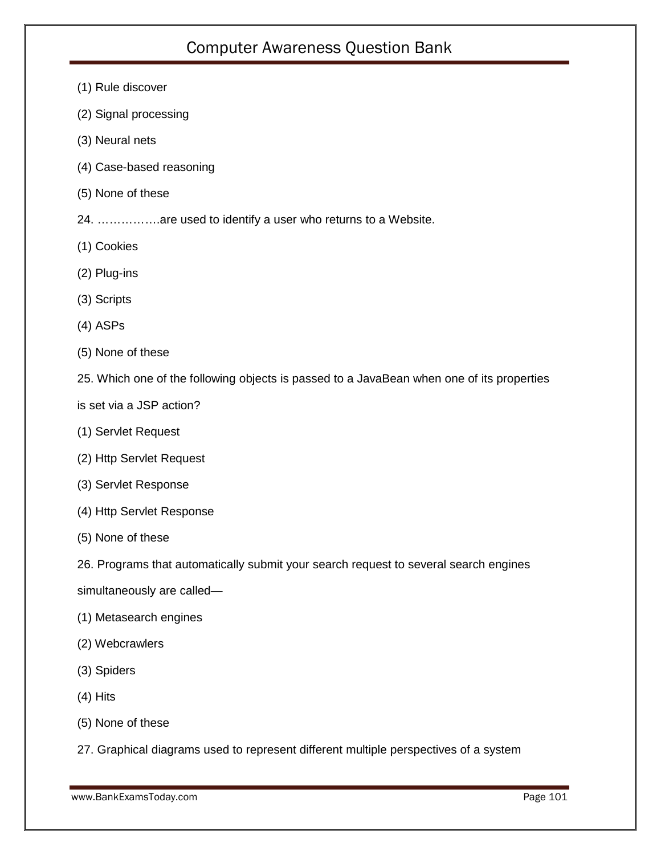- (1) Rule discover
- (2) Signal processing
- (3) Neural nets
- (4) Case-based reasoning
- (5) None of these
- 24. …………….are used to identify a user who returns to a Website.
- (1) Cookies
- (2) Plug-ins
- (3) Scripts
- (4) ASPs
- (5) None of these
- 25. Which one of the following objects is passed to a JavaBean when one of its properties
- is setvia a JSP action?
- (1) Servlet Request
- (2) Http Servlet Request
- (3) Servlet Response
- (4) Http Servlet Response
- (5) None of these
- 26. Programs that automatically submit your search request to several search engines
- simultaneously are called—
- (1) Metasearch engines
- (2) Webcrawlers
- (3) Spiders
- (4) Hits
- (5) None of these
- 27. Graphical diagrams used to represent different multiple perspectives of a system

www.BankExamsToday.com example and the control of the control of the Page 101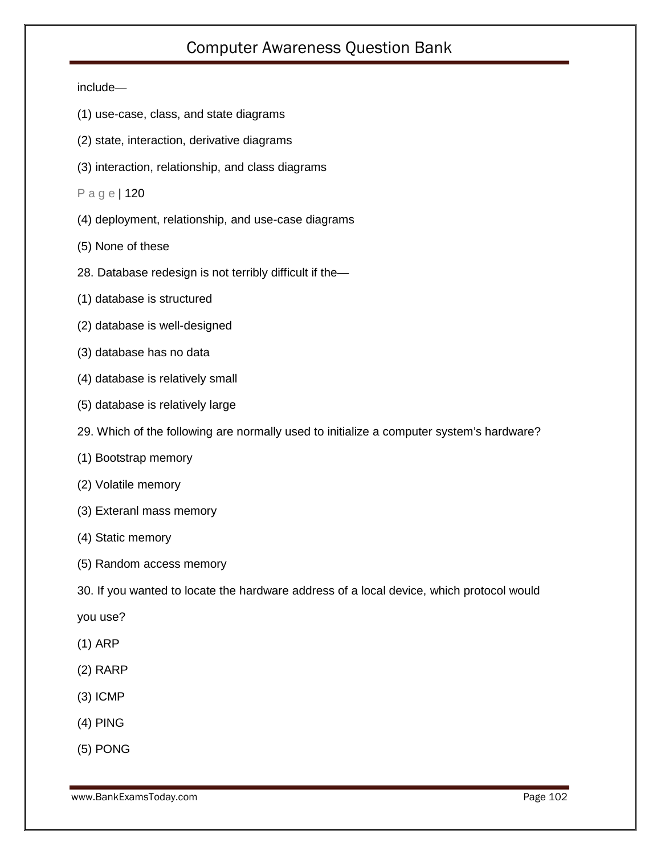#### include—

- (1) use-case, class, and state diagrams
- (2) state, interaction, derivative diagrams
- (3) interaction, relationship, and class diagrams

P a g e | 120

- (4) deployment, relationship, and use-case diagrams
- (5) None of these
- 28. Database redesign is not terribly difficult if the-
- (1) database is structured
- (2) database is well-designed
- (3) database has no data
- (4) database is relatively small
- (5) database is relatively large
- 29. Which of the following are normally used to initialize a computer system's hardware?
- (1) Bootstrap memory
- (2) Volatile memory
- (3) Exteranl mass memory
- (4) Static memory
- (5) Random access memory

30. If you wanted to locate the hardware address of a local device, which protocol would

you use?

- (1) ARP
- (2) RARP
- (3) ICMP
- (4) PING
- (5) PONG

www.BankExamsToday.com example and the community of the community of the community of the community of the community of the community of the community of the community of the community of the community of the community of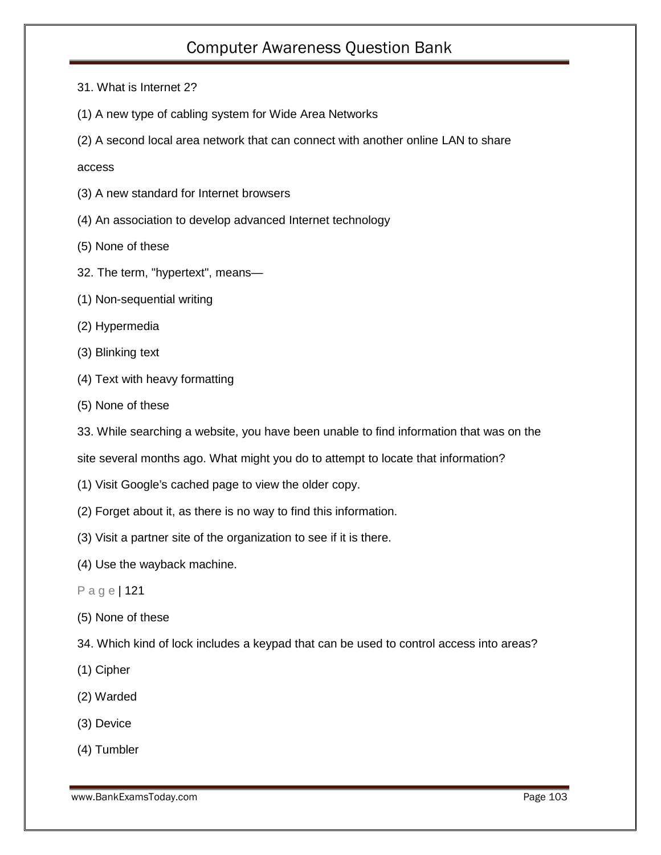- 31. What is Internet 2?
- (1) A new type of cabling system for Wide Area Networks
- (2) A second local area network that can connect with another online LAN to share

access

- (3) A new standard for Internet browsers
- (4) An association to develop advanced Internet technology
- (5) None of these
- 32. The term, "hypertext", means—
- (1) Non-sequential writing
- (2) Hypermedia
- (3) Blinking text
- (4) Text with heavy formatting
- (5) None of these
- 33. While searching a website, you have been unable to find information that was on the

site several months ago. What might you do to attempt to locate that information?

- (1) Visit Google's cached page to view the older copy.
- (2) Forget about it, as there is no way to find this information.
- (3) Visit a partner site of the organization to see if it is there.
- (4) Use the wayback machine.
- P a g e | 121
- (5) None of these
- 34. Which kind of lock includes a keypad that can be used to control access into areas?
- (1) Cipher
- (2) Warded
- (3) Device
- (4) Tumbler

www.BankExamsToday.com example and the example of the example of the example of the example of the example of the example of the example of the example of the example of the example of the example of the example of the exa